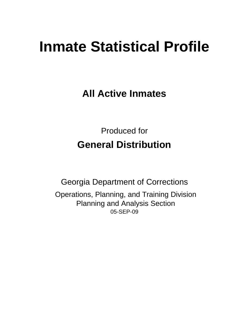# **Inmate Statistical Profile**

**All Active Inmates**

Produced for **General Distribution**

05-SEP-09 Georgia Department of Corrections Operations, Planning, and Training Division Planning and Analysis Section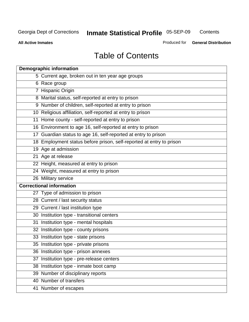**Contents** 

**All Active Inmates**

Produced for **General Distribution**

# Table of Contents

|    | <b>Demographic information</b>                                       |
|----|----------------------------------------------------------------------|
|    | 5 Current age, broken out in ten year age groups                     |
|    | 6 Race group                                                         |
|    | 7 Hispanic Origin                                                    |
|    | 8 Marital status, self-reported at entry to prison                   |
|    | 9 Number of children, self-reported at entry to prison               |
|    | 10 Religious affiliation, self-reported at entry to prison           |
|    | 11 Home county - self-reported at entry to prison                    |
|    | 16 Environment to age 16, self-reported at entry to prison           |
|    | 17 Guardian status to age 16, self-reported at entry to prison       |
|    | 18 Employment status before prison, self-reported at entry to prison |
|    | 19 Age at admission                                                  |
|    | 21 Age at release                                                    |
|    | 22 Height, measured at entry to prison                               |
|    | 24 Weight, measured at entry to prison                               |
|    | 26 Military service                                                  |
|    | <b>Correctional information</b>                                      |
|    | 27 Type of admission to prison                                       |
|    | 28 Current / last security status                                    |
|    | 29 Current / last institution type                                   |
|    | 30 Institution type - transitional centers                           |
|    | 31 Institution type - mental hospitals                               |
|    | 32 Institution type - county prisons                                 |
|    | 33 Institution type - state prisons                                  |
|    | 35 Institution type - private prisons                                |
|    | 36 Institution type - prison annexes                                 |
| 37 | Institution type - pre-release centers                               |
|    | 38 Institution type - inmate boot camp                               |
|    | 39 Number of disciplinary reports                                    |
|    | 40 Number of transfers                                               |
|    | 41 Number of escapes                                                 |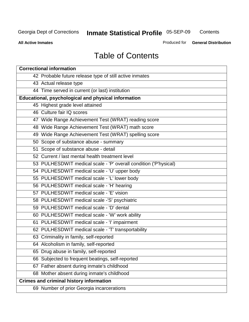**Contents** 

**All Active Inmates**

Produced for **General Distribution**

# Table of Contents

| <b>Correctional information</b>                                  |
|------------------------------------------------------------------|
| 42 Probable future release type of still active inmates          |
| 43 Actual release type                                           |
| 44 Time served in current (or last) institution                  |
| Educational, psychological and physical information              |
| 45 Highest grade level attained                                  |
| 46 Culture fair IQ scores                                        |
| 47 Wide Range Achievement Test (WRAT) reading score              |
| 48 Wide Range Achievement Test (WRAT) math score                 |
| 49 Wide Range Achievement Test (WRAT) spelling score             |
| 50 Scope of substance abuse - summary                            |
| 51 Scope of substance abuse - detail                             |
| 52 Current / last mental health treatment level                  |
| 53 PULHESDWIT medical scale - 'P' overall condition ('P'hysical) |
| 54 PULHESDWIT medical scale - 'U' upper body                     |
| 55 PULHESDWIT medical scale - 'L' lower body                     |
| 56 PULHESDWIT medical scale - 'H' hearing                        |
| 57 PULHESDWIT medical scale - 'E' vision                         |
| 58 PULHESDWIT medical scale -'S' psychiatric                     |
| 59 PULHESDWIT medical scale - 'D' dental                         |
| 60 PULHESDWIT medical scale - 'W' work ability                   |
| 61 PULHESDWIT medical scale - 'I' impairment                     |
| 62 PULHESDWIT medical scale - 'T' transportability               |
| 63 Criminality in family, self-reported                          |
| 64 Alcoholism in family, self-reported                           |
| 65 Drug abuse in family, self-reported                           |
| 66 Subjected to frequent beatings, self-reported                 |
| 67 Father absent during inmate's childhood                       |
| 68 Mother absent during inmate's childhood                       |
| <b>Crimes and criminal history information</b>                   |
| 69 Number of prior Georgia incarcerations                        |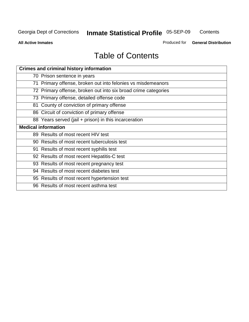**Contents** 

**All Active Inmates**

Produced for **General Distribution**

# Table of Contents

| <b>Crimes and criminal history information</b>                 |
|----------------------------------------------------------------|
| 70 Prison sentence in years                                    |
| 71 Primary offense, broken out into felonies vs misdemeanors   |
| 72 Primary offense, broken out into six broad crime categories |
| 73 Primary offense, detailed offense code                      |
| 81 County of conviction of primary offense                     |
| 86 Circuit of conviction of primary offense                    |
| 88 Years served (jail + prison) in this incarceration          |
| <b>Medical information</b>                                     |
| 89 Results of most recent HIV test                             |
| 90 Results of most recent tuberculosis test                    |
| 91 Results of most recent syphilis test                        |
| 92 Results of most recent Hepatitis-C test                     |
| 93 Results of most recent pregnancy test                       |
| 94 Results of most recent diabetes test                        |
| 95 Results of most recent hypertension test                    |
| 96 Results of most recent asthma test                          |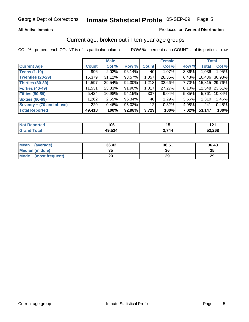#### **All Active Inmates**

#### Produced for **General Distribution**

#### Current age, broken out in ten-year age groups

|                          |              | <b>Male</b> |        |              | <b>Female</b> |          |              | <b>Total</b>  |
|--------------------------|--------------|-------------|--------|--------------|---------------|----------|--------------|---------------|
| <b>Current Age</b>       | <b>Count</b> | Col %       | Row %  | <b>Count</b> | Col %         | Row %    | <b>Total</b> | Col %         |
| <b>Teens (1-19)</b>      | 996          | 2.02%       | 96.14% | 40           | $1.07\%$      | 3.86%    | 1,036        | 1.95%         |
| <b>Twenties (20-29)</b>  | 15,379       | 31.12%      | 93.57% | 1,057        | 28.35%        | $6.43\%$ | 16,436       | 30.93%        |
| <b>Thirties (30-39)</b>  | 14,597       | 29.54%      | 92.30% | 1,218        | 32.66%        | 7.70%    |              | 15,815 29.76% |
| <b>Forties (40-49)</b>   | 11.531       | 23.33%      | 91.90% | 1,017        | 27.27%        | 8.10%    |              | 12,548 23.61% |
| <b>Fifties (50-59)</b>   | 5,424        | 10.98%      | 94.15% | 337          | $9.04\%$      | $5.85\%$ | 5,761        | 10.84%        |
| <b>Sixties (60-69)</b>   | 1,262        | 2.55%       | 96.34% | 48           | 1.29%         | 3.66%    | 1,310        | 2.46%         |
| Seventy + (70 and above) | 229          | $0.46\%$    | 95.02% | 12           | 0.32%         | 4.98%    | 241          | 0.45%         |
| <b>Total Reported</b>    | 49,418       | 100%        | 92.98% | 3,729        | 100%          | 7.02%    | 53,147       | 100%          |

| <b>Not Reported</b> | 106    | ں ו   | 194<br>14 I |
|---------------------|--------|-------|-------------|
| Total<br>Grand      | 49,524 | 3,744 | 53,268      |

| <b>Mean</b><br>(average) | 36.42     | 36.51 | 36.43 |
|--------------------------|-----------|-------|-------|
| Median (middle)          | 25<br>JJ. | 36    | 35    |
| Mode<br>(most frequent)  | 29        | 29    | 29    |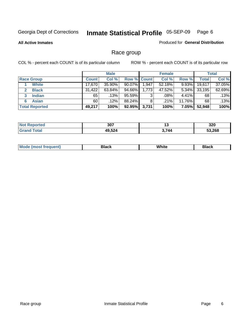**All Active Inmates**

#### Produced for **General Distribution**

### Race group

|                       |              | <b>Male</b> |                    |       | <b>Female</b> |          |        | <b>Total</b> |
|-----------------------|--------------|-------------|--------------------|-------|---------------|----------|--------|--------------|
| <b>Race Group</b>     | <b>Count</b> | Col %       | <b>Row % Count</b> |       | Col %         | Row %    | Total  | Col %        |
| <b>White</b>          | 17,670       | 35.90%      | 90.07%             | 1,947 | 52.18%        | 9.93%    | 19,617 | 37.05%       |
| <b>Black</b>          | 31,422       | 63.84%      | 94.66%             | 1,773 | 47.52%        | $5.34\%$ | 33,195 | 62.69%       |
| <b>Indian</b><br>3    | 65           | .13%        | 95.59%             | 3     | .08%          | 4.41%    | 68     | .13%         |
| <b>Asian</b>          | 60           | $.12\%$     | 88.24%             | 8     | .21%          | 11.76%   | 68     | .13%         |
| <b>Total Reported</b> | 49,217       | 100%        | 92.95%             | 3,731 | 100%          | $7.05\%$ | 52,948 | 100%         |

| 307    | .,    | חרכ<br>JZU |
|--------|-------|------------|
| 10 521 | 3 744 | 53.268     |

|  | $Mc$ | Black | White<br>$ -$ | 21904<br>DIACK |
|--|------|-------|---------------|----------------|
|--|------|-------|---------------|----------------|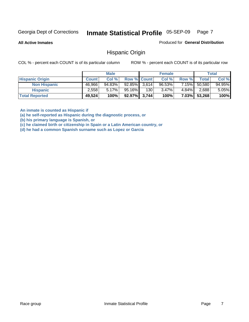**All Active Inmates**

Produced for **General Distribution**

#### Hispanic Origin

COL % - percent each COUNT is of its particular column ROW % - percent each COUNT is of its particular row

|                        |              | <b>Male</b> |                    |     | <b>Female</b> |          |        | <b>Total</b> |
|------------------------|--------------|-------------|--------------------|-----|---------------|----------|--------|--------------|
| <b>Hispanic Origin</b> | <b>Count</b> | Col %       | <b>Row % Count</b> |     | Col %         | Row %    | Total  | Col %        |
| <b>Non Hispanic</b>    | 46,966       | 94.83%      | $92.85\%$ 3,614    |     | 96.53%        | 7.15%    | 50,580 | 94.95%       |
| <b>Hispanic</b>        | 2.558        | $5.17\%$    | 95.16%             | 130 | 3.47%         | $4.84\%$ | 2,688  | 5.05%        |
| <b>Total Reported</b>  | 49,524       | 100%        | $92.97\%$ 3,744    |     | 100%          | $7.03\%$ | 53,268 | 100%         |

**An inmate is counted as Hispanic if** 

**(a) he self-reported as Hispanic during the diagnostic process, or** 

**(b) his primary language is Spanish, or** 

**(c) he claimed birth or citizenship in Spain or a Latin American country, or** 

**(d) he had a common Spanish surname such as Lopez or Garcia**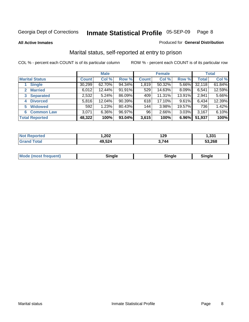**All Active Inmates**

#### Produced for **General Distribution**

### Marital status, self-reported at entry to prison

|                                | <b>Male</b>  |        |        | <b>Female</b> |        |        | <b>Total</b> |        |
|--------------------------------|--------------|--------|--------|---------------|--------|--------|--------------|--------|
| <b>Marital Status</b>          | <b>Count</b> | Col %  | Row %  | <b>Count</b>  | Col %  | Row %  | <b>Total</b> | Col %  |
| <b>Single</b>                  | 30,299       | 62.70% | 94.34% | 1,819         | 50.32% | 5.66%  | 32,118       | 61.84% |
| <b>Married</b><br>$\mathbf{2}$ | 6,012        | 12.44% | 91.91% | 529           | 14.63% | 8.09%  | 6,541        | 12.59% |
| <b>Separated</b><br>3          | 2,532        | 5.24%  | 86.09% | 409           | 11.31% | 13.91% | 2,941        | 5.66%  |
| <b>Divorced</b><br>4           | 5,816        | 12.04% | 90.39% | 618           | 17.10% | 9.61%  | 6,434        | 12.39% |
| <b>Widowed</b><br>5            | 592          | 1.23%  | 80.43% | 144           | 3.98%  | 19.57% | 736          | 1.42%  |
| <b>Common Law</b><br>6.        | 3,071        | 6.36%  | 96.97% | 96            | 2.66%  | 3.03%  | 3,167        | 6.10%  |
| <b>Total Reported</b>          | 48,322       | 100%   | 93.04% | 3,615         | 100%   | 6.96%  | 51,937       | 100%   |

| ,202 | 129        | 0.24   |
|------|------------|--------|
| 521  | . .<br>44' | 53.268 |

|  | Mode (most f<br>freauent) | `ınale |  | `inale |
|--|---------------------------|--------|--|--------|
|--|---------------------------|--------|--|--------|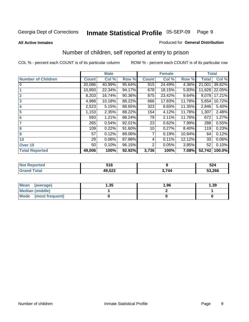#### **All Active Inmates**

#### Produced for **General Distribution**

### Number of children, self reported at entry to prison

|                           | <b>Male</b>  |        |        |              | <b>Female</b> |        | <b>Total</b> |        |
|---------------------------|--------------|--------|--------|--------------|---------------|--------|--------------|--------|
| <b>Number of Children</b> | <b>Count</b> | Col %  | Row %  | <b>Count</b> | Col %         | Row %  | <b>Total</b> | Col %  |
| $\bf{0}$                  | 20,086       | 40.99% | 95.64% | 915          | 24.49%        | 4.36%  | 21,001       | 39.82% |
|                           | 10,950       | 22.34% | 94.17% | 678          | 18.15%        | 5.83%  | 11,628       | 22.05% |
| $\overline{2}$            | 8,203        | 16.74% | 90.36% | 875          | 23.42%        | 9.64%  | 9,078        | 17.21% |
| 3                         | 4,988        | 10.18% | 88.22% | 666          | 17.83%        | 11.78% | 5,654        | 10.72% |
| 4                         | 2,523        | 5.15%  | 88.65% | 323          | 8.65%         | 11.35% | 2,846        | 5.40%  |
| 5                         | 1,153        | 2.35%  | 88.22% | 154          | 4.12%         | 11.78% | 1,307        | 2.48%  |
| $6\phantom{a}$            | 593          | 1.21%  | 88.24% | 79           | 2.11%         | 11.76% | 672          | 1.27%  |
| 7                         | 265          | 0.54%  | 92.01% | 23           | 0.62%         | 7.99%  | 288          | 0.55%  |
| 8                         | 109          | 0.22%  | 91.60% | 10           | 0.27%         | 8.40%  | 119          | 0.23%  |
| 9                         | 57           | 0.12%  | 89.06% | 7            | 0.19%         | 10.94% | 64           | 0.12%  |
| 10                        | 29           | 0.06%  | 87.88% | 4            | 0.11%         | 12.12% | 33           | 0.06%  |
| Over 10                   | 50           | 0.10%  | 96.15% | 2            | 0.05%         | 3.85%  | 52           | 0.10%  |
| <b>Total Reported</b>     | 49,006       | 100%   | 92.92% | 3,736        | 100%          | 7.08%  | 52,742       | 100.0% |

| CAC <sup>-</sup><br>v I v |     | cn 1<br>JZ4 |
|---------------------------|-----|-------------|
| 10E00<br>⋯∽∸<br>__        | 744 | 53,266      |

| Mean<br>(average)              | .35 | 1.96 | 39. ا |
|--------------------------------|-----|------|-------|
| <b>Median (middle)</b>         |     |      |       |
| <b>Mode</b><br>(most frequent) |     |      |       |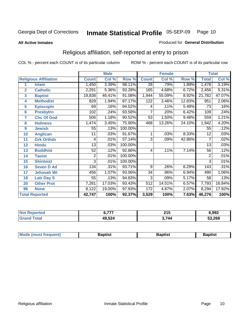#### **All Active Inmates**

#### Produced for **General Distribution**

### Religious affiliation, self-reported at entry to prison

|                  |                              |                | <b>Male</b> |         | <b>Female</b>   |        |        | <b>Total</b>    |        |  |
|------------------|------------------------------|----------------|-------------|---------|-----------------|--------|--------|-----------------|--------|--|
|                  | <b>Religious Affiliation</b> | <b>Count</b>   | Col %       | Row %   | <b>Count</b>    | Col %  | Row %  | <b>Total</b>    | Col %  |  |
| 1                | <b>Islam</b>                 | 1,450          | 3.39%       | 98.11%  | $\overline{28}$ | .79%   | 1.89%  | 1,478           | 3.19%  |  |
| $\overline{2}$   | <b>Catholic</b>              | 2,291          | 5.36%       | 93.28%  | 165             | 4.68%  | 6.72%  | 2,456           | 5.31%  |  |
| 3                | <b>Baptist</b>               | 19,838         | 46.41%      | 91.08%  | 1,944           | 55.09% | 8.92%  | 21,782          | 47.07% |  |
| 4                | <b>Methodist</b>             | 829            | 1.94%       | 87.17%  | 122             | 3.46%  | 12.83% | 951             | 2.06%  |  |
| 5                | <b>EpiscopIn</b>             | 69             | .16%        | 94.52%  | 4               | .11%   | 5.48%  | 73              | .16%   |  |
| 6                | <b>Presbytrn</b>             | 102            | .24%        | 93.58%  | 7               | .20%   | 6.42%  | 109             | .24%   |  |
| 7                | <b>Chc Of God</b>            | 506            | 1.18%       | 90.52%  | 53              | 1.50%  | 9.48%  | 559             | 1.21%  |  |
| 8                | <b>Holiness</b>              | 1,474          | 3.45%       | 75.90%  | 468             | 13.26% | 24.10% | 1,942           | 4.20%  |  |
| $\boldsymbol{9}$ | <b>Jewish</b>                | 55             | .13%        | 100.00% |                 |        |        | 55              | .12%   |  |
| 10               | <b>Anglican</b>              | 11             | .03%        | 91.67%  |                 | .03%   | 8.33%  | $\overline{12}$ | .03%   |  |
| 11               | <b>Grk Orthdx</b>            | 4              | .01%        | 57.14%  | 3               | .09%   | 42.86% | 7               | .02%   |  |
| 12               | <b>Hindu</b>                 | 13             | .03%        | 100.00% |                 |        |        | 13              | .03%   |  |
| 13               | <b>Buddhist</b>              | 52             | .12%        | 92.86%  | 4               | .11%   | 7.14%  | 56              | .12%   |  |
| 14               | <b>Taoist</b>                | $\overline{2}$ | .01%        | 100.00% |                 |        |        | $\overline{2}$  | .01%   |  |
| 15               | <b>Shintoist</b>             | 3              | .01%        | 100.00% |                 |        |        | 3               | .01%   |  |
| 16               | <b>Seven D Ad</b>            | 134            | .31%        | 93.71%  | 9               | .26%   | 6.29%  | 143             | .31%   |  |
| 17               | <b>Jehovah Wt</b>            | 456            | 1.07%       | 93.06%  | 34              | .96%   | 6.94%  | 490             | 1.06%  |  |
| 18               | <b>Latr Day S</b>            | 55             | .13%        | 94.83%  | $\overline{3}$  | .09%   | 5.17%  | 58              | .13%   |  |
| 20               | <b>Other Prot</b>            | 7,281          | 17.03%      | 93.43%  | 512             | 14.51% | 6.57%  | 7,793           | 16.84% |  |
| 96               | <b>None</b>                  | 8,122          | 19.00%      | 97.93%  | 172             | 4.87%  | 2.07%  | 8,294           | 17.92% |  |
|                  | <b>Total Reported</b>        | 42,747         | 100%        | 92.37%  | 3,529           | 100%   | 7.63%  | 46,276          | 100%   |  |

| тес | ---    | <b>OAL</b><br>2 I J<br>____ | 6,992  |  |
|-----|--------|-----------------------------|--------|--|
|     | 49,524 | .744                        | 53,268 |  |

|  | <b>Mode</b><br>reduent)<br>ns | ำotist | 3aptist | Baptıst |
|--|-------------------------------|--------|---------|---------|
|--|-------------------------------|--------|---------|---------|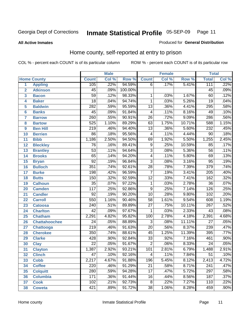#### **All Active Inmates**

#### Produced for **General Distribution**

### Home county, self-reported at entry to prison

|                 |                      |                  | <b>Male</b> |         |                 | <b>Female</b> |        | <b>Total</b>     |       |
|-----------------|----------------------|------------------|-------------|---------|-----------------|---------------|--------|------------------|-------|
|                 | <b>Home County</b>   | <b>Count</b>     | Col %       | Row %   | <b>Count</b>    | Col %         | Row %  | <b>Total</b>     | Col % |
| 1               | <b>Appling</b>       | 105              | .22%        | 94.59%  | 6               | .17%          | 5.41%  | 111              | .22%  |
| $\overline{2}$  | <b>Atkinson</b>      | $\overline{45}$  | .09%        | 100.00% |                 |               |        | $\overline{45}$  | .09%  |
| 3               | <b>Bacon</b>         | $\overline{59}$  | .12%        | 98.33%  | 1               | .03%          | 1.67%  | 60               | .12%  |
| 4               | <b>Baker</b>         | $\overline{18}$  | .04%        | 94.74%  | $\mathbf{1}$    | .03%          | 5.26%  | 19               | .04%  |
| 5               | <b>Baldwin</b>       | 282              | .59%        | 95.59%  | $\overline{13}$ | .36%          | 4.41%  | 295              | .58%  |
| $6\phantom{a}$  | <b>Banks</b>         | $\overline{45}$  | .09%        | 91.84%  | 4               | .11%          | 8.16%  | 49               | .10%  |
| $\overline{7}$  | <b>Barrow</b>        | 260              | .55%        | 90.91%  | $\overline{26}$ | .72%          | 9.09%  | 286              | .56%  |
| 8               | <b>Bartow</b>        | $\overline{525}$ | 1.10%       | 89.29%  | 63              | 1.75%         | 10.71% | 588              | 1.15% |
| 9               | <b>Ben Hill</b>      | $\overline{219}$ | .46%        | 94.40%  | $\overline{13}$ | .36%          | 5.60%  | 232              | .45%  |
| 10              | <b>Berrien</b>       | $\overline{86}$  | .18%        | 95.56%  | 4               | .11%          | 4.44%  | $\overline{90}$  | .18%  |
| 11              | <b>Bibb</b>          | 1,186            | 2.50%       | 94.50%  | 69              | 1.92%         | 5.50%  | 1,255            | 2.45% |
| 12              | <b>Bleckley</b>      | $\overline{76}$  | .16%        | 89.41%  | $\overline{9}$  | .25%          | 10.59% | $\overline{85}$  | .17%  |
| $\overline{13}$ | <b>Brantley</b>      | $\overline{53}$  | .11%        | 94.64%  | $\overline{3}$  | .08%          | 5.36%  | 56               | .11%  |
| $\overline{14}$ | <b>Brooks</b>        | $\overline{65}$  | .14%        | 94.20%  | $\overline{4}$  | .11%          | 5.80%  | $\overline{69}$  | .13%  |
| 15              | <b>Bryan</b>         | $\overline{92}$  | .19%        | 96.84%  | $\overline{3}$  | .08%          | 3.16%  | $\overline{95}$  | .19%  |
| 16              | <b>Bulloch</b>       | 351              | .74%        | 92.61%  | $\overline{28}$ | .78%          | 7.39%  | $\overline{379}$ | .74%  |
| $\overline{17}$ | <b>Burke</b>         | 198              | .42%        | 96.59%  | $\overline{7}$  | .19%          | 3.41%  | $\overline{205}$ | .40%  |
| 18              | <b>Butts</b>         | 150              | .32%        | 92.59%  | $\overline{12}$ | .33%          | 7.41%  | 162              | .32%  |
| 19              | <b>Calhoun</b>       | $\overline{35}$  | .07%        | 97.22%  | $\mathbf{1}$    | .03%          | 2.78%  | $\overline{36}$  | .07%  |
| 20              | <b>Camden</b>        | $\overline{117}$ | .25%        | 92.86%  | $\overline{9}$  | .25%          | 7.14%  | 126              | .25%  |
| 21              | <b>Candler</b>       | $\overline{92}$  | .19%        | 90.20%  | $\overline{10}$ | .28%          | 9.80%  | 102              | .20%  |
| $\overline{22}$ | <b>Carroll</b>       | $\overline{550}$ | 1.16%       | 90.46%  | $\overline{58}$ | 1.61%         | 9.54%  | 608              | 1.19% |
| 23              | <b>Catoosa</b>       | 240              | .51%        | 89.89%  | $\overline{27}$ | .75%          | 10.11% | $\overline{267}$ | .52%  |
| 24              | <b>Charlton</b>      | $\overline{42}$  | .09%        | 97.67%  | $\mathbf{1}$    | .03%          | 2.33%  | $\overline{43}$  | .08%  |
| 25              | <b>Chatham</b>       | 2,291            | 4.82%       | 95.82%  | 100             | 2.78%         | 4.18%  | 2,391            | 4.68% |
| 26              | <b>Chattahoochee</b> | $\overline{24}$  | .05%        | 88.89%  | 3               | .08%          | 11.11% | $\overline{27}$  | .05%  |
| 27              | <b>Chattooga</b>     | $\overline{219}$ | .46%        | 91.63%  | $\overline{20}$ | .56%          | 8.37%  | 239              | .47%  |
| 28              | <b>Cherokee</b>      | 350              | .74%        | 88.61%  | $\overline{45}$ | 1.25%         | 11.39% | 395              | .77%  |
| 29              | <b>Clarke</b>        | $\overline{428}$ | .90%        | 92.84%  | $\overline{33}$ | .92%          | 7.16%  | 461              | .90%  |
| 30              | <b>Clay</b>          | $\overline{22}$  | .05%        | 91.67%  | $\overline{2}$  | .06%          | 8.33%  | $\overline{24}$  | .05%  |
| $\overline{31}$ | <b>Clayton</b>       | 1,387            | 2.92%       | 93.21%  | 101             | 2.81%         | 6.79%  | 1,488            | 2.91% |
| 32              | <b>Clinch</b>        | 47               | .10%        | 92.16%  | 4               | .11%          | 7.84%  | 51               | .10%  |
| 33              | <b>Cobb</b>          | 2,217            | 4.67%       | 91.88%  | 196             | 5.45%         | 8.12%  | 2,413            | 4.72% |
| 34              | <b>Coffee</b>        | $\overline{220}$ | .46%        | 91.29%  | $\overline{21}$ | .58%          | 8.71%  | $\overline{241}$ | .47%  |
| 35              | <b>Colquitt</b>      | $\overline{280}$ | .59%        | 94.28%  | $\overline{17}$ | .47%          | 5.72%  | $\overline{297}$ | .58%  |
| 36              | <b>Columbia</b>      | 171              | .36%        | 91.44%  | 16              | .44%          | 8.56%  | 187              | .37%  |
| 37              | <b>Cook</b>          | 102              | .21%        | 92.73%  | $\overline{8}$  | .22%          | 7.27%  | 110              | .22%  |
| 38              | <b>Coweta</b>        | 421              | .89%        | 91.72%  | $\overline{38}$ | 1.06%         | 8.28%  | 459              | .90%  |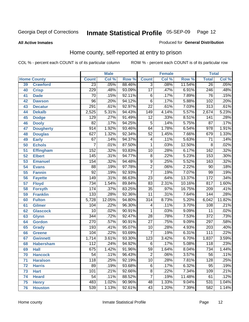**All Active Inmates**

#### Produced for **General Distribution**

### Home county, self-reported at entry to prison

|                 |                    |                  | <b>Male</b> |                  |                  | <b>Female</b> |        | <b>Total</b>     |                            |
|-----------------|--------------------|------------------|-------------|------------------|------------------|---------------|--------|------------------|----------------------------|
|                 | <b>Home County</b> | <b>Count</b>     | Col %       | Row <sup>%</sup> | <b>Count</b>     | Col %         | Row %  | <b>Total</b>     | $\overline{\text{Col }^9}$ |
| 39              | <b>Crawford</b>    | $\overline{23}$  | .05%        | 88.46%           | $\overline{3}$   | .08%          | 11.54% | 26               | .05%                       |
| 40              | <b>Crisp</b>       | 229              | .48%        | 93.09%           | $\overline{17}$  | .47%          | 6.91%  | $\overline{246}$ | .48%                       |
| 41              | <b>Dade</b>        | 70               | .15%        | 92.11%           | $\overline{6}$   | .17%          | 7.89%  | $\overline{76}$  | .15%                       |
| 42              | <b>Dawson</b>      | $\overline{96}$  | .20%        | 94.12%           | $\overline{6}$   | .17%          | 5.88%  | 102              | .20%                       |
| 43              | <b>Decatur</b>     | $\overline{291}$ | .61%        | 92.97%           | $\overline{22}$  | .61%          | 7.03%  | $\overline{313}$ | .61%                       |
| 44              | <b>Dekalb</b>      | 2,525            | 5.31%       | 94.43%           | $\overline{149}$ | 4.14%         | 5.57%  | 2,674            | 5.23%                      |
| 45              | <b>Dodge</b>       | 129              | .27%        | 91.49%           | $\overline{12}$  | .33%          | 8.51%  | 141              | .28%                       |
| 46              | <b>Dooly</b>       | $\overline{82}$  | .17%        | 94.25%           | $\overline{5}$   | .14%          | 5.75%  | $\overline{87}$  | .17%                       |
| 47              | <b>Dougherty</b>   | $\overline{914}$ | 1.92%       | 93.46%           | 64               | 1.78%         | 6.54%  | $\overline{978}$ | 1.91%                      |
| 48              | <b>Douglas</b>     | 627              | 1.32%       | 92.34%           | $\overline{52}$  | 1.45%         | 7.66%  | 679              | 1.33%                      |
| 49              | <b>Early</b>       | 67               | .14%        | 94.37%           | 4                | .11%          | 5.63%  | $\overline{71}$  | .14%                       |
| 50              | <b>Echols</b>      | 7                | .01%        | 87.50%           | 1                | .03%          | 12.50% | 8                | .02%                       |
| $\overline{51}$ | <b>Effingham</b>   | 152              | .32%        | 93.83%           | $\overline{10}$  | .28%          | 6.17%  | 162              | .32%                       |
| 52              | <b>Elbert</b>      | 145              | .31%        | 94.77%           | $\overline{8}$   | .22%          | 5.23%  | 153              | .30%                       |
| 53              | <b>Emanuel</b>     | 154              | .32%        | 94.48%           | $\overline{9}$   | .25%          | 5.52%  | 163              | .32%                       |
| 54              | <b>Evans</b>       | $\overline{88}$  | .19%        | 97.78%           | $\overline{2}$   | .06%          | 2.22%  | 90               | .18%                       |
| 55              | <b>Fannin</b>      | $\overline{92}$  | .19%        | 92.93%           | $\overline{7}$   | .19%          | 7.07%  | 99               | .19%                       |
| 56              | <b>Fayette</b>     | 149              | .31%        | 86.63%           | $\overline{23}$  | .64%          | 13.37% | 172              | .34%                       |
| 57              | <b>Floyd</b>       | $\overline{734}$ | 1.54%       | 89.84%           | 83               | 2.31%         | 10.16% | 817              | 1.60%                      |
| 58              | <b>Forsyth</b>     | 174              | .37%        | 83.25%           | $\overline{35}$  | .97%          | 16.75% | $\overline{209}$ | .41%                       |
| 59              | <b>Franklin</b>    | 133              | .28%        | 92.36%           | $\overline{11}$  | .31%          | 7.64%  | 144              | .28%                       |
| 60              | <b>Fulton</b>      | 5,728            | 12.05%      | 94.80%           | $\overline{314}$ | 8.73%         | 5.20%  | 6,042            | 11.82%                     |
| 61              | Gilmer             | 104              | .22%        | 96.30%           | 4                | .11%          | 3.70%  | 108              | .21%                       |
| 62              | <b>Glascock</b>    | $\overline{10}$  | .02%        | 90.91%           | 1                | .03%          | 9.09%  | $\overline{11}$  | .02%                       |
| 63              | <b>Glynn</b>       | $\overline{344}$ | .72%        | 92.47%           | $\overline{28}$  | .78%          | 7.53%  | $\overline{372}$ | .73%                       |
| 64              | <b>Gordon</b>      | 270              | .57%        | 90.91%           | $\overline{27}$  | .75%          | 9.09%  | 297              | .58%                       |
| 65              | <b>Grady</b>       | 193              | .41%        | 95.07%           | $\overline{10}$  | .28%          | 4.93%  | $\overline{203}$ | .40%                       |
| 66              | <b>Greene</b>      | 104              | .22%        | 93.69%           | $\overline{7}$   | .19%          | 6.31%  | 111              | .22%                       |
| 67              | <b>Gwinnett</b>    | 1,714            | 3.61%       | 93.30%           | $\overline{123}$ | 3.42%         | 6.70%  | 1,837            | 3.59%                      |
| 68              | <b>Habersham</b>   | 112              | .24%        | 94.92%           | 6                | .17%          | 5.08%  | 118              | .23%                       |
| 69              | <b>Hall</b>        | 675              | 1.42%       | 91.96%           | $\overline{59}$  | 1.64%         | 8.04%  | 734              | 1.44%                      |
| 70              | <b>Hancock</b>     | 54               | .11%        | 96.43%           | 2                | .06%          | 3.57%  | 56               | .11%                       |
| 71              | <b>Haralson</b>    | $\overline{118}$ | .25%        | 92.19%           | $\overline{10}$  | .28%          | 7.81%  | 128              | .25%                       |
| 72              | <b>Harris</b>      | 89               | .19%        | 93.68%           | 6                | .17%          | 6.32%  | $\overline{95}$  | .19%                       |
| 73              | <b>Hart</b>        | 101              | .21%        | 92.66%           | $\overline{8}$   | .22%          | 7.34%  | 109              | .21%                       |
| 74              | <b>Heard</b>       | 54               | .11%        | 88.52%           | $\overline{7}$   | .19%          | 11.48% | 61               | .12%                       |
| 75              | <b>Henry</b>       | 483              | 1.02%       | 90.96%           | 48               | 1.33%         | 9.04%  | 531              | 1.04%                      |
| 76              | <b>Houston</b>     | 539              | 1.13%       | 92.61%           | $\overline{43}$  | 1.20%         | 7.39%  | 582              | 1.14%                      |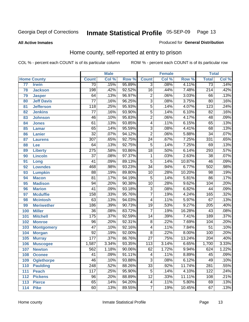#### **All Active Inmates**

#### Produced for **General Distribution**

### Home county, self-reported at entry to prison

|                 |                    |                  | <b>Male</b> |        |                           | <b>Female</b> |        | <b>Total</b>     |       |
|-----------------|--------------------|------------------|-------------|--------|---------------------------|---------------|--------|------------------|-------|
|                 | <b>Home County</b> | <b>Count</b>     | Col %       | Row %  | <b>Count</b>              | Col %         | Row %  | <b>Total</b>     | Col % |
| $\overline{77}$ | <b>Irwin</b>       | $\overline{70}$  | .15%        | 95.89% | 3                         | .08%          | 4.11%  | $\overline{73}$  | .14%  |
| 78              | <b>Jackson</b>     | 198              | .42%        | 92.52% | $\overline{16}$           | .44%          | 7.48%  | $\overline{214}$ | .42%  |
| 79              | <b>Jasper</b>      | 64               | .13%        | 96.97% | $\overline{2}$            | .06%          | 3.03%  | 66               | .13%  |
| 80              | <b>Jeff Davis</b>  | $\overline{77}$  | .16%        | 96.25% | $\overline{3}$            | .08%          | 3.75%  | $\overline{80}$  | .16%  |
| 81              | <b>Jefferson</b>   | 118              | .25%        | 95.93% | $\overline{5}$            | .14%          | 4.07%  | $\overline{123}$ | .24%  |
| 82              | <b>Jenkins</b>     | $\overline{77}$  | .16%        | 93.90% | $\overline{5}$            | .14%          | 6.10%  | $\overline{82}$  | .16%  |
| 83              | <b>Johnson</b>     | $\overline{46}$  | .10%        | 95.83% | $\overline{2}$            | .06%          | 4.17%  | $\overline{48}$  | .09%  |
| 84              | <b>Jones</b>       | 61               | .13%        | 93.85% | $\overline{4}$            | .11%          | 6.15%  | 65               | .13%  |
| 85              | <b>Lamar</b>       | 65               | .14%        | 95.59% | $\overline{3}$            | .08%          | 4.41%  | 68               | .13%  |
| 86              | <b>Lanier</b>      | $\overline{32}$  | .07%        | 94.12% | $\overline{2}$            | .06%          | 5.88%  | $\overline{34}$  | .07%  |
| 87              | <b>Laurens</b>     | $\overline{307}$ | .65%        | 92.75% | $\overline{24}$           | .67%          | 7.25%  | 331              | .65%  |
| 88              | Lee                | 64               | .13%        | 92.75% | $\overline{5}$            | .14%          | 7.25%  | 69               | .13%  |
| 89              | <b>Liberty</b>     | $\overline{275}$ | .58%        | 93.86% | $\overline{18}$           | .50%          | 6.14%  | 293              | .57%  |
| 90              | <b>Lincoln</b>     | $\overline{37}$  | .08%        | 97.37% | $\mathbf{1}$              | .03%          | 2.63%  | $\overline{38}$  | .07%  |
| 91              | Long               | $\overline{41}$  | .09%        | 89.13% | $\overline{5}$            | .14%          | 10.87% | 46               | .09%  |
| 92              | <b>Lowndes</b>     | 468              | .98%        | 93.23% | $\overline{34}$           | .94%          | 6.77%  | 502              | .98%  |
| 93              | <b>Lumpkin</b>     | $\overline{88}$  | .19%        | 89.80% | $\overline{10}$           | .28%          | 10.20% | 98               | .19%  |
| 94              | <b>Macon</b>       | $\overline{81}$  | .17%        | 94.19% | $\overline{5}$            | .14%          | 5.81%  | $\overline{86}$  | .17%  |
| 95              | <b>Madison</b>     | $\overline{94}$  | .20%        | 90.38% | $\overline{10}$           | .28%          | 9.62%  | 104              | .20%  |
| 96              | <b>Marion</b>      | $\overline{41}$  | .09%        | 93.18% | $\overline{3}$            | .08%          | 6.82%  | 44               | .09%  |
| 97              | <b>Mcduffie</b>    | 158              | .33%        | 95.76% | $\overline{7}$            | .19%          | 4.24%  | 165              | .32%  |
| 98              | <b>Mcintosh</b>    | $\overline{63}$  | .13%        | 94.03% | $\overline{4}$            | .11%          | 5.97%  | 67               | .13%  |
| 99              | <b>Meriwether</b>  | 186              | .39%        | 90.73% | $\overline{19}$           | .53%          | 9.27%  | $\overline{205}$ | .40%  |
| 100             | <b>Miller</b>      | $\overline{36}$  | .08%        | 83.72% | $\overline{7}$            | .19%          | 16.28% | 43               | .08%  |
| 101             | <b>Mitchell</b>    | 175              | .37%        | 92.59% | $\overline{14}$           | .39%          | 7.41%  | 189              | .37%  |
| 102             | <b>Monroe</b>      | $\overline{96}$  | .20%        | 92.31% | $\overline{8}$            | .22%          | 7.69%  | 104              | .20%  |
| 103             | <b>Montgomery</b>  | $\overline{47}$  | .10%        | 92.16% | $\overline{4}$            | .11%          | 7.84%  | 51               | .10%  |
| 104             | <b>Morgan</b>      | $\overline{92}$  | .19%        | 92.00% | $\overline{8}$            | .22%          | 8.00%  | 100              | .20%  |
| 105             | <b>Murray</b>      | $\overline{177}$ | .37%        | 86.76% | $\overline{27}$           | .75%          | 13.24% | $\overline{204}$ | .40%  |
| 106             | <b>Muscogee</b>    | 1,587            | 3.34%       | 93.35% | $\overline{113}$          | 3.14%         | 6.65%  | 1,700            | 3.33% |
| 107             | <b>Newton</b>      | 562              | 1.18%       | 90.06% | 62                        | 1.72%         | 9.94%  | 624              | 1.22% |
| 108             | <b>Oconee</b>      | $\overline{41}$  | .09%        | 91.11% | $\overline{\mathcal{A}}$  | .11%          | 8.89%  | $\overline{45}$  | .09%  |
| 109             | <b>Oglethorpe</b>  | $\overline{46}$  | .10%        | 93.88% | $\overline{\overline{3}}$ | .08%          | 6.12%  | 49               | .10%  |
| 110             | <b>Paulding</b>    | $\overline{248}$ | .52%        | 88.26% | $\overline{33}$           | .92%          | 11.74% | 281              | .55%  |
| 111             | <b>Peach</b>       | 117              | .25%        | 95.90% | $\overline{5}$            | .14%          | 4.10%  | 122              | .24%  |
| 112             | <b>Pickens</b>     | 96               | .20%        | 88.89% | $\overline{12}$           | .33%          | 11.11% | 108              | .21%  |
| 113             | <b>Pierce</b>      | 65               | .14%        | 94.20% | 4                         | .11%          | 5.80%  | 69               | .13%  |
| 114             | <b>Pike</b>        | 60               | .13%        | 89.55% | $\overline{7}$            | .19%          | 10.45% | 67               | .13%  |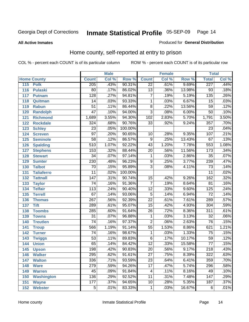#### **All Active Inmates**

#### Produced for **General Distribution**

### Home county, self-reported at entry to prison

|     |                    |                  | <b>Male</b> |         |                 | <b>Female</b> |        | <b>Total</b>     |       |
|-----|--------------------|------------------|-------------|---------|-----------------|---------------|--------|------------------|-------|
|     | <b>Home County</b> | <b>Count</b>     | Col %       | Row %   | <b>Count</b>    | Col %         | Row %  | <b>Total</b>     | Col % |
| 115 | <b>Polk</b>        | 205              | .43%        | 90.31%  | $\overline{22}$ | .61%          | 9.69%  | 227              | .44%  |
| 116 | <b>Pulaski</b>     | $\overline{80}$  | .17%        | 86.02%  | $\overline{13}$ | .36%          | 13.98% | $\overline{93}$  | .18%  |
| 117 | <b>Putnam</b>      | $\overline{128}$ | .27%        | 94.81%  | 7               | .19%          | 5.19%  | $\overline{135}$ | .26%  |
| 118 | Quitman            | $\overline{14}$  | .03%        | 93.33%  | $\mathbf{1}$    | .03%          | 6.67%  | $\overline{15}$  | .03%  |
| 119 | <b>Rabun</b>       | $\overline{51}$  | .11%        | 86.44%  | $\overline{8}$  | .22%          | 13.56% | 59               | .12%  |
| 120 | <b>Randolph</b>    | $\overline{47}$  | .10%        | 94.00%  | $\overline{3}$  | .08%          | 6.00%  | $\overline{50}$  | .10%  |
| 121 | <b>Richmond</b>    | 1,689            | 3.55%       | 94.30%  | 102             | 2.83%         | 5.70%  | 1,791            | 3.50% |
| 122 | <b>Rockdale</b>    | 324              | .68%        | 90.76%  | $\overline{33}$ | .92%          | 9.24%  | 357              | .70%  |
| 123 | <b>Schley</b>      | $\overline{23}$  | .05%        | 100.00% |                 |               |        | $\overline{23}$  | .04%  |
| 124 | <b>Screven</b>     | $\overline{97}$  | .20%        | 90.65%  | 10              | .28%          | 9.35%  | 107              | .21%  |
| 125 | <b>Seminole</b>    | $\overline{58}$  | .12%        | 86.57%  | 9               | .25%          | 13.43% | 67               | .13%  |
| 126 | <b>Spalding</b>    | $\overline{510}$ | 1.07%       | 92.22%  | 43              | 1.20%         | 7.78%  | 553              | 1.08% |
| 127 | <b>Stephens</b>    | 153              | .32%        | 88.44%  | $\overline{20}$ | .56%          | 11.56% | 173              | .34%  |
| 128 | <b>Stewart</b>     | $\overline{34}$  | .07%        | 97.14%  | 1               | .03%          | 2.86%  | $\overline{35}$  | .07%  |
| 129 | <b>Sumter</b>      | 230              | .48%        | 96.23%  | $\overline{9}$  | .25%          | 3.77%  | 239              | .47%  |
| 130 | <b>Talbot</b>      | $\overline{70}$  | .15%        | 95.89%  | $\overline{3}$  | .08%          | 4.11%  | $\overline{73}$  | .14%  |
| 131 | <b>Taliaferro</b>  | $\overline{11}$  | .02%        | 100.00% |                 |               |        | $\overline{11}$  | .02%  |
| 132 | <b>Tattnall</b>    | $\overline{147}$ | .31%        | 90.74%  | $\overline{15}$ | .42%          | 9.26%  | 162              | .32%  |
| 133 | <b>Taylor</b>      | $\overline{74}$  | .16%        | 91.36%  | $\overline{7}$  | .19%          | 8.64%  | $\overline{81}$  | .16%  |
| 134 | <b>Telfair</b>     | 113              | .24%        | 90.40%  | $\overline{12}$ | .33%          | 9.60%  | 125              | .24%  |
| 135 | <b>Terrell</b>     | 67               | .14%        | 93.06%  | $\overline{5}$  | .14%          | 6.94%  | 72               | .14%  |
| 136 | <b>Thomas</b>      | $\overline{267}$ | .56%        | 92.39%  | $\overline{22}$ | .61%          | 7.61%  | 289              | .57%  |
| 137 | <b>Tift</b>        | 289              | .61%        | 95.07%  | $\overline{15}$ | .42%          | 4.93%  | 304              | .59%  |
| 138 | <b>Toombs</b>      | 285              | .60%        | 91.64%  | $\overline{26}$ | .72%          | 8.36%  | 311              | .61%  |
| 139 | <b>Towns</b>       | $\overline{31}$  | .07%        | 96.88%  | 1               | .03%          | 3.13%  | 32               | .06%  |
| 140 | <b>Treutlen</b>    | $\overline{74}$  | .16%        | 97.37%  | $\overline{2}$  | .06%          | 2.63%  | 76               | .15%  |
| 141 | <b>Troup</b>       | 566              | 1.19%       | 91.14%  | $\overline{55}$ | 1.53%         | 8.86%  | 621              | 1.21% |
| 142 | <b>Turner</b>      | $\overline{74}$  | .16%        | 98.67%  | $\mathbf{1}$    | .03%          | 1.33%  | 75               | .15%  |
| 143 | <b>Twiggs</b>      | $\overline{53}$  | .11%        | 89.83%  | $\overline{6}$  | .17%          | 10.17% | 59               | .12%  |
| 144 | <b>Union</b>       | 65               | .14%        | 84.42%  | $\overline{12}$ | .33%          | 15.58% | $\overline{77}$  | .15%  |
| 145 | <b>Upson</b>       | $\overline{198}$ | .42%        | 90.83%  | $\overline{20}$ | .56%          | 9.17%  | 218              | .43%  |
| 146 | <b>Walker</b>      | 295              | .62%        | 91.61%  | $\overline{27}$ | .75%          | 8.39%  | $\overline{322}$ | .63%  |
| 147 | <b>Walton</b>      | 336              | .71%        | 93.59%  | $\overline{23}$ | .64%          | 6.41%  | 359              | .70%  |
| 148 | <b>Ware</b>        | 279              | .59%        | 94.26%  | $\overline{17}$ | .47%          | 5.74%  | 296              | .58%  |
| 149 | <b>Warren</b>      | 45               | .09%        | 91.84%  | 4               | .11%          | 8.16%  | 49               | .10%  |
| 150 | <b>Washington</b>  | 136              | .29%        | 92.52%  | 11              | .31%          | 7.48%  | 147              | .29%  |
| 151 | <b>Wayne</b>       | 177              | .37%        | 94.65%  | 10              | .28%          | 5.35%  | 187              | .37%  |
| 152 | <b>Webster</b>     | $\overline{5}$   | .01%        | 83.33%  | 1               | .03%          | 16.67% | 6                | .01%  |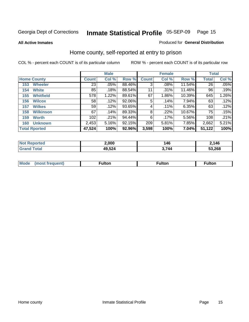**All Active Inmates**

#### Produced for **General Distribution**

### Home county, self-reported at entry to prison

|                    |                      | <b>Male</b>  |       |        |              | <b>Female</b> | <b>Total</b> |              |       |
|--------------------|----------------------|--------------|-------|--------|--------------|---------------|--------------|--------------|-------|
| <b>Home County</b> |                      | <b>Count</b> | Col % | Row %  | <b>Count</b> | Col %         | Row %        | <b>Total</b> | Col % |
| 153                | <b>Wheeler</b>       | 23           | .05%  | 88.46% | 3            | .08%          | 11.54%       | 26           | .05%  |
| 154                | <b>White</b>         | 85           | .18%  | 88.54% | 11           | .31%          | 11.46%       | 96           | .19%  |
| 155                | <b>Whitfield</b>     | 578          | 1.22% | 89.61% | 67           | 1.86%         | 10.39%       | 645          | 1.26% |
| 156                | <b>Wilcox</b>        | 58           | .12%  | 92.06% | 5            | .14%          | 7.94%        | 63           | .12%  |
| 157                | <b>Wilkes</b>        | 59           | .12%  | 93.65% | 4            | $.11\%$       | 6.35%        | 63           | .12%  |
| 158                | <b>Wilkinson</b>     | 67           | .14%  | 89.33% | 8            | .22%          | 10.67%       | 75           | .15%  |
| 159                | <b>Worth</b>         | 102          | .21%  | 94.44% | 6            | $.17\%$       | 5.56%        | 108          | .21%  |
| 160                | <b>Unknown</b>       | 2,453        | 5.16% | 92.15% | 209          | 5.81%         | 7.85%        | 2,662        | 5.21% |
|                    | <b>Total Rported</b> | 47,524       | 100%  | 92.96% | 3,598        | 100%          | 7.04%        | 51,122       | 100%  |

| oorted<br>NO: | 2,000  | 146 | 4,146  |
|---------------|--------|-----|--------|
| . Gr          | 49,524 | フオハ | 53,268 |

| <b>Mode</b> | ---<br>.tor | <b>ulton</b> | . |
|-------------|-------------|--------------|---|
|             |             |              |   |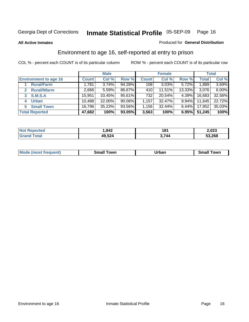#### **All Active Inmates**

#### Produced for **General Distribution**

### Environment to age 16, self-reported at entry to prison

|                              | <b>Male</b>  |        | <b>Female</b> |              |          | <b>Total</b> |              |        |
|------------------------------|--------------|--------|---------------|--------------|----------|--------------|--------------|--------|
| <b>Environment to age 16</b> | <b>Count</b> | Col %  | Row %         | <b>Count</b> | Col %    | Row %        | <b>Total</b> | Col %  |
| <b>Rural/Farm</b>            | 1,781        | 3.74%  | 94.28%        | 108          | $3.03\%$ | 5.72%        | 1,889        | 3.69%  |
| <b>Rural/Nfarm</b>           | 2,666        | 5.59%  | 86.67%        | 410          | 11.51%   | 13.33%       | 3,076        | 6.00%  |
| <b>S.M.S.A</b><br>3          | 15,951       | 33.45% | 95.61%        | 732          | 20.54%   | 4.39%        | 16,683       | 32.56% |
| <b>Urban</b><br>4            | 10,488       | 22.00% | $90.06\%$     | 1,157        | 32.47%   | $9.94\%$     | 11,645       | 22.72% |
| <b>Small Town</b><br>5       | 16,796       | 35.23% | 93.56%        | 1,156        | 32.44%   | $6.44\%$     | 17,952       | 35.03% |
| <b>Total Reported</b>        | 47,682       | 100%   | 93.05%        | 3,563        | 100%     | 6.95%        | 51,245       | 100%   |

| <b>Reported</b><br><b>Not</b> | 1,842  | 181   | 2,023  |
|-------------------------------|--------|-------|--------|
| ⊺otal<br><b>Grand</b>         | 49,524 | 3.744 | 53,268 |

| Mo<br>. . | . owr | <u>'''' ''</u><br>roa<br>_____ | .0W <sub>r</sub> |
|-----------|-------|--------------------------------|------------------|
|           |       |                                |                  |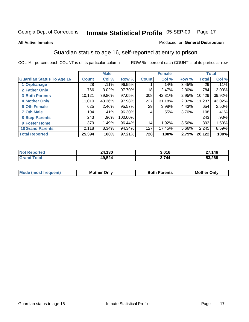#### **All Active Inmates**

#### Produced for **General Distribution**

### Guardian status to age 16, self-reported at entry to prison

|                                  |              | <b>Male</b> |           |              | <b>Female</b> |       |              | <b>Total</b> |
|----------------------------------|--------------|-------------|-----------|--------------|---------------|-------|--------------|--------------|
| <b>Guardian Status To Age 16</b> | <b>Count</b> | Col %       | Row %     | <b>Count</b> | Col %         | Row % | <b>Total</b> | Col %        |
| 1 Orphanage                      | 28           | .11%        | 96.55%    |              | $.14\%$       | 3.45% | 29           | .11%         |
| 2 Father Only                    | 766          | 3.02%       | 97.70%    | 18           | 2.47%         | 2.30% | 784          | $3.00\%$     |
| <b>3 Both Parents</b>            | 10,121       | 39.86%      | $97.05\%$ | 308          | 42.31%        | 2.95% | 10,429       | 39.92%       |
| <b>4 Mother Only</b>             | 11,010       | 43.36%      | 97.98%    | 227          | 31.18%        | 2.02% | 11,237       | 43.02%       |
| <b>6 Oth Female</b>              | 625          | 2.46%       | 95.57%    | 29           | 3.98%         | 4.43% | 654          | 2.50%        |
| <b>7 Oth Male</b>                | 104          | .41%        | 96.30%    | 4            | .55%          | 3.70% | 108          | .41%         |
| 8 Step-Parents                   | 243          | .96%        | 100.00%   |              |               |       | 243          | .93%         |
| 9 Foster Home                    | 379          | 1.49%       | 96.44%    | 14           | 1.92%         | 3.56% | 393          | 1.50%        |
| <b>10 Grand Parents</b>          | 2,118        | 8.34%       | 94.34%    | 127          | 17.45%        | 5.66% | 2,245        | 8.59%        |
| <b>Total Reported</b>            | 25,394       | 100%        | 97.21%    | 728          | 100%          | 2.79% | 26,122       | 100%         |

| NO<br>meto | 400<br>טכו<br>- - - | 3,016 | 27,146 |
|------------|---------------------|-------|--------|
| Gr.        | 49,524              | 744   | 53,268 |

| <b>Mode</b><br><i><b>IMOST</b></i> | Onlv<br>MΩ | 'arents | IMo<br>)nlv |
|------------------------------------|------------|---------|-------------|
|                                    |            |         |             |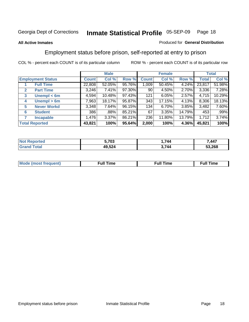#### **All Active Inmates**

#### Produced for **General Distribution**

### Employment status before prison, self-reported at entry to prison

|              |                          |              | <b>Male</b> |        |              | <b>Female</b> |        |        | <b>Total</b> |
|--------------|--------------------------|--------------|-------------|--------|--------------|---------------|--------|--------|--------------|
|              | <b>Employment Status</b> | <b>Count</b> | Col %       | Row %  | <b>Count</b> | Col %         | Row %  | Total  | Col %        |
|              | <b>Full Time</b>         | 22,808       | 52.05%      | 95.76% | 009          | 50.45%        | 4.24%  | 23,817 | 51.98%       |
| $\mathbf{2}$ | <b>Part Time</b>         | 3,246        | 7.41%       | 97.30% | 90           | 4.50%         | 2.70%  | 3,336  | 7.28%        |
| 3            | Unempl $<$ 6m            | 4,594        | 10.48%      | 97.43% | 121          | 6.05%         | 2.57%  | 4,715  | 10.29%       |
| 4            | Unempl > 6m              | 7,963        | 18.17%      | 95.87% | 343          | 17.15%        | 4.13%  | 8,306  | 18.13%       |
| 5            | <b>Never Workd</b>       | 3,348        | 7.64%       | 96.15% | 134          | $6.70\%$      | 3.85%  | 3,482  | 7.60%        |
| 6            | <b>Student</b>           | 386          | .88%        | 85.21% | 67           | 3.35%         | 14.79% | 453    | .99%         |
| 7            | <b>Incapable</b>         | 1,476        | 3.37%       | 86.21% | 236          | 11.80%        | 13.79% | 1,712  | 3.74%        |
|              | <b>Total Reported</b>    | 43,821       | 100%        | 95.64% | 2,000        | 100%          | 4.36%  | 45,821 | 100%         |

| n er | ^~~    | $\rightarrow$ . | $AA^-$ |
|------|--------|-----------------|--------|
|      | vJ     | 74a             |        |
|      | 49,524 | 744             | 53,268 |

| Mo | 'me<br>uн<br>the contract of the contract of the contract of the contract of the contract of the contract of the contract of the contract of the contract of the contract of the contract of the contract of the contract of the contract o | ïme<br>uı.<br>the contract of the contract of the contract of the contract of the contract of the contract of the contract of |
|----|---------------------------------------------------------------------------------------------------------------------------------------------------------------------------------------------------------------------------------------------|-------------------------------------------------------------------------------------------------------------------------------|
|    |                                                                                                                                                                                                                                             |                                                                                                                               |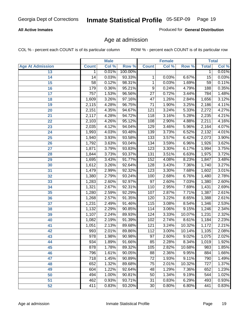#### **All Active Inmates**

Produced for **General Distribution**

### Age at admission

|                         | <b>Male</b>  |       | <b>Female</b> |                 |       | <b>Total</b> |                 |       |
|-------------------------|--------------|-------|---------------|-----------------|-------|--------------|-----------------|-------|
| <b>Age At Admission</b> | <b>Count</b> | Col % | Row %         | <b>Count</b>    | Col % | Row %        | <b>Total</b>    | Col % |
| 13                      | 1            | 0.01% | 100.00%       |                 |       |              | 1               | 0.01% |
| 14                      | 14           | 0.03% | 93.33%        | 1               | 0.03% | 6.67%        | 15              | 0.03% |
| $\overline{15}$         | 58           | 0.12% | 98.31%        | 1               | 0.03% | 1.69%        | $\overline{59}$ | 0.11% |
| 16                      | 179          | 0.36% | 95.21%        | 9               | 0.24% | 4.79%        | 188             | 0.35% |
| $\overline{17}$         | 757          | 1.53% | 96.56%        | $\overline{27}$ | 0.72% | 3.44%        | 784             | 1.48% |
| 18                      | 1,609        | 3.26% | 97.16%        | $\overline{47}$ | 1.26% | 2.84%        | 1,656           | 3.12% |
| 19                      | 2,115        | 4.28% | 96.75%        | $\overline{71}$ | 1.90% | 3.25%        | 2,186           | 4.11% |
| 20                      | 2,151        | 4.35% | 94.67%        | 121             | 3.24% | 5.33%        | 2,272           | 4.27% |
| 21                      | 2,117        | 4.28% | 94.72%        | 118             | 3.16% | 5.28%        | 2,235           | 4.21% |
| 22                      | 2,103        | 4.26% | 95.12%        | 108             | 2.90% | 4.88%        | 2,211           | 4.16% |
| 23                      | 2,035        | 4.12% | 94.04%        | 129             | 3.46% | 5.96%        | 2,164           | 4.07% |
| 24                      | 1,993        | 4.03% | 93.48%        | 139             | 3.73% | 6.52%        | 2,132           | 4.01% |
| $\overline{25}$         | 1,940        | 3.93% | 93.58%        | 133             | 3.57% | 6.42%        | 2,073           | 3.90% |
| 26                      | 1,792        | 3.63% | 93.04%        | 134             | 3.59% | 6.96%        | 1,926           | 3.62% |
| 27                      | 1,871        | 3.79% | 93.83%        | 123             | 3.30% | 6.17%        | 1,994           | 3.75% |
| 28                      | 1,844        | 3.73% | 93.37%        | 131             | 3.51% | 6.63%        | 1,975           | 3.72% |
| 29                      | 1,695        | 3.43% | 91.77%        | 152             | 4.08% | 8.23%        | 1,847           | 3.48% |
| 30                      | 1,612        | 3.26% | 92.64%        | 128             | 3.43% | 7.36%        | 1,740           | 3.27% |
| 31                      | 1,479        | 2.99% | 92.32%        | 123             | 3.30% | 7.68%        | 1,602           | 3.01% |
| 32                      | 1,380        | 2.79% | 93.24%        | 100             | 2.68% | 6.76%        | 1,480           | 2.78% |
| 33                      | 1,283        | 2.60% | 92.97%        | $\overline{97}$ | 2.60% | 7.03%        | 1,380           | 2.60% |
| 34                      | 1,321        | 2.67% | 92.31%        | 110             | 2.95% | 7.69%        | 1,431           | 2.69% |
| 35                      | 1,280        | 2.59% | 92.29%        | 107             | 2.87% | 7.71%        | 1,387           | 2.61% |
| 36                      | 1,268        | 2.57% | 91.35%        | 120             | 3.22% | 8.65%        | 1,388           | 2.61% |
| 37                      | 1,231        | 2.49% | 91.46%        | 115             | 3.08% | 8.54%        | 1,346           | 2.53% |
| 38                      | 1,132        | 2.29% | 90.85%        | 114             | 3.06% | 9.15%        | 1,246           | 2.34% |
| 39                      | 1,107        | 2.24% | 89.93%        | 124             | 3.33% | 10.07%       | 1,231           | 2.32% |
| 40                      | 1,082        | 2.19% | 91.39%        | 102             | 2.74% | 8.61%        | 1,184           | 2.23% |
| 41                      | 1,051        | 2.13% | 89.68%        | 121             | 3.24% | 10.32%       | 1,172           | 2.21% |
| 42                      | 993          | 2.01% | 89.86%        | 112             | 3.00% | 10.14%       | 1,105           | 2.08% |
| 43                      | 978          | 1.98% | 90.98%        | $\overline{97}$ | 2.60% | 9.02%        | 1,075           | 2.02% |
| 44                      | 934          | 1.89% | 91.66%        | 85              | 2.28% | $8.34\%$     | 1,019           | 1.92% |
| 45                      | 878          | 1.78% | 89.32%        | 105             | 2.82% | 10.68%       | 983             | 1.85% |
| 46                      | 796          | 1.61% | 90.05%        | 88              | 2.36% | 9.95%        | 884             | 1.66% |
| 47                      | 718          | 1.45% | 90.89%        | $\overline{72}$ | 1.93% | 9.11%        | 790             | 1.49% |
| 48                      | 652          | 1.32% | 89.68%        | 75              | 2.01% | 10.32%       | 727             | 1.37% |
| 49                      | 604          | 1.22% | 92.64%        | 48              | 1.29% | 7.36%        | 652             | 1.23% |
| 50                      | 494          | 1.00% | 90.81%        | 50              | 1.34% | 9.19%        | 544             | 1.02% |
| 51                      | 462          | 0.93% | 93.71%        | $\overline{31}$ | 0.83% | 6.29%        | 493             | 0.93% |
| 52                      | 411          | 0.83% | 93.20%        | 30              | 0.80% | 6.80%        | 441             | 0.83% |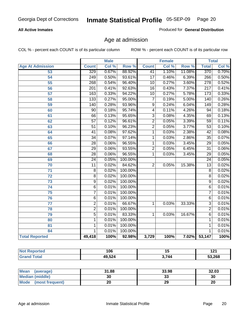#### **All Active Inmates**

Produced for **General Distribution**

### Age at admission

|                         | <b>Male</b>      |       | <b>Female</b> |                 |       | <b>Total</b> |                  |       |
|-------------------------|------------------|-------|---------------|-----------------|-------|--------------|------------------|-------|
| <b>Age At Admission</b> | <b>Count</b>     | Col % | Row %         | <b>Count</b>    | Col % | Row %        | <b>Total</b>     | Col % |
| 53                      | 329              | 0.67% | 88.92%        | 41              | 1.10% | 11.08%       | 370              | 0.70% |
| $\overline{54}$         | 249              | 0.50% | 93.61%        | $\overline{17}$ | 0.46% | 6.39%        | 266              | 0.50% |
| $\overline{55}$         | 268              | 0.54% | 96.40%        | $\overline{10}$ | 0.27% | 3.60%        | $\overline{278}$ | 0.52% |
| 56                      | $\overline{201}$ | 0.41% | 92.63%        | $\overline{16}$ | 0.43% | 7.37%        | $\overline{217}$ | 0.41% |
| $\overline{57}$         | 163              | 0.33% | 94.22%        | $\overline{10}$ | 0.27% | 5.78%        | 173              | 0.33% |
| 58                      | 133              | 0.27% | 95.00%        | $\overline{7}$  | 0.19% | 5.00%        | 140              | 0.26% |
| 59                      | $\overline{140}$ | 0.28% | 93.96%        | $\overline{9}$  | 0.24% | 6.04%        | 149              | 0.28% |
| 60                      | $\overline{90}$  | 0.18% | 95.74%        | 4               | 0.11% | 4.26%        | $\overline{94}$  | 0.18% |
| 61                      | 66               | 0.13% | 95.65%        | $\overline{3}$  | 0.08% | 4.35%        | 69               | 0.13% |
| 62                      | $\overline{57}$  | 0.12% | 96.61%        | $\overline{2}$  | 0.05% | 3.39%        | $\overline{59}$  | 0.11% |
| 63                      | $\overline{51}$  | 0.10% | 96.23%        | $\overline{2}$  | 0.05% | 3.77%        | $\overline{53}$  | 0.10% |
| 64                      | $\overline{41}$  | 0.08% | 97.62%        | $\overline{1}$  | 0.03% | 2.38%        | $\overline{42}$  | 0.08% |
| 65                      | $\overline{34}$  | 0.07% | 97.14%        | 1               | 0.03% | 2.86%        | $\overline{35}$  | 0.07% |
| 66                      | $\overline{28}$  | 0.06% | 96.55%        | 1               | 0.03% | 3.45%        | $\overline{29}$  | 0.05% |
| 67                      | 29               | 0.06% | 93.55%        | $\overline{2}$  | 0.05% | 6.45%        | $\overline{31}$  | 0.06% |
| 68                      | $\overline{28}$  | 0.06% | 96.55%        | 1               | 0.03% | 3.45%        | $\overline{29}$  | 0.05% |
| 69                      | $\overline{24}$  | 0.05% | 100.00%       |                 |       |              | $\overline{24}$  | 0.05% |
| 70                      | 11               | 0.02% | 84.62%        | $\overline{2}$  | 0.05% | 15.38%       | $\overline{13}$  | 0.02% |
| 71                      | $\overline{8}$   | 0.02% | 100.00%       |                 |       |              | 8                | 0.02% |
| $\overline{72}$         | $\overline{8}$   | 0.02% | 100.00%       |                 |       |              | $\overline{8}$   | 0.02% |
| $\overline{73}$         | $\overline{9}$   | 0.02% | 100.00%       |                 |       |              | $\overline{9}$   | 0.02% |
| 74                      | $\overline{6}$   | 0.01% | 100.00%       |                 |       |              | $\overline{6}$   | 0.01% |
| $\overline{75}$         | $\overline{7}$   | 0.01% | 100.00%       |                 |       |              | 7                | 0.01% |
| 76                      | $\overline{6}$   | 0.01% | 100.00%       |                 |       |              | $\overline{6}$   | 0.01% |
| 77                      | $\overline{2}$   | 0.01% | 66.67%        | 1               | 0.03% | 33.33%       | $\overline{3}$   | 0.01% |
| 78                      | $\overline{2}$   | 0.01% | 100.00%       |                 |       |              | $\overline{2}$   | 0.01% |
| 79                      | $\overline{5}$   | 0.01% | 83.33%        | 1               | 0.03% | 16.67%       | 6                | 0.01% |
| 80                      | $\mathbf{1}$     | 0.01% | 100.00%       |                 |       |              | 1                | 0.01% |
| 81                      | 1                | 0.01% | 100.00%       |                 |       |              | 1                | 0.01% |
| 84                      | 1                | 0.01% | 100.00%       |                 |       |              | 1                | 0.01% |
| <b>Total Reported</b>   | 49,418           | 100%  | 92.98%        | 3,729           | 100%  |              | 7.02% 53,147     | 100%  |

| .∢eported<br><b>NOT</b> | 106    | יי    | 191<br>14 L |
|-------------------------|--------|-------|-------------|
| <b>cotal</b>            | 49,524 | 3,744 | 53,268      |

| <b>Mean</b><br>(average) | 31.88     | 33.98 | 32.03 |
|--------------------------|-----------|-------|-------|
| <b>Median (middle)</b>   | 30        | نڌ    | 30    |
| Mode<br>(most frequent)  | nr.<br>Zu | 29    | 20    |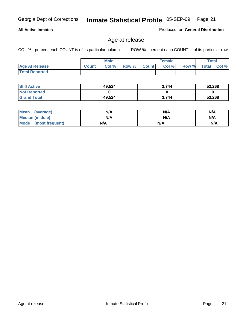#### **All Active Inmates**

Produced for **General Distribution**

### Age at release

|                       | <b>Male</b>  |      |       | <b>Female</b> |       |       | <b>Total</b> |          |
|-----------------------|--------------|------|-------|---------------|-------|-------|--------------|----------|
| <b>Age At Release</b> | <b>Count</b> | Col% | Row % | <b>Count</b>  | Col % | Row % | <b>Total</b> | $CoI \%$ |
| <b>Total Reported</b> |              |      |       |               |       |       |              |          |

| <b>Still Active</b> | 49,524 | 3.744 | 53,268 |
|---------------------|--------|-------|--------|
| <b>Not Reported</b> |        |       |        |
| <b>Grand Total</b>  | 49,524 | 3.744 | 53,268 |

| Mean (average)       | N/A | N/A | N/A |
|----------------------|-----|-----|-----|
| Median (middle)      | N/A | N/A | N/A |
| Mode (most frequent) | N/A | N/A | N/A |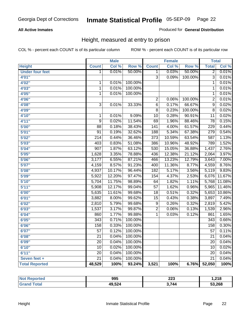#### **All Active Inmates**

#### Produced for **General Distribution**

### Height, measured at entry to prison

|                        |                  | <b>Male</b> |                  |                 | <b>Female</b> |         | <b>Total</b>     |                            |
|------------------------|------------------|-------------|------------------|-----------------|---------------|---------|------------------|----------------------------|
| <b>Height</b>          | <b>Count</b>     | Col %       | Row <sup>%</sup> | <b>Count</b>    | Col %         | Row %   | <b>Total</b>     | $\overline{\text{Col }^9}$ |
| <b>Under four feet</b> | 1                | 0.01%       | 50.00%           | 1               | 0.03%         | 50.00%  | $\overline{2}$   | 0.01%                      |
| 4'01''                 |                  |             |                  | $\overline{3}$  | 0.09%         | 100.00% | $\overline{3}$   | 0.01%                      |
| 4'02"                  | 1                | 0.01%       | 100.00%          |                 |               |         | $\overline{1}$   | 0.01%                      |
| 4'03''                 | $\overline{1}$   | 0.01%       | 100.00%          |                 |               |         | $\overline{1}$   | 0.01%                      |
| 4'05''                 | $\overline{1}$   | 0.01%       | 100.00%          |                 |               |         | $\overline{1}$   | 0.01%                      |
| 4'06"                  |                  |             |                  | $\overline{2}$  | 0.06%         | 100.00% | $\overline{2}$   | 0.01%                      |
| 4'08"                  | $\overline{3}$   | 0.01%       | 33.33%           | $\overline{6}$  | 0.17%         | 66.67%  | $\overline{9}$   | 0.02%                      |
| 4'09"                  |                  |             |                  | $\overline{8}$  | 0.23%         | 100.00% | $\overline{8}$   | 0.02%                      |
| 4'10"                  | $\mathbf 1$      | 0.01%       | 9.09%            | $\overline{10}$ | 0.28%         | 90.91%  | $\overline{11}$  | 0.02%                      |
| 4'11''                 | $\overline{9}$   | 0.02%       | 11.54%           | $\overline{69}$ | 1.96%         | 88.46%  | $\overline{78}$  | 0.15%                      |
| 5'00''                 | $\overline{88}$  | 0.18%       | 38.43%           | 141             | 4.00%         | 61.57%  | $\overline{229}$ | 0.44%                      |
| 5'01''                 | $\overline{91}$  | 0.19%       | 32.62%           | 188             | 5.34%         | 67.38%  | 279              | 0.54%                      |
| 5'02''                 | $\overline{214}$ | 0.44%       | 36.46%           | 373             | 10.59%        | 63.54%  | 587              | 1.13%                      |
| 5'03''                 | 403              | 0.83%       | 51.08%           | 386             | 10.96%        | 48.92%  | 789              | 1.52%                      |
| 5'04''                 | 907              | 1.87%       | 63.12%           | 530             | 15.05%        | 36.88%  | 1,437            | 2.76%                      |
| 5'05''                 | 1,628            | 3.35%       | 78.88%           | 436             | 12.38%        | 21.12%  | 2,064            | 3.97%                      |
| 5'06''                 | 3,177            | 6.55%       | 87.21%           | 466             | 13.23%        | 12.79%  | 3,643            | 7.00%                      |
| 5'07''                 | 4,159            | 8.57%       | 91.23%           | 400             | 11.36%        | 8.77%   | 4,559            | 8.76%                      |
| 5'08''                 | 4,937            | 10.17%      | 96.44%           | 182             | 5.17%         | 3.56%   | 5,119            | 9.83%                      |
| 5'09''                 | 5,922            | 12.20%      | 97.47%           | 154             | 4.37%         | 2.53%   | 6,076            | 11.67%                     |
| 5'10''                 | 5,704            | 11.75%      | 98.89%           | 64              | 1.82%         | 1.11%   | 5,768            | 11.08%                     |
| 5'11''                 | 5,908            | 12.17%      | 99.04%           | $\overline{57}$ | 1.62%         | 0.96%   | 5,965            | 11.46%                     |
| 6'00''                 | 5,635            | 11.61%      | 99.68%           | $\overline{18}$ | 0.51%         | 0.32%   | 5,653            | 10.86%                     |
| 6'01''                 | 3,882            | 8.00%       | 99.62%           | $\overline{15}$ | 0.43%         | 0.38%   | 3,897            | 7.49%                      |
| 6'02''                 | 2,810            | 5.79%       | 99.68%           | $\overline{9}$  | 0.26%         | 0.32%   | 2,819            | 5.42%                      |
| 6'03''                 | 1,537            | 3.17%       | 99.87%           | $\overline{2}$  | 0.06%         | 0.13%   | 1,539            | 2.96%                      |
| 6'04''                 | 860              | 1.77%       | 99.88%           | $\overline{1}$  | 0.03%         | 0.12%   | 861              | 1.65%                      |
| 6'05''                 | 343              | 0.71%       | 100.00%          |                 |               |         | 343              | 0.66%                      |
| 6'06''                 | 158              | 0.33%       | 100.00%          |                 |               |         | 158              | 0.30%                      |
| 6'07''                 | $\overline{57}$  | 0.12%       | 100.00%          |                 |               |         | $\overline{57}$  | 0.11%                      |
| 6'08''                 | $\overline{21}$  | 0.04%       | 100.00%          |                 |               |         | $\overline{21}$  | 0.04%                      |
| 6'09''                 | $\overline{20}$  | 0.04%       | 100.00%          |                 |               |         | $\overline{20}$  | 0.04%                      |
| 6'10''                 | $\overline{10}$  | 0.02%       | 100.00%          |                 |               |         | $\overline{10}$  | 0.02%                      |
| 6'11''                 | $\overline{20}$  | 0.04%       | 100.00%          |                 |               |         | $\overline{20}$  | 0.04%                      |
| Seven feet +           | $\overline{21}$  | 0.04%       | 100.00%          |                 |               |         | $\overline{21}$  | 0.04%                      |
| <b>Total Reported</b>  | 48,529           | 100%        | 93.24%           | 3,521           | 100%          | 6.76%   | 52,050           | 100%                       |

| oorted<br><b>NOT</b>   | 995    | ົາາາ<br>ZZJ<br>$\sim$ | 218. ا |
|------------------------|--------|-----------------------|--------|
| <b>otal</b><br>$-$ GPC | 49,524 | 3 744                 | 53,268 |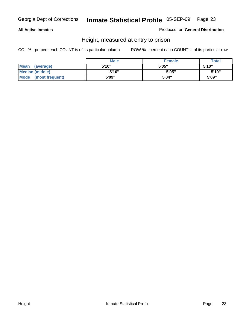#### **All Active Inmates**

Produced for **General Distribution**

### Height, measured at entry to prison

|                        | <b>Male</b> | <b>Female</b> | <b>Total</b> |
|------------------------|-------------|---------------|--------------|
| Mean (average)         | 5'10"       | 5'05"         | 5'10''       |
| <b>Median (middle)</b> | 5'10''      | 5'05"         | 5'10''       |
| Mode (most frequent)   | 5'09"       | 5'04"         | 5'09"        |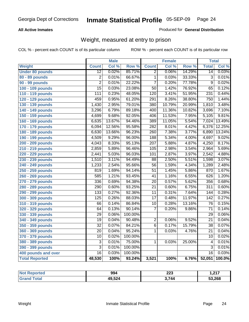#### **All Active Inmates**

#### Produced for **General Distribution**

### Weight, measured at entry to prison

|                        |                  | <b>Male</b> |         |                  | <b>Female</b> |        | <b>Total</b>     |        |
|------------------------|------------------|-------------|---------|------------------|---------------|--------|------------------|--------|
| Weight                 | <b>Count</b>     | Col %       | Row %   | <b>Count</b>     | Col %         | Row %  | <b>Total</b>     | Col %  |
| <b>Under 80 pounds</b> | $\overline{12}$  | 0.02%       | 85.71%  | $\overline{2}$   | 0.06%         | 14.29% | $\overline{14}$  | 0.03%  |
| 80 - 89 pounds         | $\overline{2}$   | 0.01%       | 66.67%  | $\overline{1}$   | 0.03%         | 33.33% | $\overline{3}$   | 0.01%  |
| 90 - 99 pounds         | $\overline{2}$   | 0.01%       | 22.22%  | 7                | 0.20%         | 77.78% | 9                | 0.02%  |
| 100 - 109 pounds       | $\overline{15}$  | 0.03%       | 23.08%  | $\overline{50}$  | 1.42%         | 76.92% | $\overline{65}$  | 0.12%  |
| 110 - 119 pounds       | $\overline{111}$ | 0.23%       | 48.05%  | 120              | 3.41%         | 51.95% | 231              | 0.44%  |
| 120 - 129 pounds       | 459              | 0.95%       | 61.20%  | 291              | 8.26%         | 38.80% | 750              | 1.44%  |
| 130 - 139 pounds       | 1,430            | 2.95%       | 79.01%  | 380              | 10.79%        | 20.99% | 1,810            | 3.48%  |
| 140 - 149 pounds       | 3,296            | 6.79%       | 89.18%  | 400              | 11.36%        | 10.82% | 3,696            | 7.10%  |
| 150 - 159 pounds       | 4,699            | 9.68%       | 92.05%  | 406              | 11.53%        | 7.95%  | 5,105            | 9.81%  |
| 160 - 169 pounds       | 6,635            | 13.67%      | 94.46%  | 389              | 11.05%        | 5.54%  | 7,024            | 13.49% |
| 170 - 179 pounds       | 6,094            | 12.56%      | 95.58%  | 282              | 8.01%         | 4.42%  | 6,376            | 12.25% |
| 180 - 189 pounds       | 6,630            | 13.66%      | 96.23%  | 260              | 7.38%         | 3.77%  | 6,890            | 13.24% |
| 190 - 199 pounds       | 4,509            | 9.29%       | 96.00%  | 188              | 5.34%         | 4.00%  | 4,697            | 9.02%  |
| 200 - 209 pounds       | 4,043            | 8.33%       | 95.13%  | $\overline{207}$ | 5.88%         | 4.87%  | 4,250            | 8.17%  |
| 210 - 219 pounds       | 2,859            | 5.89%       | 96.46%  | 105              | 2.98%         | 3.54%  | 2,964            | 5.69%  |
| 220 - 229 pounds       | 2,441            | 5.03%       | 96.03%  | 101              | 2.87%         | 3.97%  | 2,542            | 4.88%  |
| 230 - 239 pounds       | 1,510            | 3.11%       | 94.49%  | $\overline{88}$  | 2.50%         | 5.51%  | 1,598            | 3.07%  |
| 240 - 249 pounds       | 1,233            | 2.54%       | 95.66%  | $\overline{56}$  | 1.59%         | 4.34%  | 1,289            | 2.48%  |
| 250 - 259 pounds       | 819              | 1.69%       | 94.14%  | $\overline{51}$  | 1.45%         | 5.86%  | 870              | 1.67%  |
| 260 - 269 pounds       | 585              | 1.21%       | 93.45%  | $\overline{41}$  | 1.16%         | 6.55%  | 626              | 1.20%  |
| 270 - 279 pounds       | 336              | 0.69%       | 94.38%  | $\overline{20}$  | 0.57%         | 5.62%  | 356              | 0.68%  |
| 280 - 289 pounds       | $\overline{290}$ | 0.60%       | 93.25%  | $\overline{21}$  | 0.60%         | 6.75%  | $\overline{311}$ | 0.60%  |
| 290 - 299 pounds       | 133              | 0.27%       | 92.36%  | $\overline{11}$  | 0.31%         | 7.64%  | 144              | 0.28%  |
| 300 - 309 pounds       | 125              | 0.26%       | 88.03%  | $\overline{17}$  | 0.48%         | 11.97% | $\overline{142}$ | 0.27%  |
| 310 - 319 pounds       | 66               | 0.14%       | 86.84%  | 10               | 0.28%         | 13.16% | $\overline{76}$  | 0.15%  |
| 320 - 329 pounds       | 64               | 0.13%       | 90.14%  | 7                | 0.20%         | 9.86%  | $\overline{71}$  | 0.14%  |
| 330 - 339 pounds       | 29               | 0.06%       | 100.00% |                  |               |        | $\overline{29}$  | 0.06%  |
| 340 - 349 pounds       | 19               | 0.04%       | 90.48%  | $\overline{2}$   | 0.06%         | 9.52%  | $\overline{21}$  | 0.04%  |
| 350 - 359 pounds       | $\overline{32}$  | 0.07%       | 84.21%  | $\overline{6}$   | 0.17%         | 15.79% | $\overline{38}$  | 0.07%  |
| 360 - 369 pounds       | 20               | 0.04%       | 95.24%  | $\mathbf{1}$     | 0.03%         | 4.76%  | $\overline{21}$  | 0.04%  |
| 370 - 379 pounds       | 10               | 0.02%       | 100.00% |                  |               |        | 10               | 0.02%  |
| 380 - 389 pounds       | $\overline{3}$   | 0.01%       | 75.00%  | 1                | 0.03%         | 25.00% | $\overline{4}$   | 0.01%  |
| 390 - 399 pounds       | $\overline{3}$   | 0.01%       | 100.00% |                  |               |        | $\overline{3}$   | 0.01%  |
| 400 pounds and over    | $\overline{16}$  | 0.03%       | 100.00% |                  |               |        | $\overline{16}$  | 0.03%  |
| <b>Total Reported</b>  | 48,530           | 100%        | 93.24%  | 3,521            | 100%          | 6.76%  | 52,051           | 100.0% |

| orted<br>NO. | 994    | ົດດດ<br>ZZJ | 247<br>. |
|--------------|--------|-------------|----------|
| `ota⊾        | 49,524 | .744        | 53,268   |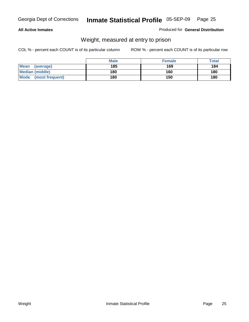#### **All Active Inmates**

#### Produced for **General Distribution**

### Weight, measured at entry to prison

|                                | <b>Male</b> | <b>Female</b> | Total |
|--------------------------------|-------------|---------------|-------|
| Mean<br>(average)              | 185         | 169           | 184   |
| <b>Median (middle)</b>         | 180         | 160           | 180   |
| <b>Mode</b><br>(most frequent) | 180         | 150           | 180   |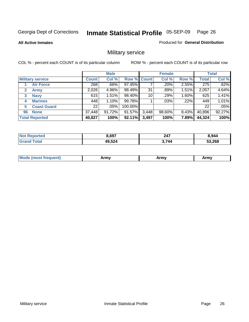**All Active Inmates**

#### Produced for **General Distribution**

### Military service

|                         |              | <b>Male</b> |             |       | <b>Female</b> |          |              | <b>Total</b> |
|-------------------------|--------------|-------------|-------------|-------|---------------|----------|--------------|--------------|
| <b>Military service</b> | <b>Count</b> | Col %       | Row % Count |       | Col %         | Row %    | <b>Total</b> | Col %        |
| <b>Air Force</b>        | 268          | .66%        | 97.45%      |       | .20%          | 2.55%    | 275          | .62%         |
| <b>Army</b>             | 2,026        | 4.96%       | 98.49%      | 31    | .89%          | 1.51%    | 2,057        | 4.64%        |
| <b>Navy</b><br>3        | 615          | 1.51%       | 98.40%      | 10    | .29%          | 1.60%    | 625          | 1.41%        |
| <b>Marines</b><br>4     | 448          | 1.10%       | 99.78%      |       | $.03\%$       | .22%     | 449          | 1.01%        |
| <b>Coast Guard</b><br>5 | 22           | .05%        | 100.00%     |       |               |          | 22           | .05%         |
| <b>None</b><br>96       | 37,448       | 91.72%      | 91.57%      | 3,448 | 98.60%        | $8.43\%$ | 40,896       | 92.27%       |
| <b>Total Reported</b>   | 40,827       | 100%        | 92.11%      | 3,497 | 100%          | 7.89%    | 44,324       | 100%         |

| orted<br>ומשו         | 697ء   | 247  | 8.944  |
|-----------------------|--------|------|--------|
| `otal<br><b>Grand</b> | 49,524 | .744 | 53,268 |

| <b>Mou</b><br>.<br>Army<br>Army<br>$\cdot$ affiny $\cdot$ |
|-----------------------------------------------------------|
|-----------------------------------------------------------|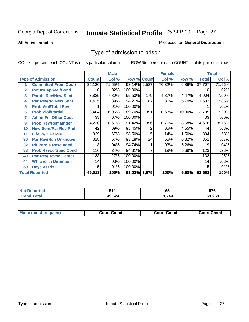**All Active Inmates**

#### Produced for **General Distribution**

### Type of admission to prison

|                |                             |              | <b>Male</b> |                    |     | <b>Female</b> |          |              | <b>Total</b> |
|----------------|-----------------------------|--------------|-------------|--------------------|-----|---------------|----------|--------------|--------------|
|                | <b>Type of Admission</b>    | <b>Count</b> | Col %       | <b>Row % Count</b> |     | Col %         | Row %    | <b>Total</b> | Col %        |
| 1              | <b>Committed From Court</b> | 35,120       | 71.65%      | 93.14% 2,587       |     | 70.32%        | $6.86\%$ | 37,707       | 71.56%       |
| $\overline{2}$ | <b>Return Appeal/Bond</b>   | 10           | .02%        | 100.00%            |     |               |          | 10           | .02%         |
| 3              | <b>Parole Rev/New Sent</b>  | 3,825        | 7.80%       | 95.53%             | 179 | 4.87%         | 4.47%    | 4,004        | 7.60%        |
| 4              | <b>Par Rev/No New Sent</b>  | 1,415        | 2.89%       | 94.21%             | 87  | 2.36%         | 5.79%    | 1,502        | 2.85%        |
| 5              | <b>Prob Viol/Total Rev</b>  |              | .01%        | 100.00%            |     |               |          |              | .01%         |
| 6              | <b>Prob Viol/Partial</b>    | 3,404        | 6.95%       | 89.70%             | 391 | 10.63%        | 10.30%   | 3,795        | 7.20%        |
| 7              | <b>Admit Fm Other Cust</b>  | 33           | $.07\%$     | 100.00%            |     |               |          | 33           | .06%         |
| 9              | <b>Prob Rev/Remainder</b>   | 4,220        | 8.61%       | 91.42%             | 396 | 10.76%        | 8.58%    | 4,616        | 8.76%        |
| 10             | <b>New Sent/Par Rev Pnd</b> | 42           | .09%        | 95.45%             | 2   | .05%          | 4.55%    | 44           | .08%         |
| 11             | <b>Life W/O Parole</b>      | 329          | .67%        | 98.50%             | 5   | .14%          | 1.50%    | 334          | .63%         |
| 30             | <b>Par Rev/Rsn Unknown</b>  | 328          | .67%        | 93.18%             | 24  | .65%          | 6.82%    | 352          | .67%         |
| 32             | <b>Pb Parole Rescinded</b>  | 18           | .04%        | 94.74%             |     | .03%          | 5.26%    | 19           | .04%         |
| 33             | <b>Prob Revoc/Spec Cond</b> | 116          | .24%        | 94.31%             |     | .19%          | 5.69%    | 123          | .23%         |
| 40             | <b>Par Rev/Revoc Center</b> | 133          | .27%        | 100.00%            |     |               |          | 133          | .25%         |
| 44             | <b>Whitworth Detention</b>  | 14           | .03%        | 100.00%            |     |               |          | 14           | .03%         |
| 50             | <b>Dcys At Risk</b>         | 5            | .01%        | 100.00%            |     |               |          | 5            | .01%         |
|                | <b>Total Reported</b>       | 49,013       | 100%        | 93.02% 3,679       |     | 100%          | 6.98%    | 52,692       | 100%         |

| Reported   |                | - - | --^   |
|------------|----------------|-----|-------|
| <b>NOT</b> |                | ರು  | v 1 v |
| ota        | 3.524<br>$  -$ | 744 | .268  |

| Mo<br>Cmmt<br>Cmmt<br>Court Cmmt<br>:nurt<br>∵∩urt เ<br>most trea |  |  |
|-------------------------------------------------------------------|--|--|
|                                                                   |  |  |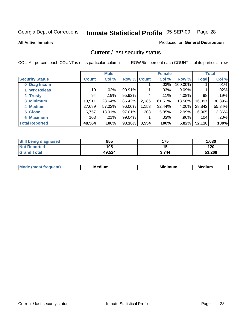**All Active Inmates**

#### Produced for **General Distribution**

### Current / last security status

|                        |                 | <b>Male</b> |             |       | <b>Female</b> |          |              | <b>Total</b> |
|------------------------|-----------------|-------------|-------------|-------|---------------|----------|--------------|--------------|
| <b>Security Status</b> | Count l         | Col %       | Row % Count |       | Col %         | Row %    | <b>Total</b> | Col %        |
| 0 Diag Incom           |                 |             |             |       | .03%          | 100.00%  |              | .01%         |
| 1 Wrk Releas           | 10 <sup>1</sup> | $.02\%$     | 90.91%      |       | $.03\%$       | 9.09%    | 11           | $.02\%$      |
| 2 Trusty               | 94              | $.19\%$     | 95.92%      | 4     | $.11\%$       | $4.08\%$ | 98           | .19%         |
| 3 Minimum              | 13,911          | 28.64%      | 86.42%      | 2,186 | 61.51%        | 13.58%   | 16,097       | 30.89%       |
| 4 Medium               | 27,689          | 57.02%      | 96.00%      | 1,153 | 32.44%        | 4.00%    | 28,842       | 55.34%       |
| 5 Close                | 6,757           | 13.91%      | 97.01%      | 208   | 5.85%         | $2.99\%$ | 6,965        | 13.36%       |
| <b>6 Maximum</b>       | 103             | .21%        | 99.04%      |       | .03%          | .96%     | 104          | .20%         |
| <b>Total Reported</b>  | 48,564          | 100%        | 93.18%      | 3,554 | 100%          | 6.82%    | 52,118       | 100%         |

| <b>Still being diagnosed</b> | 855    | 175   | 1,030  |
|------------------------------|--------|-------|--------|
| <b>Not Reported</b>          | 105    |       | 120    |
| <b>Grand Total</b>           | 49,524 | 3.744 | 53,268 |

| $M_{\odot}$<br>anr<br>. | <b>Medium</b> | <br>num | --<br>Medium |
|-------------------------|---------------|---------|--------------|
|                         |               |         |              |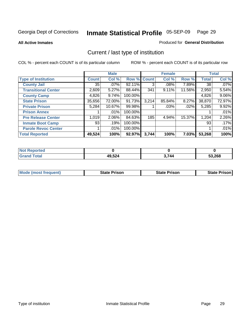**All Active Inmates**

#### Produced for **General Distribution**

### Current / last type of institution

|                            |              | <b>Male</b> |         |              | <b>Female</b> |          |              | <b>Total</b> |
|----------------------------|--------------|-------------|---------|--------------|---------------|----------|--------------|--------------|
| <b>Type of Institution</b> | <b>Count</b> | Col %       | Row %   | <b>Count</b> | Col %         | Row %    | <b>Total</b> | Col %        |
| <b>County Jail</b>         | 35           | $.07\%$     | 92.11%  | 3            | $.08\%$       | 7.89%    | 38           | $.07\%$      |
| <b>Transitional Center</b> | 2,609        | 5.27%       | 88.44%  | 341          | 9.11%         | 11.56%   | 2,950        | 5.54%        |
| <b>County Camp</b>         | 4,826        | 9.74%       | 100.00% |              |               |          | 4,826        | 9.06%        |
| <b>State Prison</b>        | 35,656       | 72.00%      | 91.73%  | 3,214        | 85.84%        | $8.27\%$ | 38,870       | 72.97%       |
| <b>Private Prison</b>      | 5,284        | 10.67%      | 99.98%  |              | $.03\%$       | .02%     | 5,285        | 9.92%        |
| <b>Prison Annex</b>        |              | .01%        | 100.00% |              |               |          |              | .01%         |
| <b>Pre Release Center</b>  | 1,019        | 2.06%       | 84.63%  | 185          | 4.94%         | 15.37%   | 1,204        | 2.26%        |
| <b>Inmate Boot Camp</b>    | 93           | .19%        | 100.00% |              |               |          | 93           | .17%         |
| <b>Parole Revoc Center</b> |              | .01%        | 100.00% |              |               |          |              | .01%         |
| <b>Total Reported</b>      | 49,524       | 100%        | 92.97%  | 3,744        | 100%          | $7.03\%$ | 53,268       | 100%         |

| <b>Not</b><br><b>Reported</b> |        |       |        |
|-------------------------------|--------|-------|--------|
| <b>ind Total</b>              | 49,524 | ላ.744 | 53,268 |

| <b>Mode (most frequent)</b> | <b>State Prison</b> | <b>State Prison</b> | <b>State Prison I</b> |
|-----------------------------|---------------------|---------------------|-----------------------|
|                             |                     |                     |                       |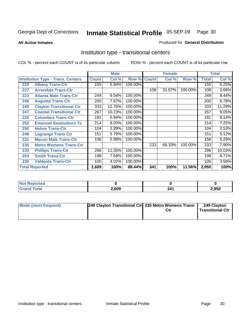**All Active Inmates**

#### Produced for **General Distribution**

### Institution type - transitional centers

|     |                                          |              | <b>Male</b> |         |              | <b>Female</b> |         |              | <b>Total</b> |
|-----|------------------------------------------|--------------|-------------|---------|--------------|---------------|---------|--------------|--------------|
|     | <b>Institution Type - Trans. Centers</b> | <b>Count</b> | Col %       | Row %   | <b>Count</b> | Col %         | Row %   | <b>Total</b> | Col %        |
| 220 | <b>Albany Trans-Ctr</b>                  | 155          | 5.94%       | 100.00% |              |               |         | 155          | 5.25%        |
| 227 | <b>Arrendale Trans-Ctr</b>               |              |             |         | 108          | 31.67%        | 100.00% | 108          | 3.66%        |
| 223 | <b>Atlanta Male Trans-Ctr</b>            | 249          | 9.54%       | 100.00% |              |               |         | 249          | 8.44%        |
| 246 | <b>Augusta Trans-Ctr</b>                 | 200          | 7.67%       | 100.00% |              |               |         | 200          | 6.78%        |
| 249 | <b>Clayton Transitional Ctr</b>          | 333          | 12.76%      | 100.00% |              |               |         | 333          | 11.29%       |
| 247 | <b>Coastal Transitional Ctr</b>          | 267          | 10.23%      | 100.00% |              |               |         | 267          | 9.05%        |
| 225 | <b>Columbus Trans-Ctr</b>                | 181          | 6.94%       | 100.00% |              |               |         | 181          | 6.14%        |
| 252 | <b>Emanuel-Swainsboro Tc</b>             | 214          | 8.20%       | 100.00% |              |               |         | 214          | 7.25%        |
| 250 | <b>Helms Trans-Ctr</b>                   | 104          | 3.99%       | 100.00% |              |               |         | 104          | 3.53%        |
| 248 | <b>Lagrange Trans Ctr</b>                | 151          | 5.79%       | 100.00% |              |               |         | 151          | 5.12%        |
| 231 | <b>Macon Male Trans-Ctr</b>              | 156          | 5.98%       | 100.00% |              |               |         | 156          | 5.29%        |
| 235 | <b>Metro Womens Trans-Ctr</b>            |              |             |         | 233          | 68.33%        | 100.00% | 233          | 7.90%        |
| 233 | <b>Phillips Trans-Ctr</b>                | 296          | 11.35%      | 100.00% |              |               |         | 296          | 10.03%       |
| 253 | <b>Smith Trans-Ctr</b>                   | 198          | 7.59%       | 100.00% |              |               |         | 198          | 6.71%        |
| 230 | <b>Valdosta Trans-Ctr</b>                | 105          | 4.02%       | 100.00% |              |               |         | 105          | 3.56%        |
|     | <b>Total Reported</b>                    | 2,609        | 100%        | 88.44%  | 341          | 100%          | 11.56%  | 2,950        | 100%         |

| <b>Reported</b><br>. |       |     |      |
|----------------------|-------|-----|------|
| <b>ota</b>           | 2,609 | 341 | ,950 |

| Mode (most frequent) | 249 Clayton Transitional Ctr 235 Metro Womens Trans- | Ctr | 249 Clayton<br><b>Transitional Ctr</b> |
|----------------------|------------------------------------------------------|-----|----------------------------------------|
|                      |                                                      |     |                                        |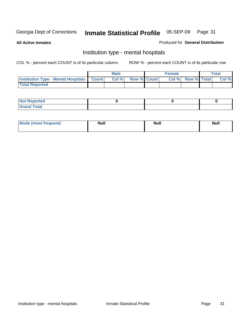**All Active Inmates**

#### Produced for **General Distribution**

### Institution type - mental hospitals

|                                                  | <b>Male</b> |                    | <b>Female</b> |                   | <b>Total</b> |
|--------------------------------------------------|-------------|--------------------|---------------|-------------------|--------------|
| <b>Institution Type - Mental Hospitals Count</b> | Col %       | <b>Row % Count</b> |               | Col % Row % Total | Col %        |
| <b>Total Reported</b>                            |             |                    |               |                   |              |

| <b>Not Reported</b> |  |  |
|---------------------|--|--|
| <b>Fotal</b><br>Cro |  |  |

| Mode (most frequent) | <b>Null</b> | <b>Null</b> | <b>Null</b> |
|----------------------|-------------|-------------|-------------|
|                      |             |             |             |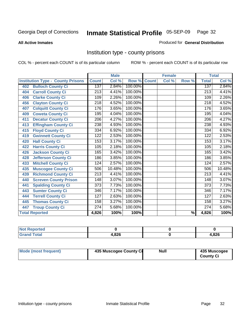#### **All Active Inmates**

#### Produced for **General Distribution**

### Institution type - county prisons

|                                          |                  | <b>Male</b> |         |              | <b>Female</b> |       |                  | <b>Total</b> |
|------------------------------------------|------------------|-------------|---------|--------------|---------------|-------|------------------|--------------|
| <b>Institution Type - County Prisons</b> | <b>Count</b>     | Col %       | Row %   | <b>Count</b> | Col %         | Row % | <b>Total</b>     | Col %        |
| <b>Bulloch County Ci</b><br>402          | 137              | 2.84%       | 100.00% |              |               |       | 137              | 2.84%        |
| <b>Carroll County Ci</b><br>404          | 213              | 4.41%       | 100.00% |              |               |       | $\overline{213}$ | 4.41%        |
| <b>Clarke County Ci</b><br>406           | 109              | 2.26%       | 100.00% |              |               |       | 109              | 2.26%        |
| <b>Clayton County Ci</b><br>456          | $\overline{218}$ | 4.52%       | 100.00% |              |               |       | $\overline{218}$ | 4.52%        |
| <b>Colquitt County Ci</b><br>407         | 176              | 3.65%       | 100.00% |              |               |       | 176              | 3.65%        |
| <b>Coweta County Ci</b><br>409           | 195              | 4.04%       | 100.00% |              |               |       | 195              | 4.04%        |
| <b>Decatur County Ci</b><br>411          | 206              | 4.27%       | 100.00% |              |               |       | 206              | 4.27%        |
| <b>Effingham County Ci</b><br>413        | 238              | 4.93%       | 100.00% |              |               |       | 238              | 4.93%        |
| <b>Floyd County Ci</b><br>415            | 334              | 6.92%       | 100.00% |              |               |       | 334              | 6.92%        |
| <b>Gwinnett County Ci</b><br>419         | $\overline{122}$ | 2.53%       | 100.00% |              |               |       | 122              | 2.53%        |
| <b>Hall County Ci</b><br>420             | 153              | 3.17%       | 100.00% |              |               |       | 153              | 3.17%        |
| <b>Harris County Ci</b><br>422           | 105              | 2.18%       | 100.00% |              |               |       | 105              | 2.18%        |
| Jackson County Ci<br>426                 | 165              | 3.42%       | 100.00% |              |               |       | 165              | 3.42%        |
| <b>Jefferson County Ci</b><br>428        | 186              | 3.85%       | 100.00% |              |               |       | 186              | 3.85%        |
| <b>Mitchell County Ci</b><br>433         | 124              | 2.57%       | 100.00% |              |               |       | 124              | 2.57%        |
| <b>Muscogee County Ci</b><br>435         | 506              | 10.48%      | 100.00% |              |               |       | 506              | 10.48%       |
| <b>Richmond County Ci</b><br>439         | $\overline{213}$ | 4.41%       | 100.00% |              |               |       | 213              | 4.41%        |
| <b>Screven County Prison</b><br>440      | 148              | 3.07%       | 100.00% |              |               |       | 148              | 3.07%        |
| <b>Spalding County Ci</b><br>441         | $\overline{373}$ | 7.73%       | 100.00% |              |               |       | $\overline{373}$ | 7.73%        |
| <b>Sumter County Ci</b><br>443           | 346              | 7.17%       | 100.00% |              |               |       | 346              | 7.17%        |
| <b>Terrell County Ci</b><br>444          | 127              | 2.63%       | 100.00% |              |               |       | 127              | 2.63%        |
| <b>Thomas County Ci</b><br>445           | 158              | 3.27%       | 100.00% |              |               |       | 158              | 3.27%        |
| <b>Troup County Ci</b><br>447            | 274              | 5.68%       | 100.00% |              |               |       | 274              | 5.68%        |
| <b>Total Reported</b>                    | 4,826            | 100%        | 100%    |              |               | %     | 4,826            | 100%         |

| <b>Not Reported</b>   |      |      |
|-----------------------|------|------|
| <b>Total</b><br>Grand | .826 | .826 |

| <b>Mode (most frequent)</b><br>435 Muscogee County Ci | Null | 435 Muscogee<br><b>County Ci</b> |
|-------------------------------------------------------|------|----------------------------------|
|-------------------------------------------------------|------|----------------------------------|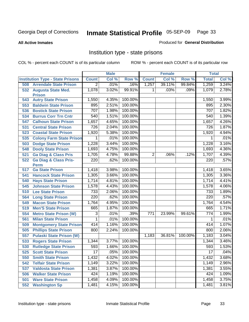#### **All Active Inmates**

#### Produced for **General Distribution**

### Institution type - state prisons

|     |                                         |                  | <b>Male</b> |         |              | <b>Female</b> |         | <b>Total</b>     |       |
|-----|-----------------------------------------|------------------|-------------|---------|--------------|---------------|---------|------------------|-------|
|     | <b>Institution Type - State Prisons</b> | <b>Count</b>     | Col %       | Row %   | <b>Count</b> | Col %         | Row %   | <b>Total</b>     | Col % |
| 508 | <b>Arrendale State Prison</b>           | 2                | .01%        | .16%    | 1,257        | 39.11%        | 99.84%  | 1,259            | 3.24% |
|     | 532 Augusta State Med.<br><b>Prison</b> | 1,078            | 3.02%       | 99.91%  | 1.           | .03%          | .09%    | 1,079            | 2.78% |
| 543 | <b>Autry State Prison</b>               | 1,550            | 4.35%       | 100.00% |              |               |         | 1,550            | 3.99% |
| 553 | <b>Baldwin State Prison</b>             | 895              | 2.51%       | 100.00% |              |               |         | 895              | 2.30% |
| 536 | <b>Bostick State Prison</b>             | 707              | 1.98%       | 100.00% |              |               |         | 707              | 1.82% |
| 534 | <b>Burrus Corr Trn Cntr</b>             | 540              | 1.51%       | 100.00% |              |               |         | 540              | 1.39% |
| 547 | <b>Calhoun State Prison</b>             | 1,657            | 4.65%       | 100.00% |              |               |         | 1,657            | 4.26% |
| 531 | <b>Central State Prison</b>             | 726              | 2.04%       | 100.00% |              |               |         | 726              | 1.87% |
| 523 | <b>Coastal State Prison</b>             | 1,920            | 5.38%       | 100.00% |              |               |         | 1,920            | 4.94% |
| 535 | <b>Colony Farm State Prison</b>         | 1                | .01%        | 100.00% |              |               |         | 1                | .01%  |
| 503 | <b>Dodge State Prison</b>               | 1,228            | 3.44%       | 100.00% |              |               |         | 1,228            | 3.16% |
| 548 | <b>Dooly State Prison</b>               | 1,693            | 4.75%       | 100.00% |              |               |         | 1,693            | 4.36% |
| 521 | <b>Ga Diag &amp; Class Pris</b>         | 1,705            | 4.78%       | 99.88%  | 2            | .06%          | .12%    | 1,707            | 4.39% |
| 522 | <b>Ga Diag &amp; Class Pris-</b>        | 220              | .62%        | 100.00% |              |               |         | 220              | .57%  |
|     | <b>Perm</b>                             |                  |             |         |              |               |         |                  |       |
| 517 | <b>Ga State Prison</b>                  | 1,418            | 3.98%       | 100.00% |              |               |         | 1,418            | 3.65% |
| 541 | <b>Hancock State Prison</b>             | 1,305            | 3.66%       | 100.00% |              |               |         | 1,305            | 3.36% |
| 540 | <b>Hays State Prison</b>                | 1,714            | 4.81%       | 100.00% |              |               |         | 1,714            | 4.41% |
| 545 | <b>Johnson State Prison</b>             | 1,578            | 4.43%       | 100.00% |              |               |         | 1,578            | 4.06% |
| 510 | <b>Lee State Prison</b>                 | 733              | 2.06%       | 100.00% |              |               |         | 733              | 1.89% |
| 564 | <b>Long State Prison</b>                | $\overline{220}$ | .62%        | 100.00% |              |               |         | $\overline{220}$ | .57%  |
| 549 | <b>Macon State Prison</b>               | 1,764            | 4.95%       | 100.00% |              |               |         | 1,764            | 4.54% |
| 519 | <b>Men'S State Prison</b>               | 665              | 1.87%       | 100.00% |              |               |         | 665              | 1.71% |
| 554 | <b>Metro State Prison (W)</b>           | 3                | .01%        | .39%    | 771          | 23.99%        | 99.61%  | 774              | 1.99% |
| 561 | <b>Milan State Prison</b>               | 1                | .01%        | 100.00% |              |               |         | 1                | .01%  |
| 509 | <b>Montgomery State Prison</b>          | 414              | 1.16%       | 100.00% |              |               |         | 414              | 1.07% |
| 505 | <b>Phillips State Prison</b>            | 800              | 2.24%       | 100.00% |              |               |         | 800              | 2.06% |
| 557 | <b>Pulaski State Prison (W)</b>         |                  |             |         | 1,183        | 36.81%        | 100.00% | 1,183            | 3.04% |
| 533 | <b>Rogers State Prison</b>              | 1,344            | 3.77%       | 100.00% |              |               |         | 1,344            | 3.46% |
| 530 | <b>Rutledge State Prison</b>            | 593              | 1.66%       | 100.00% |              |               |         | 593              | 1.53% |
| 525 | <b>Scott State Prison</b>               | $\overline{17}$  | .05%        | 100.00% |              |               |         | 17               | .04%  |
| 550 | <b>Smith State Prison</b>               | 1,432            | 4.02%       | 100.00% |              |               |         | 1,432            | 3.68% |
| 542 | <b>Telfair State Prison</b>             | 1,149            | 3.22%       | 100.00% |              |               |         | 1,149            | 2.96% |
| 537 | <b>Valdosta State Prison</b>            | 1,381            | 3.87%       | 100.00% |              |               |         | 1,381            | 3.55% |
| 506 | <b>Walker State Prison</b>              | 424              | 1.19%       | 100.00% |              |               |         | 424              | 1.09% |
| 501 | <b>Ware State Prison</b>                | 1,458            | 4.09%       | 100.00% |              |               |         | 1,458            | 3.75% |
| 552 | <b>Washington Sp</b>                    | 1,481            | 4.15%       | 100.00% |              |               |         | 1,481            | 3.81% |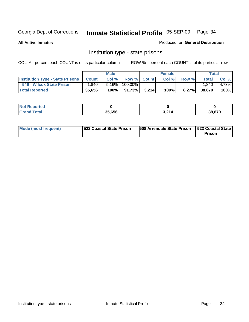**All Active Inmates**

Produced for **General Distribution**

### Institution type - state prisons

|                                         |              | <b>Male</b> |         |             | <b>Female</b> |          |              | <b>Total</b> |
|-----------------------------------------|--------------|-------------|---------|-------------|---------------|----------|--------------|--------------|
| <b>Institution Type - State Prisons</b> | <b>Count</b> | Col %       |         | Row % Count | Col %         | Row %    | <b>Total</b> | Col %        |
| 546<br><b>Wilcox State Prison</b>       | .840         | $5.16\%$    | 100.00% |             |               |          | .840         | 4.73%        |
| <b>Total Reported</b>                   | 35,656       | 100%        | 91.73%  | 3.214       | 100%          | $8.27\%$ | 38,870       | 100%         |

| Reported<br>. |        |       |        |
|---------------|--------|-------|--------|
| <b>ota</b>    | 35.656 | 3.214 | 38.870 |

| Mode (most frequent) | 1523 Coastal State Prison | <b>508 Arrendale State Prison 1523 Coastal State 1</b> | <b>Prison</b> |
|----------------------|---------------------------|--------------------------------------------------------|---------------|
|----------------------|---------------------------|--------------------------------------------------------|---------------|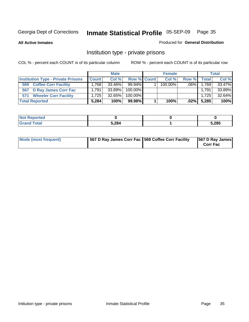**All Active Inmates**

#### Produced for **General Distribution**

### Institution type - private prisons

|                                           | <b>Male</b>  |           | <b>Female</b> |  |            | <b>Total</b> |              |        |
|-------------------------------------------|--------------|-----------|---------------|--|------------|--------------|--------------|--------|
| <b>Institution Type - Private Prisons</b> | <b>Count</b> | Col%      | Row % Count   |  | Col %      | Row %        | <b>Total</b> | Col %  |
| <b>Coffee Corr Facility</b><br>569        | 1.768        | $33.46\%$ | $99.94\%$     |  | $100.00\%$ | $.06\%$      | 1,769        | 33.47% |
| 567 D Ray James Corr Fac                  | 1.791        | 33.89%    | 100.00%       |  |            |              | 1.791        | 33.89% |
| 571 Wheeler Corr Facility                 | 1.725        | 32.65%    | 100.00%       |  |            |              | 1,725        | 32.64% |
| <b>Total Reported</b>                     | 5,284        | 100%      | 99.98%        |  | 100%       | $.02\%$      | 5,285        | 100%   |

| <b>ported</b><br><b>NOT</b><br>ner |       |       |
|------------------------------------|-------|-------|
| <b>Total</b>                       | 5,284 | 5,285 |

| <b>Mode (most frequent)</b> | 567 D Ray James Corr Fac 569 Coffee Corr Facility |  | 567 D Ray James<br><b>Corr Fac</b> |
|-----------------------------|---------------------------------------------------|--|------------------------------------|
|-----------------------------|---------------------------------------------------|--|------------------------------------|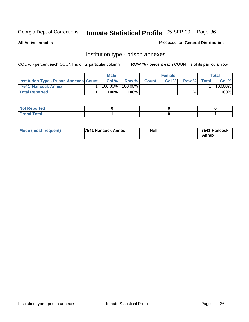**All Active Inmates**

Produced for **General Distribution**

### Institution type - prison annexes

|                                                | <b>Male</b> |            |         | <b>Female</b> |       |       | Total        |         |
|------------------------------------------------|-------------|------------|---------|---------------|-------|-------|--------------|---------|
| <b>Institution Type - Prison Annexes Count</b> |             | Col %      | Row %   | <b>Count</b>  | Col % | Row % | <b>Total</b> | Col %   |
| 7541 Hancock Annex                             |             | $100.00\%$ | 100.00% |               |       |       |              | 100.00% |
| <b>Total Reported</b>                          |             | 100%       | 100%    |               |       | %     |              | 100%    |

| <b>Not Reported</b> |  |  |
|---------------------|--|--|
| <b>Grand Total</b>  |  |  |

| <b>Mode (most frequent)</b> | <b>7541 Hancock Annex</b> | <b>Null</b> | 7541 Hancock |
|-----------------------------|---------------------------|-------------|--------------|
|                             |                           |             | Annex        |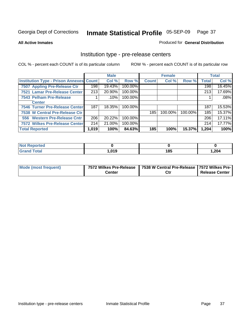**All Active Inmates**

Produced for **General Distribution**

## Institution type - pre-release centers

|                                                |       | <b>Male</b> |         |              | <b>Female</b> |         |              | <b>Total</b> |
|------------------------------------------------|-------|-------------|---------|--------------|---------------|---------|--------------|--------------|
| <b>Institution Type - Prison Annexes Count</b> |       | Col %       | Row %   | <b>Count</b> | Col %         | Row %   | <b>Total</b> | Col %        |
| 7507 Appling Pre-Release Ctr                   | 198   | 19.43%      | 100.00% |              |               |         | 198          | 16.45%       |
| 7521 Lamar Pre-Release Center                  | 213   | 20.90%      | 100.00% |              |               |         | 213          | 17.69%       |
| 7543 Pelham Pre-Release                        |       | .10%        | 100.00% |              |               |         |              | .08%         |
| <b>Center</b>                                  |       |             |         |              |               |         |              |              |
| 7546 Turner Pre-Release Center                 | 187   | 18.35%      | 100.00% |              |               |         | 187          | 15.53%       |
| 7538 W Central Pre-Release Ctr                 |       |             |         | 185          | 100.00%       | 100.00% | 185          | 15.37%       |
| 556 Western Pre-Release Cntr                   | 206   | 20.22%      | 100.00% |              |               |         | 206          | 17.11%       |
| 7572 Wilkes Pre-Release Center                 | 214   | 21.00%      | 100.00% |              |               |         | 214          | 17.77%       |
| <b>Total Reported</b>                          | 1,019 | 100%        | 84.63%  | 185          | 100%          | 15.37%  | 1,204        | 100%         |

| <b>Not</b><br>Reported       |      |     |       |
|------------------------------|------|-----|-------|
| <b>Total</b><br><b>Grand</b> | ,019 | 185 | 1,204 |

| Mode (most frequent) |        | 7572 Wilkes Pre-Release   7538 W Central Pre-Release   7572 Wilkes Pre- |                       |
|----------------------|--------|-------------------------------------------------------------------------|-----------------------|
|                      | Center | Ctı                                                                     | <b>Release Center</b> |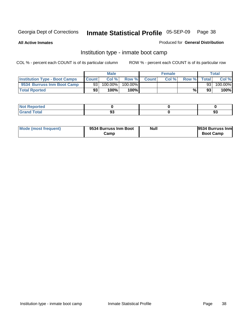**All Active Inmates**

### Produced for **General Distribution**

# Institution type - inmate boot camp

|                                      |                 | <b>Male</b> |         |              | <b>Female</b> |       |       | Total   |
|--------------------------------------|-----------------|-------------|---------|--------------|---------------|-------|-------|---------|
| <b>Institution Type - Boot Camps</b> | <b>Count</b>    | Col%        | Row %   | <b>Count</b> | Col%          | Row % | Total | Col %   |
| 9534 Burruss Inm Boot Camp           | 93 <sub>1</sub> | 100.00%     | 100.00% |              |               |       | 93    | 100.00% |
| <b>Total Rported</b>                 | 93              | 100%        | 100%I   |              |               | %     | 93    | 100%    |

| eported<br>$\sim 1 \, \mathrm{MeV}$<br><u>a ser e c</u> |         |                         |
|---------------------------------------------------------|---------|-------------------------|
| <b>Total</b>                                            | n.<br>◡ | $\mathbf{r}$<br><br>.ಶಾ |

| Mode (most frequent) | 9534 Burruss Inm Boot | <b>Null</b> | 9534 Burruss Inm |
|----------------------|-----------------------|-------------|------------------|
|                      | Camp                  |             | <b>Boot Camp</b> |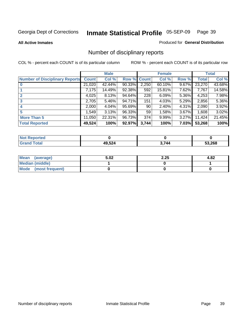### **All Active Inmates**

### Produced for **General Distribution**

# Number of disciplinary reports

|                                       |              | <b>Male</b> |        |              | <b>Female</b> |          |              | <b>Total</b> |
|---------------------------------------|--------------|-------------|--------|--------------|---------------|----------|--------------|--------------|
| <b>Number of Disciplinary Reports</b> | <b>Count</b> | Col %       | Row %  | <b>Count</b> | Col %         | Row %    | <b>Total</b> | Col %        |
|                                       | 21,020       | 42.44%      | 90.33% | 2,250        | 60.10%        | 9.67%    | 23,270       | 43.68%       |
|                                       | 7,175        | 14.49%      | 92.38% | 592          | 15.81%        | 7.62%    | 7,767        | 14.58%       |
| 2                                     | 4,025        | 8.13%       | 94.64% | 228          | 6.09%         | 5.36%    | 4,253        | 7.98%        |
| 3                                     | 2,705        | 5.46%       | 94.71% | 151          | 4.03%         | 5.29%    | 2,856        | 5.36%        |
|                                       | 2,000        | 4.04%       | 95.69% | 90           | 2.40%         | $4.31\%$ | 2,090        | 3.92%        |
| 5                                     | .549         | 3.13%       | 96.33% | 59           | 1.58%         | $3.67\%$ | 1,608        | 3.02%        |
| <b>More Than 5</b>                    | 11,050       | 22.31%      | 96.73% | 374          | 9.99%         | $3.27\%$ | 11,424       | 21.45%       |
| <b>Total Reported</b>                 | 49,524       | 100%        | 92.97% | 3,744        | 100%          | 7.03%    | 53,268       | 100%         |

| N         |       |            |        |
|-----------|-------|------------|--------|
| $\sim$ 10 | 10E91 | <b>711</b> | 53.268 |

| Mean (average)       | 5.02 | 2.25 | 4.82 |
|----------------------|------|------|------|
| Median (middle)      |      |      |      |
| Mode (most frequent) |      |      |      |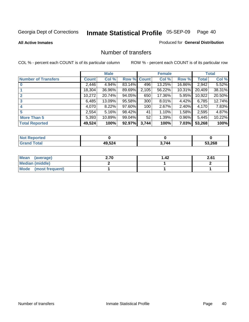### **All Active Inmates**

### Produced for **General Distribution**

## Number of transfers

|                            |         | <b>Male</b> |        |              | <b>Female</b> |          |              | <b>Total</b> |
|----------------------------|---------|-------------|--------|--------------|---------------|----------|--------------|--------------|
| <b>Number of Transfers</b> | Count l | Col %       | Row %  | <b>Count</b> | Col %         | Row %    | <b>Total</b> | Col %        |
|                            | 2,446   | 4.94%       | 83.14% | 496          | 13.25%        | 16.86%   | 2,942        | 5.52%        |
|                            | 18,304  | 36.96%      | 89.69% | 2,105        | 56.22%        | 10.31%   | 20,409       | 38.31%       |
|                            | 10,272  | 20.74%      | 94.05% | 650          | 17.36%        | 5.95%    | 10,922       | 20.50%       |
| 3                          | 6,485   | 13.09%      | 95.58% | 300          | $8.01\%$      | $4.42\%$ | 6,785        | 12.74%       |
|                            | 4,070   | 8.22%       | 97.60% | 100          | 2.67%         | $2.40\%$ | 4,170        | 7.83%        |
| 5                          | 2,554   | 5.16%       | 98.42% | 41           | 1.10%         | 1.58%    | 2,595        | 4.87%        |
| <b>More Than 5</b>         | 5,393   | 10.89%      | 99.04% | 52           | 1.39%         | $0.96\%$ | 5,445        | 10.22%       |
| <b>Total Reported</b>      | 49,524  | 100%        | 92.97% | 3,744        | 100%          | $7.03\%$ | 53,268       | 100%         |

| N         |       |            |        |
|-----------|-------|------------|--------|
| $\sim$ 10 | 10E91 | <b>711</b> | 53.268 |

| Mean (average)       | 2.70 | 42. ا | 2.61 |
|----------------------|------|-------|------|
| Median (middle)      |      |       |      |
| Mode (most frequent) |      |       |      |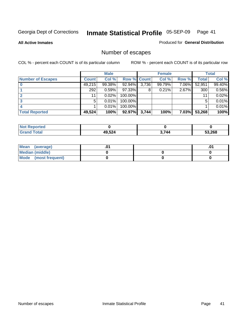**All Active Inmates**

### Produced for **General Distribution**

# Number of escapes

|                          |         | <b>Male</b> |                    |       | <b>Female</b> |          |        | <b>Total</b> |
|--------------------------|---------|-------------|--------------------|-------|---------------|----------|--------|--------------|
| <b>Number of Escapes</b> | Count l | Col %       | <b>Row % Count</b> |       | Col %         | Row %    | Total  | Col %        |
|                          | 49,215  | 99.38%      | 92.94%             | 3,736 | 99.79%        | 7.06%    | 52,951 | 99.40%       |
|                          | 292     | 0.59%       | 97.33%             | 8     | 0.21%         | 2.67%    | 300    | 0.56%        |
|                          | 11      | 0.02%       | 100.00%            |       |               |          | 11     | 0.02%        |
|                          | 5.      | 0.01%       | 100.00%            |       |               |          | 5      | 0.01%        |
|                          |         | 0.01%       | 100.00%            |       |               |          |        | 0.01%        |
| <b>Total Reported</b>    | 49,524  | 100%        | 92.97%             | 3,744 | 100%          | $7.03\%$ | 53,268 | 100%         |

| тео            |                              |       |        |
|----------------|------------------------------|-------|--------|
| T <sub>0</sub> | 10 521<br>. . <del>.</del> . | 3,744 | 53,268 |

| <b>Mean</b><br>(average) |  | .0 |
|--------------------------|--|----|
| Median (middle)          |  |    |
| Mode (most frequent)     |  |    |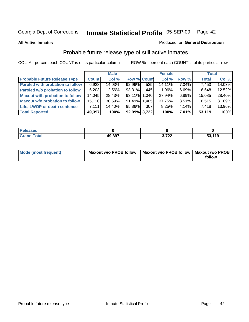**All Active Inmates**

### Produced for **General Distribution**

# Probable future release type of still active inmates

|                                         |              | <b>Male</b> |                    |     | <b>Female</b> |          | <b>Total</b> |        |
|-----------------------------------------|--------------|-------------|--------------------|-----|---------------|----------|--------------|--------|
| <b>Probable Future Release Type</b>     | <b>Count</b> | Col %       | <b>Row % Count</b> |     | Col %         | Row %    | <b>Total</b> | Col %  |
| <b>Paroled with probation to follow</b> | 6,928        | 14.03%      | 92.96%             | 525 | 14.11%        | $7.04\%$ | 7,453        | 14.03% |
| Paroled w/o probation to follow         | 6,203        | 12.56%      | 93.31%             | 445 | 11.96%        | 6.69%    | 6,648        | 12.52% |
| <b>Maxout with probation to follow</b>  | 14,045       | 28.43%      | 93.11% 1.040       |     | 27.94%        | 6.89%    | 15,085       | 28.40% |
| <b>Maxout w/o probation to follow</b>   | 15,110       | 30.59%      | 91.49% 1.405       |     | 37.75%        | $8.51\%$ | 16,515       | 31.09% |
| Life, LWOP or death sentence            | 7.111        | 14.40%      | 95.86%             | 307 | 8.25%         | $4.14\%$ | 7,418        | 13.96% |
| <b>Total Reported</b>                   | 49,397       | 100%        | 92.99% 3,722       |     | 100%          | $7.01\%$ | 53,119       | 100%   |

| Released |        |        |        |
|----------|--------|--------|--------|
| Total    | 49,397 | 700    | 53,119 |
| . Grar   |        | J.I LL | ่งง. เ |

| Mode (most frequent) | <b>Maxout w/o PROB follow</b> | Maxout w/o PROB follow   Maxout w/o PROB |        |
|----------------------|-------------------------------|------------------------------------------|--------|
|                      |                               |                                          | follow |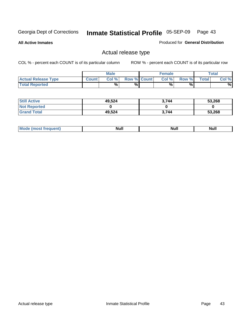**All Active Inmates**

Produced for **General Distribution**

# Actual release type

|                            |              | <b>Male</b> |                    | <b>Female</b> |        |       | $\tau$ otal |
|----------------------------|--------------|-------------|--------------------|---------------|--------|-------|-------------|
| <b>Actual Release Type</b> | <b>Count</b> | Col %       | <b>Row % Count</b> | Col %         | Row %I | Total | Col %       |
| <b>Total Reported</b>      |              | $\%$        | %                  | %             | %      |       | %           |

| <b>Still Active</b> | 49,524 | 3.744 | 53,268 |
|---------------------|--------|-------|--------|
| <b>Not Reported</b> |        |       |        |
| <b>Grand Total</b>  | 49,524 | 3.744 | 53,268 |

| M<br>____ | Ah d <sup>u</sup><br>,,,,, | <b>Null</b> | <b>IVAII</b> |
|-----------|----------------------------|-------------|--------------|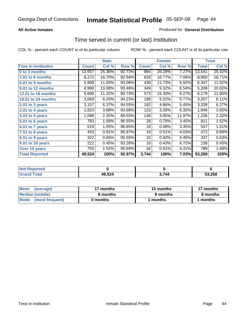### **All Active Inmates**

### Produced for **General Distribution**

## Time served in current (or last) institution

|                            |              | <b>Male</b> |        |              | <b>Female</b> |        |        | <b>Total</b> |
|----------------------------|--------------|-------------|--------|--------------|---------------|--------|--------|--------------|
| <b>Time In Institution</b> | <b>Count</b> | Col %       | Row %  | <b>Count</b> | Col %         | Row %  | Total  | Col %        |
| 0 to 3 months              | 12,557       | 25.36%      | 92.73% | 984          | 26.28%        | 7.27%  | 13,541 | 25.42%       |
| 3.01 to 6 months           | 8,272        | 16.70%      | 92.94% | 628          | 16.77%        | 7.06%  | 8,900  | 16.71%       |
| 6.01 to 9 months           | 5,908        | 11.93%      | 93.08% | 439          | 11.73%        | 6.92%  | 6,347  | 11.92%       |
| 9.01 to 12 months          | 4,990        | 10.08%      | 93.46% | 349          | 9.32%         | 6.54%  | 5,339  | 10.02%       |
| 12.01 to 18 months         | 5,606        | 11.32%      | 90.73% | 573          | 15.30%        | 9.27%  | 6,179  | 11.60%       |
| <b>18.01 to 24 months</b>  | 3,069        | 6.20%       | 94.23% | 188          | 5.02%         | 5.77%  | 3,257  | 6.11%        |
| 2.01 to 3 years            | 3,157        | 6.37%       | 94.55% | 182          | 4.86%         | 5.45%  | 3,339  | 6.27%        |
| 3.01 to 4 years            | 1,823        | 3.68%       | 93.68% | 123          | 3.29%         | 6.32%  | 1,946  | 3.65%        |
| 4.01 to 5 years            | 1,088        | 2.20%       | 88.03% | 148          | 3.95%         | 11.97% | 1,236  | 2.32%        |
| 5.01 to 6 years            | 783          | 1.58%       | 96.55% | 28           | 0.75%         | 3.45%  | 811    | 1.52%        |
| $6.01$ to 7 years          | 519          | 1.05%       | 96.65% | 18           | 0.48%         | 3.35%  | 537    | 1.01%        |
| 7.01 to 8 years            | 453          | 0.91%       | 95.97% | 19           | 0.51%         | 4.03%  | 472    | 0.89%        |
| 8.01 to 9 years            | 322          | 0.65%       | 95.55% | 15           | 0.40%         | 4.45%  | 337    | 0.63%        |
| 9.01 to 10 years           | 222          | 0.45%       | 93.28% | 16           | 0.43%         | 6.72%  | 238    | 0.45%        |
| Over 10 years              | 755          | 1.52%       | 95.69% | 34           | 0.91%         | 4.31%  | 789    | 1.48%        |
| <b>Total Reported</b>      | 49,524       | 100%        | 92.97% | 3,744        | 100%          | 7.03%  | 53,268 | 100%         |

| <b>Not R</b><br>Reported |        |     |        |
|--------------------------|--------|-----|--------|
| <b>Total</b>             | 49,524 | 744 | 53.268 |

| <b>Mean</b><br>(average)       | 17 months | 15 months | 17 months |
|--------------------------------|-----------|-----------|-----------|
| Median (middle)                | 8 months  | 8 months  | 8 months  |
| <b>Mode</b><br>(most frequent) | 0 months  | months    | months    |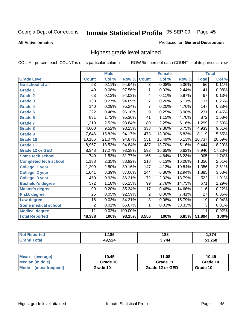**All Active Inmates**

### Produced for **General Distribution**

# Highest grade level attained

|                              |                  | <b>Male</b> |         |                  | <b>Female</b> |        |                  | <b>Total</b> |
|------------------------------|------------------|-------------|---------|------------------|---------------|--------|------------------|--------------|
| <b>Grade Level</b>           | <b>Count</b>     | Col %       | Row %   | <b>Count</b>     | Col %         | Row %  | <b>Total</b>     | Col %        |
| No school at all             | $\overline{53}$  | 0.11%       | 94.64%  | $\overline{3}$   | 0.08%         | 5.36%  | $\overline{56}$  | 0.11%        |
| <b>Grade 1</b>               | 40               | 0.08%       | 97.56%  | 1                | 0.03%         | 2.44%  | $\overline{41}$  | 0.08%        |
| <b>Grade 2</b>               | 63               | 0.13%       | 94.03%  | 4                | 0.11%         | 5.97%  | 67               | 0.13%        |
| <b>Grade 3</b>               | 130              | 0.27%       | 94.89%  | 7                | 0.20%         | 5.11%  | $\overline{137}$ | 0.26%        |
| <b>Grade 4</b>               | 140              | 0.29%       | 95.24%  | $\overline{7}$   | 0.20%         | 4.76%  | $\overline{147}$ | 0.28%        |
| <b>Grade 5</b>               | $\overline{222}$ | 0.46%       | 96.10%  | $\overline{9}$   | 0.25%         | 3.90%  | $\overline{231}$ | 0.45%        |
| Grade 6                      | 831              | 1.72%       | 95.30%  | $\overline{41}$  | 1.15%         | 4.70%  | 872              | 1.68%        |
| <b>Grade 7</b>               | 1,219            | 2.52%       | 93.84%  | $\overline{80}$  | 2.25%         | 6.16%  | 1,299            | 2.50%        |
| <b>Grade 8</b>               | 4,600            | 9.52%       | 93.25%  | $\overline{333}$ | 9.36%         | 6.75%  | 4,933            | 9.51%        |
| <b>Grade 9</b>               | 7,646            | 15.82%      | 94.17%  | $\overline{47}3$ | 13.30%        | 5.83%  | 8,119            | 15.65%       |
| Grade 10                     | 10,186           | 21.07%      | 94.87%  | 551              | 15.49%        | 5.13%  | 10,737           | 20.69%       |
| Grade 11                     | 8,957            | 18.53%      | 94.84%  | 487              | 13.70%        | 5.16%  | 9,444            | 18.20%       |
| <b>Grade 12 or GED</b>       | 8,348            | 17.27%      | 93.38%  | 592              | 16.65%        | 6.62%  | 8,940            | 17.23%       |
| <b>Some tech school</b>      | $\overline{7}40$ | 1.53%       | 81.77%  | 165              | 4.64%         | 18.23% | 905              | 1.74%        |
| <b>Completed tech school</b> | 1,138            | 2.35%       | 83.92%  | $\overline{218}$ | 6.13%         | 16.08% | 1,356            | 2.61%        |
| College, 1 year              | 1,209            | 2.50%       | 89.16%  | 147              | 4.13%         | 10.84% | 1,356            | 2.61%        |
| College, 2 year              | 1,641            | 3.39%       | 87.06%  | 244              | 6.86%         | 12.94% | 1,885            | 3.63%        |
| College, 3 year              | 450              | 0.93%       | 86.21%  | $\overline{72}$  | 2.02%         | 13.79% | 522              | 1.01%        |
| <b>Bachelor's degree</b>     | $\overline{572}$ | 1.18%       | 85.25%  | 99               | 2.78%         | 14.75% | 671              | 1.29%        |
| <b>Master's degree</b>       | 99               | 0.20%       | 85.34%  | $\overline{17}$  | 0.48%         | 14.66% | 116              | 0.22%        |
| Ph.D. degree                 | $\overline{25}$  | 0.05%       | 92.59%  | $\overline{2}$   | 0.06%         | 7.41%  | $\overline{27}$  | 0.05%        |
| Law degree                   | $\overline{16}$  | 0.03%       | 84.21%  | $\overline{3}$   | 0.08%         | 15.79% | $\overline{19}$  | 0.04%        |
| <b>Some medical school</b>   | $\overline{2}$   | 0.01%       | 66.67%  | 1                | 0.03%         | 33.33% | $\overline{3}$   | 0.01%        |
| <b>Medical degree</b>        | $\overline{11}$  | 0.02%       | 100.00% |                  |               |        | $\overline{11}$  | 0.02%        |
| <b>Total Reported</b>        | 48,338           | 100%        | 93.15%  | 3,556            | 100%          | 6.85%  | 51,894           | 100%         |

| ,186   | 188         | .      |
|--------|-------------|--------|
| 10.501 | <b>1744</b> | 53.268 |

| <b>Mean</b><br>(average)       | 10.45    | 11.08           | 10.49    |
|--------------------------------|----------|-----------------|----------|
| Median (middle)                | Grade 10 | Grade 11        | Grade 10 |
| <b>Mode</b><br>(most frequent) | Grade 10 | Grade 12 or GED | Grade 10 |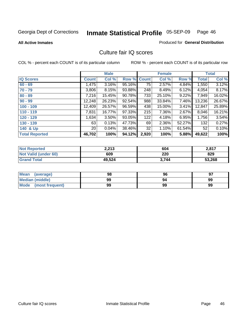**All Active Inmates**

### Produced for **General Distribution**

## Culture fair IQ scores

|                       |              | <b>Male</b> |        |                 | <b>Female</b> |        |              | <b>Total</b> |
|-----------------------|--------------|-------------|--------|-----------------|---------------|--------|--------------|--------------|
| <b>IQ Scores</b>      | <b>Count</b> | Col %       | Row %  | <b>Count</b>    | Col %         | Row %  | <b>Total</b> | Col %        |
| $60 - 69$             | 1,475        | 3.16%       | 95.16% | $\overline{75}$ | 2.57%         | 4.84%  | 1,550        | 3.12%        |
| $70 - 79$             | 3,806        | 8.15%       | 93.88% | 248             | 8.49%         | 6.12%  | 4,054        | 8.17%        |
| $80 - 89$             | 7,216        | 15.45%      | 90.78% | 733             | 25.10%        | 9.22%  | 7,949        | 16.02%       |
| $90 - 99$             | 12,248       | 26.23%      | 92.54% | 988             | 33.84%        | 7.46%  | 13,236       | 26.67%       |
| $100 - 109$           | 12,409       | 26.57%      | 96.59% | 438             | 15.00%        | 3.41%  | 12,847       | 25.89%       |
| $110 - 119$           | 7,831        | 16.77%      | 97.33% | 215             | 7.36%         | 2.67%  | 8,046        | 16.21%       |
| $120 - 129$           | 1,634        | 3.50%       | 93.05% | 122             | 4.18%         | 6.95%  | 1,756        | 3.54%        |
| $130 - 139$           | 63           | 0.13%       | 47.73% | 69              | 2.36%         | 52.27% | 132          | 0.27%        |
| 140 & Up              | 20           | 0.04%       | 38.46% | 32              | 1.10%         | 61.54% | 52           | 0.10%        |
| <b>Total Reported</b> | 46,702       | 100%        | 94.12% | 2,920           | 100%          | 5.88%  | 49,622       | 100%         |

| <b>Not Reported</b>         | 2,213  | 604   | 2,817  |
|-----------------------------|--------|-------|--------|
| <b>Not Valid (under 60)</b> | 609    | 220   | 829    |
| <b>Grand Total</b>          | 49,524 | 3.744 | 53,268 |

| <b>Mean</b><br>(average) | 98 | 96 | 97 |
|--------------------------|----|----|----|
| Median (middle)          | 99 | 94 | 99 |
| Mode (most frequent)     | 99 | 99 | 99 |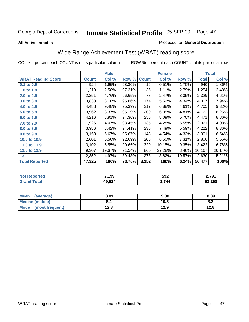### **All Active Inmates**

### Produced for **General Distribution**

# Wide Range Achievement Test (WRAT) reading score

|                           |              | <b>Male</b> |        |              | <b>Female</b> |        |              | <b>Total</b> |
|---------------------------|--------------|-------------|--------|--------------|---------------|--------|--------------|--------------|
| <b>WRAT Reading Score</b> | <b>Count</b> | Col %       | Row %  | <b>Count</b> | Col %         | Row %  | <b>Total</b> | Col %        |
| 0.1 to 0.9                | 924          | 1.95%       | 98.30% | 16           | 0.51%         | 1.70%  | 940          | 1.86%        |
| 1.0 to 1.9                | 1,219        | 2.58%       | 97.21% | 35           | 1.11%         | 2.79%  | 1,254        | 2.48%        |
| 2.0 to 2.9                | 2,251        | 4.76%       | 96.65% | 78           | 2.47%         | 3.35%  | 2,329        | 4.61%        |
| 3.0 to 3.9                | 3,833        | 8.10%       | 95.66% | 174          | 5.52%         | 4.34%  | 4,007        | 7.94%        |
| 4.0 to 4.9                | 4,488        | 9.48%       | 95.39% | 217          | 6.88%         | 4.61%  | 4,705        | 9.32%        |
| 5.0 to 5.9                | 3,962        | 8.37%       | 95.19% | 200          | 6.35%         | 4.81%  | 4,162        | 8.25%        |
| 6.0 to 6.9                | 4,216        | 8.91%       | 94.30% | 255          | 8.09%         | 5.70%  | 4,471        | 8.86%        |
| 7.0 to 7.9                | 1,926        | 4.07%       | 93.45% | 135          | 4.28%         | 6.55%  | 2,061        | 4.08%        |
| 8.0 to 8.9                | 3,986        | 8.42%       | 94.41% | 236          | 7.49%         | 5.59%  | 4,222        | 8.36%        |
| 9.0 to 9.9                | 3,158        | 6.67%       | 95.67% | 143          | 4.54%         | 4.33%  | 3,301        | 6.54%        |
| 10.0 to 10.9              | 2,601        | 5.50%       | 92.69% | 205          | 6.50%         | 7.31%  | 2,806        | 5.56%        |
| 11.0 to 11.9              | 3,102        | 6.55%       | 90.65% | 320          | 10.15%        | 9.35%  | 3,422        | 6.78%        |
| 12.0 to 12.9              | 9,307        | 19.67%      | 91.54% | 860          | 27.28%        | 8.46%  | 10,167       | 20.14%       |
| 13                        | 2,352        | 4.97%       | 89.43% | 278          | 8.82%         | 10.57% | 2,630        | 5.21%        |
| <b>Total Reported</b>     | 47,325       | 100%        | 93.76% | 3,152        | 100%          | 6.24%  | 50,477       | 100%         |

| 2,199  | 592 | 2704   |
|--------|-----|--------|
| 49,524 | 744 | 53,268 |

| <b>Mean</b><br>(average) | 8.01       | 9.30 | 8.09 |
|--------------------------|------------|------|------|
| Median (middle)          | י ה<br>0.Z | 10.5 | o.z  |
| Mode<br>(most frequent)  | 12.8       | 12.9 | 12.8 |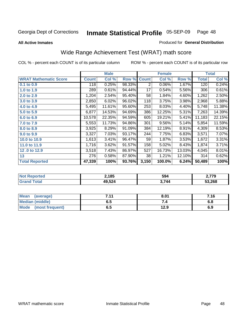**All Active Inmates**

### Produced for **General Distribution**

# Wide Range Achievement Test (WRAT) math score

|                              |              | <b>Male</b> |        |              | <b>Female</b> |        |              | <b>Total</b> |
|------------------------------|--------------|-------------|--------|--------------|---------------|--------|--------------|--------------|
| <b>WRAT Mathematic Score</b> | <b>Count</b> | Col %       | Row %  | <b>Count</b> | Col %         | Row %  | <b>Total</b> | Col %        |
| 0.1 to 0.9                   | 118          | 0.25%       | 98.33% | 2            | 0.06%         | 1.67%  | 120          | 0.24%        |
| 1.0 to 1.9                   | 289          | 0.61%       | 94.44% | 17           | 0.54%         | 5.56%  | 306          | 0.61%        |
| 2.0 to 2.9                   | 1,204        | 2.54%       | 95.40% | 58           | 1.84%         | 4.60%  | 1,262        | 2.50%        |
| 3.0 to 3.9                   | 2,850        | 6.02%       | 96.02% | 118          | 3.75%         | 3.98%  | 2,968        | 5.88%        |
| 4.0 to 4.9                   | 5,495        | 11.61%      | 95.60% | 253          | 8.03%         | 4.40%  | 5,748        | 11.38%       |
| 5.0 to 5.9                   | 6,877        | 14.53%      | 94.69% | 386          | 12.25%        | 5.31%  | 7,263        | 14.39%       |
| 6.0 to 6.9                   | 10,578       | 22.35%      | 94.59% | 605          | 19.21%        | 5.41%  | 11,183       | 22.15%       |
| 7.0 to 7.9                   | 5,553        | 11.73%      | 94.86% | 301          | 9.56%         | 5.14%  | 5,854        | 11.59%       |
| 8.0 to 8.9                   | 3,925        | 8.29%       | 91.09% | 384          | 12.19%        | 8.91%  | 4,309        | 8.53%        |
| 9.0 to 9.9                   | 3,327        | 7.03%       | 93.17% | 244          | 7.75%         | 6.83%  | 3,571        | 7.07%        |
| 10.0 to 10.9                 | 1,613        | 3.41%       | 96.47% | 59           | 1.87%         | 3.53%  | 1,672        | 3.31%        |
| 11.0 to 11.9                 | 1,716        | 3.62%       | 91.57% | 158          | 5.02%         | 8.43%  | 1,874        | 3.71%        |
| 12.0 to 12.9                 | 3,518        | 7.43%       | 86.97% | 527          | 16.73%        | 13.03% | 4,045        | 8.01%        |
| 13                           | 276          | 0.58%       | 87.90% | 38           | 1.21%         | 12.10% | 314          | 0.62%        |
| <b>Total Reported</b>        | 47,339       | 100%        | 93.76% | 3,150        | 100.0%        | 6.24%  | 50,489       | 100%         |

| prtea<br>NO | 2,185  | 594   | 770 כ  |
|-------------|--------|-------|--------|
| Gr          | 49,524 | 3.744 | 53,268 |

| Mean (average)         | 7.11 | 8.01 | 7.16 |
|------------------------|------|------|------|
| <b>Median (middle)</b> | ნ. O |      | 6.8  |
| Mode (most frequent)   | დ.g  | 12.9 | 6.9  |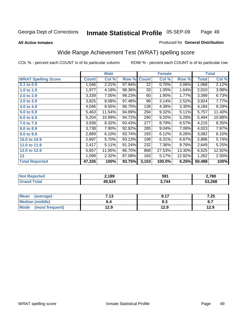### **All Active Inmates**

### Produced for **General Distribution**

# Wide Range Achievement Test (WRAT) spelling score

|                            |              | <b>Male</b> |        |                 | <b>Female</b> |        |                    | <b>Total</b> |
|----------------------------|--------------|-------------|--------|-----------------|---------------|--------|--------------------|--------------|
| <b>WRAT Spelling Score</b> | <b>Count</b> | Col %       | Row %  | <b>Count</b>    | Col %         | Row %  | <b>Total</b>       | Col %        |
| $0.1$ to $0.9$             | 1,046        | 2.21%       | 97.94% | $\overline{22}$ | 0.70%         | 2.06%  | 1,068              | 2.12%        |
| 1.0 to 1.9                 | 1,977        | 4.18%       | 98.36% | 33              | 1.05%         | 1.64%  | 2,010              | 3.98%        |
| 2.0 to 2.9                 | 3,339        | 7.05%       | 98.23% | 60              | 1.90%         | 1.77%  | 3,399              | 6.73%        |
| 3.0 to 3.9                 | 3,825        | 8.08%       | 97.48% | 99              | 3.14%         | 2.52%  | 3,924              | 7.77%        |
| 4.0 to 4.9                 | 4,046        | 8.55%       | 96.70% | 138             | 4.38%         | 3.30%  | 4,184              | 8.29%        |
| 5.0 to 5.9                 | 5,463        | 11.54%      | 94.89% | 294             | 9.32%         | 5.11%  | 5,757              | 11.40%       |
| 6.0 to 6.9                 | 5,204        | 10.99%      | 94.72% | 290             | 9.20%         | 5.28%  | 5,494              | 10.88%       |
| 7.0 to 7.9                 | 3,938        | 8.32%       | 93.43% | 277             | 8.79%         | 6.57%  | 4,215              | 8.35%        |
| 8.0 to 8.9                 | 3,738        | 7.90%       | 92.92% | 285             | 9.04%         | 7.08%  | 4,023              | 7.97%        |
| 9.0 to 9.9                 | 2,889        | 6.10%       | 93.74% | 193             | 6.12%         | 6.26%  | 3,082              | 6.10%        |
| 10.0 to 10.9               | 2,697        | 5.70%       | 93.13% | 199             | 6.31%         | 6.87%  | $\overline{2,896}$ | 5.74%        |
| 11.0 to 11.9               | 2,417        | 5.11%       | 91.24% | 232             | 7.36%         | 8.76%  | 2,649              | 5.25%        |
| 12.0 to 12.9               | 5,657        | 11.95%      | 86.70% | 868             | 27.53%        | 13.30% | 6,525              | 12.92%       |
| 13                         | 1,099        | 2.32%       | 87.08% | 163             | 5.17%         | 12.92% | 1,262              | 2.50%        |
| <b>Total Reported</b>      | 47,335       | 100%        | 93.75% | 3,153           | 100.0%        | 6.25%  | 50,488             | 100%         |

| 2,189  | 591 | 2,780  |
|--------|-----|--------|
| 49,524 | 744 | 53,268 |

| <b>Mean</b><br>(average) | 112<br>. | Q 17 | 7.25 |
|--------------------------|----------|------|------|
| <b>Median (middle)</b>   | b.4      | ৬.১  | v. 1 |
| Mode<br>(most frequent)  | 12.9     | 12.9 | 12.9 |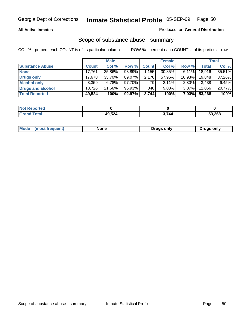### **All Active Inmates**

### Produced for **General Distribution**

## Scope of substance abuse - summary

|                        |              | <b>Male</b> |           |                | <b>Female</b> |           |              | <b>Total</b> |
|------------------------|--------------|-------------|-----------|----------------|---------------|-----------|--------------|--------------|
| <b>Substance Abuse</b> | <b>Count</b> | Col %       | Row %     | <b>Count</b>   | Col %         | Row %     | <b>Total</b> | Col %        |
| <b>None</b>            | 17,761       | 35.86%      | 93.89%    | $\sqrt{1.155}$ | 30.85%        | $6.11\%$  | 18,916       | 35.51%       |
| <b>Drugs only</b>      | 17.678       | 35.70%      | 89.07%    | 2,170          | 57.96%        | $10.93\%$ | 19.848       | 37.26%       |
| <b>Alcohol only</b>    | 3.359        | $6.78\%$    | $97.70\%$ | 79             | $2.11\%$      | $2.30\%$  | 3,438        | 6.45%        |
| Drugs and alcohol      | 10.726       | 21.66%      | 96.93%    | 340            | 9.08%         | $3.07\%$  | 11,066       | 20.77%       |
| <b>Total Reported</b>  | 49,524       | 100%        | 92.97%    | 3,744          | 100%          | $7.03\%$  | 53,268       | 100%         |

| <b>Not</b><br>Reported |        |     |        |
|------------------------|--------|-----|--------|
| <b>Total</b>           | 19,524 | 744 | 53,268 |

|  | Mode<br>(most frequent) | None | Drugs only | <b>Drugs only</b> |
|--|-------------------------|------|------------|-------------------|
|--|-------------------------|------|------------|-------------------|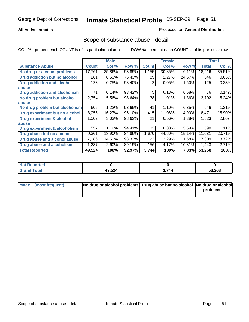### **All Active Inmates**

### Produced for **General Distribution**

## Scope of substance abuse - detail

|                                      |              | <b>Male</b> |        |              | <b>Female</b> |        |              | <b>Total</b> |
|--------------------------------------|--------------|-------------|--------|--------------|---------------|--------|--------------|--------------|
| <b>Substance Abuse</b>               | <b>Count</b> | Col %       | Row %  | <b>Count</b> | Col %         | Row %  | <b>Total</b> | Col %        |
| No drug or alcohol problems          | 17,761       | 35.86%      | 93.89% | 1,155        | 30.85%        | 6.11%  | 18,916       | 35.51%       |
| Drug addiction but no alcohol        | 261          | 0.53%       | 75.43% | 85           | 2.27%         | 24.57% | 346          | 0.65%        |
| <b>Drug addiction and alcohol</b>    | 123          | 0.25%       | 98.40% | 2            | $0.05\%$      | 1.60%  | 125          | 0.23%        |
| abuse                                |              |             |        |              |               |        |              |              |
| <b>Drug addiction and alcoholism</b> | 71           | 0.14%       | 93.42% | 5            | 0.13%         | 6.58%  | 76           | 0.14%        |
| No drug problem but alcohol          | 2,754        | 5.56%       | 98.64% | 38           | 1.01%         | 1.36%  | 2,792        | 5.24%        |
| abuse                                |              |             |        |              |               |        |              |              |
| No drug problem but alcoholism       | 605          | 1.22%       | 93.65% | 41           | 1.10%         | 6.35%  | 646          | 1.21%        |
| Drug experiment but no alcohol       | 8,056        | 16.27%      | 95.10% | 415          | 11.08%        | 4.90%  | 8,471        | 15.90%       |
| <b>Drug experiment &amp; alcohol</b> | 1,502        | 3.03%       | 98.62% | 21           | 0.56%         | 1.38%  | 1,523        | 2.86%        |
| abuse                                |              |             |        |              |               |        |              |              |
| Drug experiment & alcoholism         | 557          | 1.12%       | 94.41% | 33           | 0.88%         | 5.59%  | 590          | 1.11%        |
| Drug abuse but no alcohol            | 9,361        | 18.90%      | 84.86% | 1,670        | 44.60%        | 15.14% | 11,031       | 20.71%       |
| Drug abuse and alcohol abuse         | 7,186        | 14.51%      | 98.32% | 123          | 3.29%         | 1.68%  | 7,309        | 13.72%       |
| Drug abuse and alcoholism            | 1,287        | 2.60%       | 89.19% | 156          | 4.17%         | 10.81% | 1,443        | 2.71%        |
| <b>Total Reported</b>                | 49,524       | 100%        | 92.97% | 3,744        | 100%          | 7.03%  | 53,268       | 100%         |

| <b>Not Reported</b> |        |       |        |
|---------------------|--------|-------|--------|
| 'otal               | 49,524 | 3,744 | 53.268 |

| Mode (most frequent) | No drug or alcohol problems Drug abuse but no alcohol No drug or alcohol |          |
|----------------------|--------------------------------------------------------------------------|----------|
|                      |                                                                          | problems |
|                      |                                                                          |          |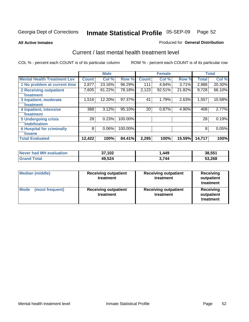**All Active Inmates**

### Produced for **General Distribution**

## Current / last mental health treatment level

|                                    |              | <b>Male</b> |         |              | <b>Female</b> |        |              | <b>Total</b> |
|------------------------------------|--------------|-------------|---------|--------------|---------------|--------|--------------|--------------|
| <b>Mental Health Treatment Lev</b> | <b>Count</b> | Col%        | Row %   | <b>Count</b> | Col%          | Row %  | <b>Total</b> | Col %        |
| 1 No problem at current time       | 2,877        | 23.16%      | 96.29%  | 111          | 4.84%         | 3.71%  | 2,988        | 20.30%       |
| <b>2 Receiving outpatient</b>      | 7,605        | 61.22%      | 78.18%  | 2,123        | 92.51%        | 21.82% | 9,728        | 66.10%       |
| treatment                          |              |             |         |              |               |        |              |              |
| 3 Inpatient, moderate              | 1,516        | 12.20%      | 97.37%  | 41           | 1.79%         | 2.63%  | 1,557        | 10.58%       |
| treatment                          |              |             |         |              |               |        |              |              |
| 4 Inpatient, intensive             | 388          | 3.12%       | 95.10%  | 20           | 0.87%         | 4.90%  | 408          | 2.77%        |
| treatment                          |              |             |         |              |               |        |              |              |
| <b>5 Undergoing crisis</b>         | 28           | 0.23%       | 100.00% |              |               |        | 28           | 0.19%        |
| stabilization                      |              |             |         |              |               |        |              |              |
| <b>6 Hospital for criminally</b>   | 8            | 0.06%       | 100.00% |              |               |        | 8            | 0.05%        |
| insane                             |              |             |         |              |               |        |              |              |
| <b>Total Evaluated</b>             | 12,422       | 100%        | 84.41%  | 2,295        | 100%          | 15.59% | 14,717       | 100%         |

| Never had MH evaluation | 37,102 | .449  | 38,551 |
|-------------------------|--------|-------|--------|
| <b>Grand Total</b>      | 49,524 | 3.744 | 53,268 |

| Median (middle)         | <b>Receiving outpatient</b><br>treatment | <b>Receiving outpatient</b><br>treatment | <b>Receiving</b><br>outpatient<br>treatment |  |
|-------------------------|------------------------------------------|------------------------------------------|---------------------------------------------|--|
| Mode<br>(most frequent) | <b>Receiving outpatient</b><br>treatment | <b>Receiving outpatient</b><br>treatment | Receiving<br>outpatient<br>treatment        |  |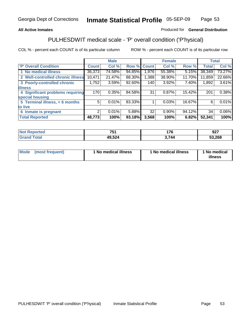### **All Active Inmates**

## Produced for **General Distribution**

# PULHESDWIT medical scale - 'P' overall condition ('P'hysical)

|                                   |        | <b>Male</b> |        |              | <b>Female</b> |        |              | <b>Total</b> |
|-----------------------------------|--------|-------------|--------|--------------|---------------|--------|--------------|--------------|
| 'P' Overall Condition             | Count  | Col %       | Row %  | <b>Count</b> | Col %         | Row %  | <b>Total</b> | Col %        |
| 1 No medical illness              | 36,373 | 74.58%      | 94.85% | ا 976. ا     | 55.38%        | 5.15%  | 38,349       | 73.27%       |
| 2 Well-controlled chronic illness | 10,471 | 21.47%      | 88.30% | 1,388        | 38.90%        | 11.70% | 11,859       | 22.66%       |
| 3 Poorly-controlled chronic       | 1,752  | 3.59%       | 92.60% | 140          | 3.92%         | 7.40%  | 1,892        | 3.61%        |
| <b>illness</b>                    |        |             |        |              |               |        |              |              |
| 4 Significant problems requiring  | 170    | 0.35%       | 84.58% | 31           | 0.87%         | 15.42% | 201          | 0.38%        |
| special housing                   |        |             |        |              |               |        |              |              |
| 5 Terminal illness, < 6 months    | 5      | 0.01%       | 83.33% |              | 0.03%         | 16.67% | 6            | 0.01%        |
| to live                           |        |             |        |              |               |        |              |              |
| Inmate is pregnant<br>6           | 2      | 0.01%       | 5.88%  | 32           | 0.90%         | 94.12% | 34           | $0.06\%$     |
| <b>Total Reported</b>             | 48,773 | 100%        | 93.18% | 3,568        | 100%          | 6.82%  | 52,341       | 100%         |

| тео | フロヘ                                                 | 1 7 C | ^^7<br>34 I |
|-----|-----------------------------------------------------|-------|-------------|
|     | 49,524<br>$\sim$ $\sim$ $\sim$ $\sim$ $\sim$ $\sim$ | 744   | 3,268<br>-0 |

| Mode | (most frequent) | 1 No medical illness | 1 No medical illness | 1 No medical<br>illness |
|------|-----------------|----------------------|----------------------|-------------------------|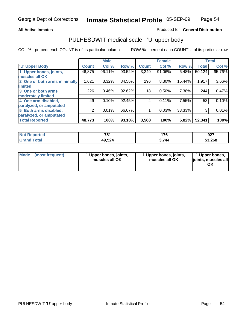### **All Active Inmates**

### Produced for **General Distribution**

## PULHESDWIT medical scale - 'U' upper body

|                              |              | <b>Male</b> |        |              | <b>Female</b> |        |              | <b>Total</b> |
|------------------------------|--------------|-------------|--------|--------------|---------------|--------|--------------|--------------|
| <b>U' Upper Body</b>         | <b>Count</b> | Col %       | Row %  | <b>Count</b> | Col %         | Row %  | <b>Total</b> | Col %        |
| 1 Upper bones, joints,       | 46,875       | 96.11%      | 93.52% | 3,249        | 91.06%        | 6.48%  | 50,124       | 95.76%       |
| muscles all OK               |              |             |        |              |               |        |              |              |
| 2 One or both arms minimally | 1,621        | 3.32%       | 84.56% | 296          | 8.30%         | 15.44% | 1,917        | 3.66%        |
| limited                      |              |             |        |              |               |        |              |              |
| 3 One or both arms           | 226          | 0.46%       | 92.62% | 18           | 0.50%         | 7.38%  | 244          | 0.47%        |
| moderately limited           |              |             |        |              |               |        |              |              |
| 4 One arm disabled,          | 49           | 0.10%       | 92.45% | 4            | 0.11%         | 7.55%  | 53           | 0.10%        |
| paralyzed, or amputated      |              |             |        |              |               |        |              |              |
| 5 Both arms disabled,        | 2            | 0.01%       | 66.67% |              | 0.03%         | 33.33% | 3            | 0.01%        |
| paralyzed, or amputated      |              |             |        |              |               |        |              |              |
| <b>Total Reported</b>        | 48,773       | 100%        | 93.18% | 3,568        | 100%          | 6.82%  | 52,341       | 100%         |

| <b>Not Reported</b>  | 751    | 176   | 027<br>94 I |
|----------------------|--------|-------|-------------|
| $\tau$ otal<br>Grand | 49,524 | 3.744 | 53,268      |

| Mode | (most frequent) | 1 Upper bones, joints,<br>muscles all OK | 1 Upper bones, joints,<br>muscles all OK | 1 Upper bones,<br>joints, muscles all<br>ОK |
|------|-----------------|------------------------------------------|------------------------------------------|---------------------------------------------|
|------|-----------------|------------------------------------------|------------------------------------------|---------------------------------------------|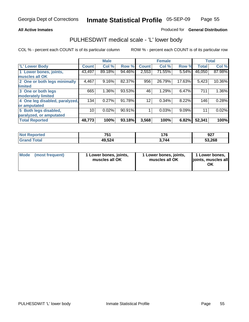### **All Active Inmates**

### Produced for **General Distribution**

## PULHESDWIT medical scale - 'L' lower body

|                                |                    | <b>Male</b> |        |              | <b>Female</b> |        |              | <b>Total</b> |
|--------------------------------|--------------------|-------------|--------|--------------|---------------|--------|--------------|--------------|
| <b>L' Lower Body</b>           | Count <sup>1</sup> | Col %       | Row %  | <b>Count</b> | Col %         | Row %  | <b>Total</b> | Col %        |
| 1 Lower bones, joints,         | 43,497             | 89.18%      | 94.46% | 2,553        | 71.55%        | 5.54%  | 46,050       | 87.98%       |
| muscles all OK                 |                    |             |        |              |               |        |              |              |
| 2 One or both legs minimally   | 4,467              | 9.16%       | 82.37% | 956          | 26.79%        | 17.63% | 5,423        | 10.36%       |
| limited                        |                    |             |        |              |               |        |              |              |
| 3 One or both legs             | 665                | 1.36%       | 93.53% | 46           | 1.29%         | 6.47%  | 711          | 1.36%        |
| moderately limited             |                    |             |        |              |               |        |              |              |
| 4 One leg disabled, paralyzed, | 134                | 0.27%       | 91.78% | 12           | 0.34%         | 8.22%  | 146          | 0.28%        |
| or amputated                   |                    |             |        |              |               |        |              |              |
| 5 Both legs disabled,          | 10                 | 0.02%       | 90.91% |              | 0.03%         | 9.09%  | 11           | 0.02%        |
| paralyzed, or amputated        |                    |             |        |              |               |        |              |              |
| <b>Total Reported</b>          | 48,773             | 100%        | 93.18% | 3,568        | 100%          | 6.82%  | 52,341       | 100%         |

| <b>Not Reported</b> | 751    | 176   | റാ<br>94 I |
|---------------------|--------|-------|------------|
| <b>Grand Total</b>  | 49,524 | 3.744 | 53,268     |

|  | Mode (most frequent) | 1 Lower bones, joints,<br>muscles all OK | 1 Lower bones, joints,<br>muscles all OK | 1 Lower bones,<br>joints, muscles all<br>OK |
|--|----------------------|------------------------------------------|------------------------------------------|---------------------------------------------|
|--|----------------------|------------------------------------------|------------------------------------------|---------------------------------------------|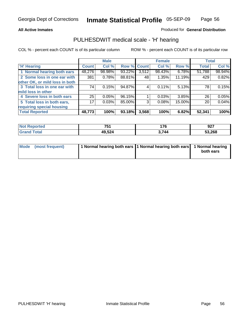### **All Active Inmates**

### Produced for **General Distribution**

## PULHESDWIT medical scale - 'H' hearing

|                                |              | <b>Male</b> |             |       | <b>Female</b> |        | <b>Total</b> |        |
|--------------------------------|--------------|-------------|-------------|-------|---------------|--------|--------------|--------|
| <b>H'</b> Hearing              | <b>Count</b> | Col %       | Row % Count |       | Col %         | Row %  | <b>Total</b> | Col %  |
| 1 Normal hearing both ears     | 48,276       | 98.98%      | 93.22%      | 3,512 | 98.43%        | 6.78%  | 51,788       | 98.94% |
| 2 Some loss in one ear with    | 381          | 0.78%       | 88.81%      | 48    | 1.35%         | 11.19% | 429          | 0.82%  |
| other OK, or mild loss in both |              |             |             |       |               |        |              |        |
| 3 Total loss in one ear with   | 74           | 0.15%       | 94.87%      | 4'    | 0.11%         | 5.13%  | 78           | 0.15%  |
| mild loss in other             |              |             |             |       |               |        |              |        |
| 4 Severe loss in both ears     | 25           | 0.05%       | 96.15%      |       | 0.03%         | 3.85%  | 26           | 0.05%  |
| 5 Total loss in both ears,     | 17           | 0.03%       | 85.00%      | 3     | 0.08%         | 15.00% | 20           | 0.04%  |
| requiring special housing      |              |             |             |       |               |        |              |        |
| <b>Total Reported</b>          | 48,773       | 100%        | 93.18%      | 3,568 | 100%          | 6.82%  | 52,341       | 100%   |

| วrted | <b>754</b><br>. ו ש | יי<br>110 | 927    |
|-------|---------------------|-----------|--------|
| 'ota  | 49,524              | 3,744     | 53,268 |

| Mode (most frequent) | 1 Normal hearing both ears   1 Normal hearing both ears   1 Normal hearing |           |
|----------------------|----------------------------------------------------------------------------|-----------|
|                      |                                                                            | both ears |
|                      |                                                                            |           |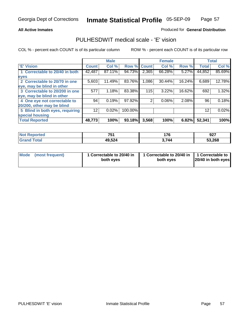### **All Active Inmates**

### Produced for **General Distribution**

# PULHESDWIT medical scale - 'E' vision

|                                 |              | <b>Male</b> |                    |       | <b>Female</b> |        |              | <b>Total</b> |
|---------------------------------|--------------|-------------|--------------------|-------|---------------|--------|--------------|--------------|
| 'E' Vision                      | <b>Count</b> | Col %       | <b>Row % Count</b> |       | Col %         | Row %  | <b>Total</b> | Col %        |
| 1 Correctable to 20/40 in both  | 42,487       | 87.11%      | 94.73%             | 2,365 | 66.28%        | 5.27%  | 44,852       | 85.69%       |
| eyes                            |              |             |                    |       |               |        |              |              |
| 2 Correctable to 20/70 in one   | 5,603        | 11.49%      | 83.76%             | 1,086 | 30.44%        | 16.24% | 6,689        | 12.78%       |
| eye, may be blind in other      |              |             |                    |       |               |        |              |              |
| 3 Correctable to 20/200 in one  | 577          | 1.18%       | 83.38%             | 115   | 3.22%         | 16.62% | 692          | 1.32%        |
| eye, may be blind in other      |              |             |                    |       |               |        |              |              |
| 4 One eye not correctable to    | 94           | 0.19%       | 97.92%             | 2     | 0.06%         | 2.08%  | 96           | 0.18%        |
| 20/200, other may be blind      |              |             |                    |       |               |        |              |              |
| 5 Blind in both eyes, requiring | 12           | 0.02%       | 100.00%            |       |               |        | 12           | 0.02%        |
| special housing                 |              |             |                    |       |               |        |              |              |
| <b>Total Reported</b>           | 48,773       | 100%        | 93.18%             | 3,568 | 100%          | 6.82%  | 52,341       | 100%         |

| <b>Not Reported</b> | 751    | 176   | 927    |
|---------------------|--------|-------|--------|
| Γotal<br>. Gre      | 49,524 | 3,744 | 53,268 |

| Mode | (most frequent) | 1 Correctable to 20/40 in<br>both eves | 1 Correctable to 20/40 in   1 Correctable to<br>both eves | 20/40 in both eyes |
|------|-----------------|----------------------------------------|-----------------------------------------------------------|--------------------|
|      |                 |                                        |                                                           |                    |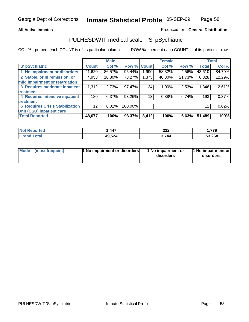### **All Active Inmates**

### Produced for **General Distribution**

# PULHESDWIT medical scale - 'S' pSychiatric

|                                        |              | <b>Male</b> |             |          | <b>Female</b> |        |              | <b>Total</b> |
|----------------------------------------|--------------|-------------|-------------|----------|---------------|--------|--------------|--------------|
| 'S' pSychiatric                        | <b>Count</b> | Col %       | Row % Count |          | Col %         | Row %  | <b>Total</b> | Col %        |
| 1 No impairment or disorders           | 41,620       | 86.57%      | 95.44%      | ا 990. ا | 58.32%        | 4.56%  | 43,610       | 84.70%       |
| 2 Stable, or in remission, or          | 4,953        | 10.30%      | 78.27%      | 1,375    | 40.30%        | 21.73% | 6,328        | 12.29%       |
| mild impairment or retardation         |              |             |             |          |               |        |              |              |
| 3 Requires moderate inpatient          | 1,312        | 2.73%       | 97.47%      | 34       | $1.00\%$      | 2.53%  | 1,346        | 2.61%        |
| treatment                              |              |             |             |          |               |        |              |              |
| 4 Requires intensive inpatient         | 180          | 0.37%       | 93.26%      | 13       | 0.38%         | 6.74%  | 193          | 0.37%        |
| treatment                              |              |             |             |          |               |        |              |              |
| <b>5 Requires Crisis Stabilization</b> | 12           | 0.02%       | 100.00%     |          |               |        | 12           | 0.02%        |
| Unit (CSU) inpatient care              |              |             |             |          |               |        |              |              |
| <b>Total Reported</b>                  | 48,077       | 100%        | 93.37%      | 3,412    | 100%          | 6.63%  | 51,489       | 100%         |

| <b>Not Reported</b>  | .447   | 332   | 779،،  |
|----------------------|--------|-------|--------|
| $\tau$ otal<br>Grand | 49,524 | 3.744 | 53,268 |

| Mode (most frequent) | <b>1</b> No impairment or disorders | 1 No impairment or<br>disorders | 1 No impairment or<br>disorders |
|----------------------|-------------------------------------|---------------------------------|---------------------------------|
|                      |                                     |                                 |                                 |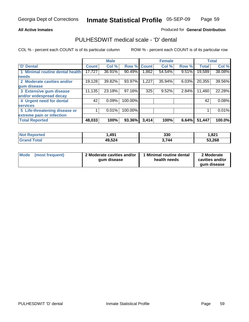### **All Active Inmates**

### Produced for **General Distribution**

## PULHESDWIT medical scale - 'D' dental

|                                      |              | <b>Male</b> |                    |       | <b>Female</b> |       |              | <b>Total</b> |
|--------------------------------------|--------------|-------------|--------------------|-------|---------------|-------|--------------|--------------|
| 'D' Dental                           | <b>Count</b> | Col %       | <b>Row % Count</b> |       | Col %         | Row % | <b>Total</b> | Col %        |
| <b>Minimal routine dental health</b> | 17,727       | 36.91%      | 90.49%             | .862  | 54.54%        | 9.51% | 19,589       | 38.08%       |
| <b>needs</b>                         |              |             |                    |       |               |       |              |              |
| 2 Moderate cavities and/or           | 19,128       | 39.82%      | 93.97%             | ,227  | 35.94%        | 6.03% | 20,355       | 39.56%       |
| gum disease                          |              |             |                    |       |               |       |              |              |
| 3 Extensive gum disease              | 11,135       | 23.18%      | 97.16%             | 325   | 9.52%         | 2.84% | 11,460       | 22.28%       |
| and/or widespread decay              |              |             |                    |       |               |       |              |              |
| 4 Urgent need for dental             | 42           | 0.09%       | 100.00%            |       |               |       | 42           | 0.08%        |
| <b>services</b>                      |              |             |                    |       |               |       |              |              |
| 5 Life-threatening disease or        |              | 0.01%       | 100.00%            |       |               |       |              | 0.01%        |
| extreme pain or infection            |              |             |                    |       |               |       |              |              |
| <b>Total Reported</b>                | 48,033       | 100%        | 93.36%             | 3,414 | 100%          | 6.64% | 51,447       | 100.0%       |

| <b>Reported</b><br>' NOT | .491   | 330   | 821. ا |
|--------------------------|--------|-------|--------|
| ™otal<br>'Grand          | 49,524 | 3.744 | 53,268 |

| <b>Mode</b> | (most frequent) | 2 Moderate cavities and/or<br>qum disease | 1 Minimal routine dental<br>health needs | 2 Moderate<br>cavities and/or |
|-------------|-----------------|-------------------------------------------|------------------------------------------|-------------------------------|
|             |                 |                                           |                                          | qum disease                   |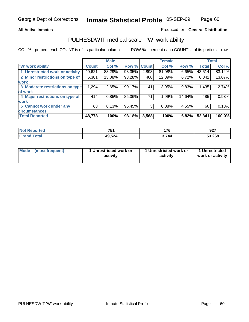### **All Active Inmates**

### Produced for **General Distribution**

## PULHESDWIT medical scale - 'W' work ability

|                                 |              | <b>Male</b> |        |              | <b>Female</b> |        |              | <b>Total</b> |
|---------------------------------|--------------|-------------|--------|--------------|---------------|--------|--------------|--------------|
| W' work ability                 | <b>Count</b> | Col %       | Row %  | <b>Count</b> | Col %         | Row %  | <b>Total</b> | Col %        |
| 1 Unrestricted work or activity | 40,621       | 83.29%      | 93.35% | 2,893        | 81.08%        | 6.65%  | 43,514       | 83.14%       |
| 2 Minor restrictions on type of | 6,381        | 13.08%      | 93.28% | 460          | 12.89%        | 6.72%  | 6,841        | 13.07%       |
| work                            |              |             |        |              |               |        |              |              |
| 3 Moderate restrictions on type | 1,294        | 2.65%       | 90.17% | 141          | 3.95%         | 9.83%  | 1,435        | 2.74%        |
| of work                         |              |             |        |              |               |        |              |              |
| 4 Major restrictions on type of | 414          | 0.85%       | 85.36% | 71           | 1.99%         | 14.64% | 485          | 0.93%        |
| work                            |              |             |        |              |               |        |              |              |
| 5 Cannot work under any         | 63           | 0.13%       | 95.45% | 3            | 0.08%         | 4.55%  | 66           | 0.13%        |
| <b>circumstances</b>            |              |             |        |              |               |        |              |              |
| <b>Total Reported</b>           | 48,773       | 100%        | 93.18% | 3,568        | 100%          | 6.82%  | 52,341       | 100.0%       |

| <b>Not Reported</b>          | 751<br>ו שו | 176   | 927    |
|------------------------------|-------------|-------|--------|
| <b>Total</b><br><b>Grand</b> | 49,524      | 3,744 | 53,268 |

| Mode | (most frequent) | 1 Unrestricted work or<br>activity | 1 Unrestricted work or<br>activity | 1 Unrestricted<br>work or activity |
|------|-----------------|------------------------------------|------------------------------------|------------------------------------|
|------|-----------------|------------------------------------|------------------------------------|------------------------------------|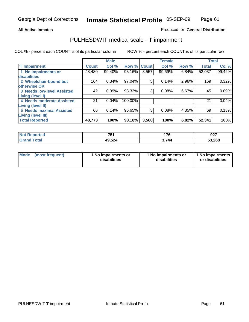### **All Active Inmates**

### Produced for **General Distribution**

# PULHESDWIT medical scale - 'I' impairment

|              | <b>Male</b> |         |              | <b>Female</b> |       |              | <b>Total</b> |
|--------------|-------------|---------|--------------|---------------|-------|--------------|--------------|
| <b>Count</b> | Col %       |         | <b>Count</b> | Col %         | Row % | <b>Total</b> | Col %        |
| 48,480       | 99.40%      | 93.16%  | 3,557        | 99.69%        | 6.84% | 52,037       | 99.42%       |
|              |             |         |              |               |       |              |              |
| 164          | 0.34%       | 97.04%  | 5            |               | 2.96% | 169          | 0.32%        |
|              |             |         |              |               |       |              |              |
| 42           | 0.09%       | 93.33%  | 3            | 0.08%         | 6.67% | 45           | 0.09%        |
|              |             |         |              |               |       |              |              |
| 21           | 0.04%       | 100.00% |              |               |       | 21           | 0.04%        |
|              |             |         |              |               |       |              |              |
| 66           | 0.14%       | 95.65%  | 3            | 0.08%         | 4.35% | 69           | 0.13%        |
|              |             |         |              |               |       |              |              |
| 48,773       | 100%        | 93.18%  | 3,568        | 100%          |       | 52,341       | 100%         |
|              |             |         |              | Row %         | 0.14% | 6.82%        |              |

| <b>Not</b>      | 754    | 176    | 927    |
|-----------------|--------|--------|--------|
| <b>Reported</b> | וטו    | $\sim$ |        |
| <b>Total</b>    | 49,524 | 3,744  | 53,268 |

| Mode            | 1 No impairments or | 1 No impairments or | 1 No impairments |
|-----------------|---------------------|---------------------|------------------|
| (most frequent) | disabilities        | disabilities        | or disabilities  |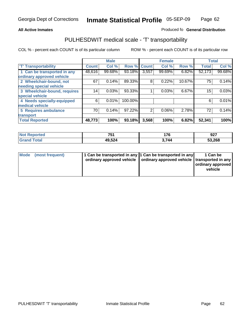#### **Inmate Statistical Profile** 05-SEP-09 Page Page 62

### All Active Inmates **All Active Inmates All Active Inmates Produced fo General Distribution**

# PULHESDWIT medical scale - 'T' transportability

|                              |              | <b>Male</b> |             |       | <b>Female</b> |        | <b>Total</b> |        |
|------------------------------|--------------|-------------|-------------|-------|---------------|--------|--------------|--------|
| <b>T' Transportability</b>   | <b>Count</b> | Col %       | Row % Count |       | Col %         | Row %  | <b>Total</b> | Col %  |
| 1 Can be transported in any  | 48,616       | 99.68%      | 93.18%      | 3,557 | 99.69%        | 6.82%  | 52,173       | 99.68% |
| ordinary approved vehicle    |              |             |             |       |               |        |              |        |
| 2 Wheelchair-bound, not      | 67           | 0.14%       | 89.33%      | 8     | 0.22%         | 10.67% | 75           | 0.14%  |
| needing special vehicle      |              |             |             |       |               |        |              |        |
| 3 Wheelchair-bound, requires | 14           | 0.03%       | 93.33%      |       | 0.03%         | 6.67%  | 15           | 0.03%  |
| special vehicle              |              |             |             |       |               |        |              |        |
| 4 Needs specially-equipped   | 6            | 0.01%       | 100.00%     |       |               |        | 6            | 0.01%  |
| medical vehicle              |              |             |             |       |               |        |              |        |
| <b>5 Requires ambulance</b>  | 70           | 0.14%       | 97.22%      | 2     | 0.06%         | 2.78%  | 72           | 0.14%  |
| transport                    |              |             |             |       |               |        |              |        |
| <b>Total Reported</b>        | 48,773       | 100%        | 93.18%      | 3,568 | 100%          | 6.82%  | 52,341       | 100%   |

| Not F<br><b>Reported</b> | 751    | 176 | <b>007</b><br>94 I |
|--------------------------|--------|-----|--------------------|
| <b>Grand Total</b>       | 49,524 | 744 | 53,268             |

| Mode (most frequent) | 1 Can be transported in any 1 Can be transported in any | ordinary approved vehicle   ordinary approved vehicle   transported in any | 1 Can be<br>ordinary approved<br>vehicle |
|----------------------|---------------------------------------------------------|----------------------------------------------------------------------------|------------------------------------------|
|                      |                                                         |                                                                            |                                          |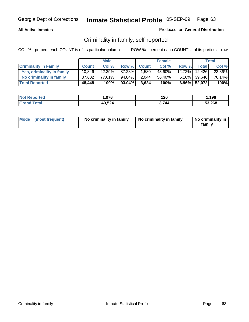### **All Active Inmates**

### Produced for **General Distribution**

# Criminality in family, self-reported

|                              |              | <b>Male</b> |        |              | <b>Female</b> |       |               | <b>Total</b> |
|------------------------------|--------------|-------------|--------|--------------|---------------|-------|---------------|--------------|
| <b>Criminality In Family</b> | <b>Count</b> | Col %       | Row %  | <b>Count</b> | Col %         | Row % | <b>Total</b>  | Col %        |
| Yes, criminality in family   | 10.846       | 22.39%      | 87.28% | 1,580        | 43.60%        |       | 12.72% 12.426 | 23.86%       |
| No criminality in family     | 37,602       | 77.61%      | 94.84% | 2,044        | 56.40%        |       | 5.16% 39,646  | 76.14%       |
| <b>Total Reported</b>        | 48,448       | 100%        | 93.04% | 3,624        | 100%          |       | 6.96% 52,072  | 100%         |

| <b>Not Reported</b> | .076   | 120 | ,196   |
|---------------------|--------|-----|--------|
| Гоtal<br>l Grand    | 49,524 | 744 | 53,268 |

| Mode (most frequent) |  | No criminality in family | No criminality in family | No criminality in<br>family |
|----------------------|--|--------------------------|--------------------------|-----------------------------|
|----------------------|--|--------------------------|--------------------------|-----------------------------|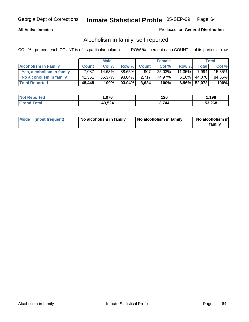### **All Active Inmates**

### Produced for **General Distribution**

# Alcoholism in family, self-reported

|                             |              | <b>Male</b> |        |              | <b>Female</b> |           |                 | <b>Total</b> |
|-----------------------------|--------------|-------------|--------|--------------|---------------|-----------|-----------------|--------------|
| <b>Alcoholism In Family</b> | <b>Count</b> | Col %       | Row %  | <b>Count</b> | Col %         | Row %     | Total           | Col %        |
| Yes, alcoholism in family   | 7,087        | 14.63%      | 88.65% | 907          | 25.03%        | $11.35\%$ | 7.994           | 15.35%       |
| No alcoholism in family     | 41,361       | 85.37%      | 93.84% | 2.717        | 74.97%        | $6.16\%$  | 44.078          | 84.65%       |
| <b>Total Reported</b>       | 48,448       | 100%        | 93.04% | 3,624        | 100%          |           | $6.96\%$ 52,072 | 100%         |

| <b>Not Reported</b> | .076   | 120 | ,196   |
|---------------------|--------|-----|--------|
| Гоtal<br>l Grand    | 49,524 | 744 | 53,268 |

|  | Mode (most frequent) | No alcoholism in family | No alcoholism in family | No alcoholism in<br>family |
|--|----------------------|-------------------------|-------------------------|----------------------------|
|--|----------------------|-------------------------|-------------------------|----------------------------|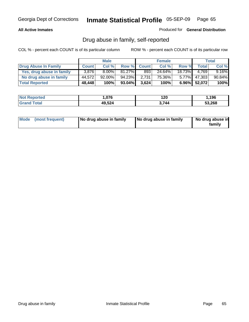### **All Active Inmates**

Produced for **General Distribution**

# Drug abuse in family, self-reported

|                           |              | <b>Male</b> |           |              | <b>Female</b> |        |              | <b>Total</b> |
|---------------------------|--------------|-------------|-----------|--------------|---------------|--------|--------------|--------------|
| Drug Abuse In Family      | <b>Count</b> | Col %       | Row %     | <b>Count</b> | Col %         | Row %  | Total        | Col %        |
| Yes, drug abuse in family | 3.876        | $8.00\%$    | $81.27\%$ | 893          | 24.64%        | 18.73% | 4.769        | $9.16\%$     |
| No drug abuse in family   | 44.572       | $92.00\%$   | 94.23%    | 2,731        | 75.36%        | 5.77%  | 47,303       | 90.84%       |
| <b>Total Reported</b>     | 48,448       | 100%        | 93.04%    | 3,624        | 100%          |        | 6.96% 52,072 | 100%         |

| <b>Not Reported</b> | .076   | 120 | ,196   |
|---------------------|--------|-----|--------|
| Гоtal<br>l Grand    | 49,524 | 744 | 53,268 |

|  | Mode (most frequent) | No drug abuse in family | No drug abuse in family | No drug abuse in<br>family |
|--|----------------------|-------------------------|-------------------------|----------------------------|
|--|----------------------|-------------------------|-------------------------|----------------------------|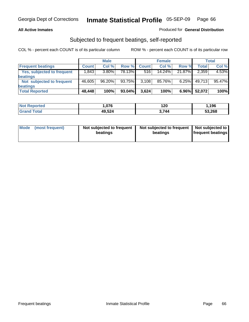### **All Active Inmates**

### Produced for **General Distribution**

## Subjected to frequent beatings, self-reported

|                                   |              | <b>Male</b> |         |              | <b>Female</b> |          |        | Total  |
|-----------------------------------|--------------|-------------|---------|--------------|---------------|----------|--------|--------|
| <b>Frequent beatings</b>          | <b>Count</b> | Col %       | Row %   | <b>Count</b> | Col%          | Row %    | Total  | Col %  |
| <b>Yes, subjected to frequent</b> | ا 843. ا     | $3.80\%$    | 78.13%I | 516          | 14.24%        | 21.87%   | 2,359  | 4.53%  |
| <b>beatings</b>                   |              |             |         |              |               |          |        |        |
| Not subjected to frequent         | 46,605       | 96.20%      | 93.75%  | 3,108        | 85.76%        | $6.25\%$ | 49.713 | 95.47% |
| <b>beatings</b>                   |              |             |         |              |               |          |        |        |
| <b>Total Reported</b>             | 48,448       | 100%        | 93.04%  | 3,624        | 100%          | $6.96\%$ | 52,072 | 100%   |

| <b>Not F</b><br>Reported   | 076, ا | 120   | ,196   |
|----------------------------|--------|-------|--------|
| <b>Total</b><br><b>Gra</b> | 49,524 | 3.744 | 53,268 |

| Mode (most frequent) | Not subjected to frequent<br>beatings | Not subjected to frequent   Not subjected to  <br>beatings | <b>frequent beatings</b> |  |
|----------------------|---------------------------------------|------------------------------------------------------------|--------------------------|--|
|                      |                                       |                                                            |                          |  |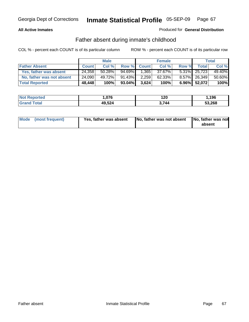### **All Active Inmates**

### Produced for **General Distribution**

# Father absent during inmate's childhood

|                           |              | <b>Male</b> |           |              | <b>Female</b> |       |              | Total  |
|---------------------------|--------------|-------------|-----------|--------------|---------------|-------|--------------|--------|
| <b>Father Absent</b>      | <b>Count</b> | Col %       | Row %     | <b>Count</b> | Col%          | Row % | Total        | Col %  |
| Yes, father was absent    | 24.358       | 50.28%      | $94.69\%$ | 1,365        | 37.67%        |       | 5.31% 25,723 | 49.40% |
| No, father was not absent | 24,090       | 49.72%      | $91.43\%$ | 2,259        | $62.33\%$     |       | 8.57% 26,349 | 50.60% |
| <b>Total Reported</b>     | 48,448       | 100%        | 93.04%    | 3,624        | 100%          |       | 6.96% 52,072 | 100%   |

| <b>Not Reported</b> | .076   | 120  | ,196   |
|---------------------|--------|------|--------|
| <b>Grand Total</b>  | 49,524 | .744 | 53,268 |

| Mode (most frequent) | Yes, father was absent | No, father was not absent No, father was not | absent |
|----------------------|------------------------|----------------------------------------------|--------|
|                      |                        |                                              |        |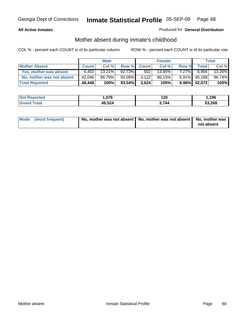### **All Active Inmates**

### Produced for **General Distribution**

# Mother absent during inmate's childhood

|                           |              | <b>Male</b> |           |              | <b>Female</b> |          |                 | Total  |
|---------------------------|--------------|-------------|-----------|--------------|---------------|----------|-----------------|--------|
| <b>Mother Absent</b>      | <b>Count</b> | Col %       | Row %     | <b>Count</b> | Col %         | Row %    | <b>Total</b>    | Col %  |
| Yes, mother was absent    | 6,402        | $13.21\%$   | $92.73\%$ | 502          | 13.85%        | $7.27\%$ | 6.904           | 13.26% |
| No, mother was not absent | 42,046       | 86.79%      | 93.09%    | 3,122        | 86.15%        | $6.91\%$ | 45,168          | 86.74% |
| <b>Total Reported</b>     | 48,448       | 100%        | 93.04%    | 3.624        | 100%          |          | $6.96\%$ 52,072 | 100%   |

| <b>Not Reported</b> | .076   | 120  | ,196   |
|---------------------|--------|------|--------|
| <b>Grand Total</b>  | 49,524 | .744 | 53,268 |

| Mode (most frequent) | No, mother was not absent   No, mother was not absent   No, mother was | not absent |
|----------------------|------------------------------------------------------------------------|------------|
|----------------------|------------------------------------------------------------------------|------------|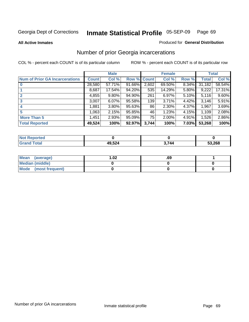### **All Active Inmates**

### Produced for **General Distribution**

# Number of prior Georgia incarcerations

|                                       |              | <b>Male</b> |        |              | <b>Female</b> |          |        | <b>Total</b> |
|---------------------------------------|--------------|-------------|--------|--------------|---------------|----------|--------|--------------|
| <b>Num of Prior GA Incarcerations</b> | <b>Count</b> | Col %       | Row %  | <b>Count</b> | Col %         | Row %    | Total  | Col %        |
| $\bf{0}$                              | 28,580       | 57.71%      | 91.66% | 2,602        | 69.50%        | $8.34\%$ | 31,182 | 58.54%       |
|                                       | 8,687        | 17.54%      | 94.20% | 535          | 14.29%        | 5.80%    | 9,222  | 17.31%       |
|                                       | 4,855        | 9.80%       | 94.90% | 261          | 6.97%         | 5.10%    | 5,116  | 9.60%        |
| 3                                     | 3,007        | 6.07%       | 95.58% | 139          | 3.71%         | 4.42%    | 3.146  | 5.91%        |
|                                       | 1,881        | 3.80%       | 95.63% | 86           | 2.30%         | 4.37%    | 1,967  | 3.69%        |
| 5                                     | 1,063        | 2.15%       | 95.85% | 46           | 1.23%         | 4.15%    | 1,109  | 2.08%        |
| <b>More Than 5</b>                    | 1,451        | 2.93%       | 95.09% | 75           | 2.00%         | 4.91%    | 1,526  | 2.86%        |
| <b>Total Reported</b>                 | 49,524       | 100%        | 92.97% | 3,744        | 100%          | 7.03%    | 53,268 | 100%         |

| orted<br>NO.         |               |       |        |
|----------------------|---------------|-------|--------|
| <b>Total</b><br>. Gr | 49,524<br>--- | - 744 | 53,268 |

| Mean (average)       | l.O2 | .69 |  |
|----------------------|------|-----|--|
| Median (middle)      |      |     |  |
| Mode (most frequent) |      |     |  |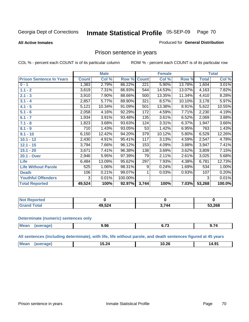### **All Active Inmates**

### Produced for **General Distribution**

# Prison sentence in years

COL % - percent each COUNT is of its particular column ROW % - percent each COUNT is of its particular row

|                                 |              | <b>Male</b> |         |              | <b>Female</b> |        |              | <b>Total</b> |
|---------------------------------|--------------|-------------|---------|--------------|---------------|--------|--------------|--------------|
| <b>Prison Sentence In Years</b> | <b>Count</b> | Col %       | Row %   | <b>Count</b> | Col %         | Row %  | <b>Total</b> | Col %        |
| $0 - 1$                         | 1,383        | 2.79%       | 86.22%  | 221          | 5.90%         | 13.78% | 1,604        | 3.01%        |
| $1.1 - 2$                       | 3,619        | 7.31%       | 86.93%  | 544          | 14.53%        | 13.07% | 4,163        | 7.82%        |
| $2.1 - 3$                       | 3,910        | 7.90%       | 88.66%  | 500          | 13.35%        | 11.34% | 4,410        | 8.28%        |
| $3.1 - 4$                       | 2,857        | 5.77%       | 89.90%  | 321          | 8.57%         | 10.10% | 3,178        | 5.97%        |
| $4.1 - 5$                       | 5,121        | 10.34%      | 91.09%  | 501          | 13.38%        | 8.91%  | 5,622        | 10.55%       |
| $5.1 - 6$                       | 2,058        | 4.16%       | 92.29%  | 172          | 4.59%         | 7.71%  | 2,230        | 4.19%        |
| $6.1 - 7$                       | 1,934        | 3.91%       | 93.48%  | 135          | 3.61%         | 6.52%  | 2,069        | 3.88%        |
| $7.1 - 8$                       | 1,823        | 3.68%       | 93.63%  | 124          | 3.31%         | 6.37%  | 1,947        | 3.66%        |
| $8.1 - 9$                       | 710          | 1.43%       | 93.05%  | 53           | 1.42%         | 6.95%  | 763          | 1.43%        |
| $9.1 - 10$                      | 6,150        | 12.42%      | 94.20%  | 379          | 10.12%        | 5.80%  | 6,529        | 12.26%       |
| $10.1 - 12$                     | 2,430        | 4.91%       | 95.41%  | 117          | 3.13%         | 4.59%  | 2,547        | 4.78%        |
| $12.1 - 15$                     | 3,794        | 7.66%       | 96.12%  | 153          | 4.09%         | 3.88%  | 3,947        | 7.41%        |
| $15.1 - 20$                     | 3,671        | 7.41%       | 96.38%  | 138          | 3.69%         | 3.62%  | 3,809        | 7.15%        |
| 20.1 - Over                     | 2,946        | 5.95%       | 97.39%  | 79           | 2.11%         | 2.61%  | 3,025        | 5.68%        |
| <b>Life</b>                     | 6,484        | 13.09%      | 95.62%  | 297          | 7.93%         | 4.38%  | 6,781        | 12.73%       |
| <b>Life Without Parole</b>      | 525          | 1.06%       | 98.31%  | 9            | 0.24%         | 1.69%  | 534          | 1.00%        |
| <b>Death</b>                    | 106          | 0.21%       | 99.07%  |              | 0.03%         | 0.93%  | 107          | 0.20%        |
| <b>Youthful Offenders</b>       | 3            | 0.01%       | 100.00% |              |               |        | 3            | 0.01%        |
| <b>Total Reported</b>           | 49,524       | 100%        | 92.97%  | 3,744        | 100%          | 7.03%  | 53,268       | 100.0%       |

| Reported<br><b>NOT</b>           |        |       |        |
|----------------------------------|--------|-------|--------|
| <b>cotal</b><br>. Car $\epsilon$ | 49,524 | 3,744 | 53,268 |

### **Determinate (numeric) sentences only**

| Mear<br>$\cdots$ | ane | .96<br>- - - | $\sim$ $\sim$ | $\cdots$ |
|------------------|-----|--------------|---------------|----------|
|                  |     |              |               |          |

**All sentences (including determinate), with life, life without parole, and death sentences figured at 45 years**

| M<br>$\sim$<br>Q1<br>$\sim$<br>15.24<br>10.ZL<br>ıд<br>1.J<br>_____<br>___ |  |  |  |
|----------------------------------------------------------------------------|--|--|--|
|                                                                            |  |  |  |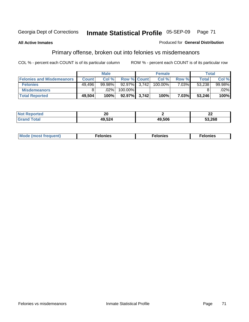### **All Active Inmates**

### Produced for **General Distribution**

# Primary offense, broken out into felonies vs misdemeanors

|                                  |              | <b>Male</b> |                    |       | <b>Female</b> |          | Total        |        |
|----------------------------------|--------------|-------------|--------------------|-------|---------------|----------|--------------|--------|
| <b>Felonies and Misdemeanors</b> | <b>Count</b> | Col%        | <b>Row % Count</b> |       | Col%          | Row %    | <b>Total</b> | Col %  |
| <b>Felonies</b>                  | 49.496       | $99.98\%$   | 92.97%             | 3.742 | 100.00%       | $7.03\%$ | 53,238       | 99.98% |
| <b>Misdemeanors</b>              | 8            | $.02\%$     | 100.00%            |       |               |          |              | .02%   |
| <b>Total Reported</b>            | 49,504       | 100%        | $92.97\%$ 3,742    |       | 100%          | 7.03%    | 53.246       | 100%   |

| <b>Not</b><br>Reported | ^^<br>Zu |        | ^^<br>LL |
|------------------------|----------|--------|----------|
|                        | 9,524    | 49.506 | 53.268   |

| Mode (most frequent) | elonies | elonies | onies<br>-е к |
|----------------------|---------|---------|---------------|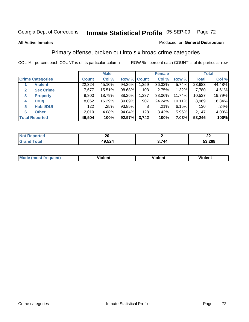### **All Active Inmates**

### Produced for **General Distribution**

# Primary offense, broken out into six broad crime categories

|                                  |              | <b>Male</b> |             |       | <b>Female</b> |        |              | <b>Total</b> |
|----------------------------------|--------------|-------------|-------------|-------|---------------|--------|--------------|--------------|
| <b>Crime Categories</b>          | <b>Count</b> | Col %       | Row % Count |       | Col %         | Row %  | <b>Total</b> | Col %        |
| <b>Violent</b>                   | 22,324       | 45.10%      | 94.26%      | 1,359 | 36.32%        | 5.74%  | 23,683       | 44.48%       |
| <b>Sex Crime</b><br>$\mathbf{2}$ | 7,677        | 15.51%      | 98.68%      | 103   | 2.75%         | 1.32%  | 7,780        | 14.61%       |
| $\mathbf{3}$<br><b>Property</b>  | 9,300        | 18.79%      | 88.26%      | 1,237 | 33.06%        | 11.74% | 10,537       | 19.79%       |
| <b>Drug</b><br>4                 | 8,062        | 16.29%      | 89.89%      | 907   | 24.24%        | 10.11% | 8,969        | 16.84%       |
| <b>Habit/DUI</b><br>5            | 122          | $.25\%$     | 93.85%      | 8     | .21%          | 6.15%  | 130          | .24%         |
| <b>Other</b><br>6                | 2,019        | 4.08%       | 94.04%      | 128   | 3.42%         | 5.96%  | 2,147        | 4.03%        |
| <b>Total Reported</b>            | 49,504       | 100%        | 92.97%      | 3,742 | 100%          | 7.03%  | 53,246       | 100%         |

| ົດຄ<br>$ -$ |            | ~<br>44    |
|-------------|------------|------------|
| 524<br>49.  | <b>744</b> | .268<br>-0 |

|  | <b>Mou</b><br>--- | .<br>วlent | ---<br>olent | ≀lent<br>-------- |
|--|-------------------|------------|--------------|-------------------|
|--|-------------------|------------|--------------|-------------------|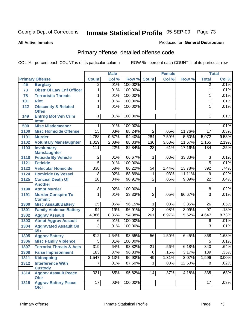**All Active Inmates**

#### Produced for **General Distribution**

# Primary offense, detailed offense code

|      |                                                   | <b>Male</b>      |       | <b>Female</b> |                 |       | <b>Total</b> |                 |       |
|------|---------------------------------------------------|------------------|-------|---------------|-----------------|-------|--------------|-----------------|-------|
|      | <b>Primary Offense</b>                            | <b>Count</b>     | Col % | Row %         | <b>Count</b>    | Col%  | Row %        | <b>Total</b>    | Col % |
| 45   | <b>Burglary</b>                                   | $\overline{2}$   | .01%  | 100.00%       |                 |       |              | 2               | .01%  |
| 73   | <b>Obstr Of Law Enf Officer</b>                   | 1                | .01%  | 100.00%       |                 |       |              | 1               | .01%  |
| 78   | <b>Terroristic Threats</b>                        | 1                | .01%  | 100.00%       |                 |       |              | 1               | .01%  |
| 101  | <b>Riot</b>                                       | 1                | .01%  | 100.00%       |                 |       |              | 1               | .01%  |
| 122  | <b>Obscenity &amp; Related</b>                    | 1                | .01%  | 100.00%       |                 |       |              | 1               | .01%  |
|      | <b>Offen</b>                                      |                  |       |               |                 |       |              |                 |       |
| 149  | <b>Entrng Mot Veh Crim</b>                        | 1                | .01%  | 100.00%       |                 |       |              | 1               | .01%  |
|      | <b>Intnt</b><br><b>Misc Misdemeanor</b>           | 1                | .01%  | 100.00%       |                 |       |              | 1               | .01%  |
| 500  |                                                   | $\overline{15}$  | .03%  | 88.24%        | $\overline{2}$  |       |              | $\overline{17}$ |       |
| 1100 | <b>Misc Homicide Offense</b>                      |                  |       |               |                 | .05%  | 11.76%       |                 | .03%  |
| 1101 | <b>Murder</b>                                     | 4,788            | 9.67% | 94.40%        | 284             | 7.59% | 5.60%        | 5,072           | 9.53% |
| 1102 | <b>Voluntary Manslaughter</b>                     | 1,029            | 2.08% | 88.33%        | 136             | 3.63% | 11.67%       | 1,165           | 2.19% |
| 1103 | <b>Involuntary</b>                                | 111              | .22%  | 82.84%        | $\overline{23}$ | .61%  | 17.16%       | 134             | .25%  |
| 1118 | <b>Manslaughter</b><br><b>Feticide By Vehicle</b> | $\overline{2}$   | .01%  | 66.67%        | $\mathbf 1$     | .03%  | 33.33%       | $\overline{3}$  | .01%  |
| 1121 | <b>Feticide</b>                                   | $\overline{5}$   | .01%  | 100.00%       |                 |       |              | $\overline{5}$  | .01%  |
| 1123 | <b>Vehicular Homicide</b>                         | 338              | .68%  | 86.22%        | $\overline{54}$ | 1.44% | 13.78%       | 392             | .74%  |
| 1124 | <b>Homicide By Vessel</b>                         | 8                | .02%  | 88.89%        | 1               | .03%  | 11.11%       | $\overline{9}$  | .02%  |
| 1125 | <b>Conceal Death Of</b>                           | $\overline{20}$  | .04%  | 90.91%        | $\overline{2}$  | .05%  | 9.09%        | $\overline{22}$ | .04%  |
|      | <b>Another</b>                                    |                  |       |               |                 |       |              |                 |       |
| 1190 | <b>Atmpt Murder</b>                               | $\overline{8}$   | .02%  | 100.00%       |                 |       |              | 8               | .02%  |
| 1191 | <b>Murder, Conspire To</b>                        | 1                | .01%  | 33.33%        | $\overline{2}$  | .05%  | 66.67%       | 3               | .01%  |
|      | <b>Commit</b>                                     |                  |       |               |                 |       |              |                 |       |
| 1300 | <b>Misc Assault/Battery</b>                       | $\overline{25}$  | .05%  | 96.15%        | $\mathbf{1}$    | .03%  | 3.85%        | $\overline{26}$ | .05%  |
| 1301 | <b>Family Violence Battery</b>                    | 94               | .19%  | 96.91%        | $\overline{3}$  | .08%  | 3.09%        | $\overline{97}$ | .18%  |
| 1302 | <b>Aggrav Assault</b>                             | 4,386            | 8.86% | 94.38%        | 261             | 6.97% | 5.62%        | 4,647           | 8.73% |
| 1303 | <b>Atmpt Aggrav Assault</b>                       | 6                | .01%  | 100.00%       |                 |       |              | 6               | .01%  |
| 1304 | <b>Aggravated Assault On</b>                      | $\overline{3}$   | .01%  | 100.00%       |                 |       |              | 3               | .01%  |
|      | $65+$                                             |                  |       |               |                 |       |              |                 |       |
| 1305 | <b>Aggrav Battery</b>                             | 812              | 1.64% | 93.55%        | 56              | 1.50% | 6.45%        | 868             | 1.63% |
| 1306 | <b>Misc Family Violence</b>                       | $\overline{5}$   | .01%  | 100.00%       |                 |       |              | $\overline{5}$  | .01%  |
| 1307 | <b>Terrorist Threats &amp; Acts</b>               | $\overline{319}$ | .64%  | 93.82%        | $\overline{21}$ | .56%  | 6.18%        | 340             | .64%  |
|      | 1308 False Imprisonment                           | 183              | .37%  | 96.83%        | $\overline{6}$  | .16%  | 3.17%        | 189             | .35%  |
| 1311 | <b>Kidnapping</b>                                 | 1,547            | 3.13% | 96.93%        | 49              | 1.31% | 3.07%        | 1,596           | 3.00% |
| 1312 | <b>Interference With</b>                          | 7                | .01%  | 87.50%        | $\mathbf{1}$    | .03%  | 12.50%       | 8               | .02%  |
|      | <b>Custody</b>                                    |                  |       |               |                 |       |              |                 |       |
| 1314 | <b>Aggrav Assault Peace</b>                       | 321              | .65%  | 95.82%        | 14              | .37%  | 4.18%        | 335             | .63%  |
|      | <b>Ofcr</b>                                       | 17               | .03%  | 100.00%       |                 |       |              | 17              | .03%  |
| 1315 | <b>Aggrav Battery Peace</b><br><b>Ofcr</b>        |                  |       |               |                 |       |              |                 |       |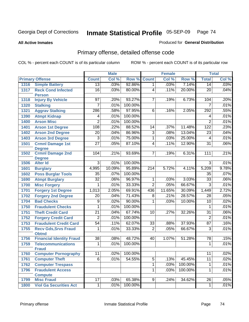**All Active Inmates**

#### Produced for **General Distribution**

# Primary offense, detailed offense code

|      |                                                           |                  | <b>Male</b> |                 |                  | <b>Female</b> |         |                  | <b>Total</b> |
|------|-----------------------------------------------------------|------------------|-------------|-----------------|------------------|---------------|---------|------------------|--------------|
|      | <b>Primary Offense</b>                                    | <b>Count</b>     | Col %       | Row %           | <b>Count</b>     | Col %         | Row %   | <b>Total</b>     | Col %        |
| 1316 | <b>Simple Battery</b>                                     | $\overline{13}$  | .03%        | 92.86%          | $\overline{1}$   | .03%          | 7.14%   | 14               | .03%         |
| 1317 | <b>Reck Cond Infected</b><br><b>Person</b>                | $\overline{16}$  | .03%        | 80.00%          | $\overline{4}$   | .11%          | 20.00%  | $\overline{20}$  | .04%         |
| 1318 | <b>Injury By Vehicle</b>                                  | 97               | .20%        | 93.27%          | $\overline{7}$   | .19%          | 6.73%   | 104              | .20%         |
| 1320 | <b>Stalking</b>                                           | $\overline{7}$   | .01%        | 100.00%         |                  |               |         | $\overline{7}$   | .01%         |
| 1321 | <b>Aggrav Stalking</b>                                    | 286              | .58%        | 97.95%          | 6                | .16%          | 2.05%   | 292              | .55%         |
| 1390 | <b>Atmpt Kidnap</b>                                       | 4                | .01%        | 100.00%         |                  |               |         | 4                | .01%         |
| 1400 | <b>Arson Misc</b>                                         | $\overline{2}$   | .01%        | 100.00%         |                  |               |         | $\overline{2}$   | .01%         |
| 1401 | <b>Arson 1st Degree</b>                                   | $\overline{108}$ | .22%        | 88.52%          | 14               | .37%          | 11.48%  | $\overline{122}$ | .23%         |
| 1402 | <b>Arson 2nd Degree</b>                                   | $\overline{20}$  | .04%        | 86.96%          | $\overline{3}$   | .08%          | 13.04%  | $\overline{23}$  | .04%         |
| 1403 | <b>Arson 3rd Degree</b>                                   | $\overline{3}$   | .01%        | 75.00%          | 1                | .03%          | 25.00%  | 4                | .01%         |
| 1501 | <b>Crmnl Damage 1st</b>                                   | $\overline{27}$  | .05%        | 87.10%          | $\overline{4}$   | .11%          | 12.90%  | $\overline{31}$  | .06%         |
| 1502 | <b>Degree</b><br><b>Crmnl Damage 2nd</b><br><b>Degree</b> | 104              | .21%        | 93.69%          | $\overline{7}$   | .19%          | 6.31%   | 111              | .21%         |
| 1506 | <b>Alter Id</b>                                           | $\overline{3}$   | .01%        | 100.00%         |                  |               |         | $\overline{3}$   | .01%         |
| 1601 | <b>Burglary</b>                                           | 4,995            | 10.09%      | 95.89%          | $\overline{214}$ | 5.72%         | 4.11%   | 5,209            | 9.78%        |
| 1602 | <b>Poss Burglar Tools</b>                                 | $\overline{35}$  | .07%        | 100.00%         |                  |               |         | 35               | .07%         |
| 1690 | <b>Atmpt Burglary</b>                                     | $\overline{32}$  | .06%        | 96.97%          | $\overline{1}$   | .03%          | 3.03%   | $\overline{33}$  | .06%         |
| 1700 | <b>Misc Forgery</b>                                       | 1                | .01%        | 33.33%          | $\overline{2}$   | .05%          | 66.67%  | $\overline{3}$   | .01%         |
| 1701 | <b>Forgery 1st Degree</b>                                 | 1,013            | 2.05%       | 69.91%          | 436              | 11.65%        | 30.09%  | 1,449            | 2.72%        |
| 1702 | <b>Forgery 2nd Degree</b>                                 | $\overline{20}$  | .04%        | 71.43%          | 8                | .21%          | 28.57%  | $\overline{28}$  | .05%         |
| 1704 | <b>Bad Checks</b>                                         | $\overline{9}$   | .02%        | 90.00%          | 1                | .03%          | 10.00%  | 10               | .02%         |
| 1750 | <b>Fraudulent Checks</b>                                  | 1                | .01%        | 100.00%         |                  |               |         | 1                | .01%         |
| 1751 | <b>Theft Credit Card</b>                                  | $\overline{21}$  | .04%        | 67.74%          | $\overline{10}$  | .27%          | 32.26%  | $\overline{31}$  | .06%         |
| 1752 | <b>Forgery Credit Card</b>                                | $\overline{2}$   | .01%        | 100.00%         |                  |               |         | $\overline{2}$   | .01%         |
| 1753 | <b>Fraudulent Credit Card</b>                             | $\overline{54}$  | .11%        | 62.07%          | $\overline{33}$  | .88%          | 37.93%  | $\overline{87}$  | .16%         |
| 1755 | <b>Recv Gds, Srvs Fraud</b><br><b>Obtnd</b>               | 1                | .01%        | 33.33%          | $\overline{2}$   | .05%          | 66.67%  | $\overline{3}$   | .01%         |
| 1756 | <b>Financial Identity Fraud</b>                           | $\overline{38}$  | .08%        | 48.72%          | 40               | 1.07%         | 51.28%  | $\overline{78}$  | .15%         |
| 1759 | <b>Telecommunications</b><br><b>Fraud</b>                 | 1                | .01%        | 100.00%         |                  |               |         | 1                | .01%         |
| 1760 | <b>Computer Pornography</b>                               | $\overline{11}$  |             | $.02\%$ 100.00% |                  |               |         | 11               | .02%         |
| 1761 | <b>Computer Theft</b>                                     | $\overline{6}$   | .01%        | 54.55%          | $\overline{5}$   | .13%          | 45.45%  | $\overline{11}$  | .02%         |
| 1762 | <b>Computer Trespass</b>                                  |                  |             |                 | $\overline{1}$   | .03%          | 100.00% | $\mathbf{1}$     | .01%         |
| 1796 | <b>Fraudulent Access</b>                                  |                  |             |                 | 1                | .03%          | 100.00% | 1                | .01%         |
|      | <b>Compute</b>                                            |                  |             |                 |                  |               |         |                  |              |
| 1799 | <b>Misc Fraud</b>                                         | 17               | .03%        | 65.38%          | $\overline{9}$   | .24%          | 34.62%  | $\overline{26}$  | .05%         |
| 1800 | <b>Viol Ga Securities Act</b>                             | $\overline{1}$   | .01%        | 100.00%         |                  |               |         | 1                | .01%         |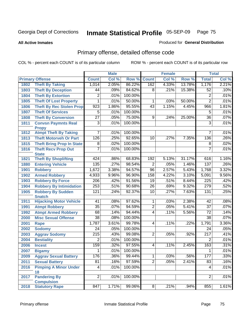**All Active Inmates**

#### Produced for **General Distribution**

# Primary offense, detailed offense code

|      |                                            |                  | <b>Male</b> |         |                 | <b>Female</b> |        |                 | <b>Total</b> |
|------|--------------------------------------------|------------------|-------------|---------|-----------------|---------------|--------|-----------------|--------------|
|      | <b>Primary Offense</b>                     | <b>Count</b>     | Col %       | Row %   | <b>Count</b>    | Col %         | Row %  | <b>Total</b>    | Col %        |
| 1802 | <b>Theft By Taking</b>                     | 1,014            | 2.05%       | 86.22%  | 162             | 4.33%         | 13.78% | 1,176           | 2.21%        |
| 1803 | <b>Theft By Deception</b>                  | 44               | .09%        | 84.62%  | 8               | .21%          | 15.38% | 52              | .10%         |
| 1804 | <b>Theft By Extortion</b>                  | $\overline{2}$   | .01%        | 100.00% |                 |               |        | $\mathbf 2$     | .01%         |
| 1805 | <b>Theft Of Lost Property</b>              | 1                | .01%        | 50.00%  | 1               | .03%          | 50.00% | $\overline{2}$  | .01%         |
| 1806 | <b>Theft By Rec Stolen Prop</b>            | 923              | 1.86%       | 95.55%  | 43              | 1.15%         | 4.45%  | 966             | 1.81%        |
| 1807 | <b>Theft Of Services</b>                   | $\overline{5}$   | .01%        | 100.00% |                 |               |        | 5               | .01%         |
| 1808 | <b>Theft By Conversion</b>                 | $\overline{27}$  | .05%        | 75.00%  | 9               | .24%          | 25.00% | $\overline{36}$ | .07%         |
| 1811 | <b>Convsn Paymnts Real</b><br><b>Propy</b> | $\overline{3}$   | .01%        | 100.00% |                 |               |        | $\overline{3}$  | .01%         |
| 1812 | <b>Atmpt Theft By Taking</b>               | 7                | .01%        | 100.00% |                 |               |        | 7               | .01%         |
| 1813 | <b>Theft Motorveh Or Part</b>              | 126              | .25%        | 92.65%  | 10              | .27%          | 7.35%  | 136             | .26%         |
| 1815 | <b>Theft Bring Prop In State</b>           | 8                | .02%        | 100.00% |                 |               |        | 8               | .02%         |
| 1816 | <b>Theft Recv Prop Out</b>                 | $\overline{7}$   | .01%        | 100.00% |                 |               |        | 7               | .01%         |
|      | <b>State</b>                               |                  |             |         |                 |               |        |                 |              |
| 1821 | <b>Theft By Shoplifting</b>                | 424              | .86%        | 68.83%  | 192             | 5.13%         | 31.17% | 616             | 1.16%        |
| 1880 | <b>Entering Vehicle</b>                    | 135              | .27%        | 98.54%  | $\overline{2}$  | .05%          | 1.46%  | 137             | .26%         |
| 1901 | <b>Robbery</b>                             | 1,672            | 3.38%       | 94.57%  | $\overline{96}$ | 2.57%         | 5.43%  | 1,768           | 3.32%        |
| 1902 | <b>Armed Robbery</b>                       | 4,933            | 9.96%       | 96.90%  | 158             | 4.22%         | 3.10%  | 5,091           | 9.56%        |
| 1903 | <b>Robbery By Force</b>                    | $\overline{206}$ | .42%        | 91.56%  | $\overline{19}$ | .51%          | 8.44%  | 225             | .42%         |
| 1904 | <b>Robbery By Intimidation</b>             | 253              | .51%        | 90.68%  | $\overline{26}$ | .69%          | 9.32%  | 279             | .52%         |
| 1905 | <b>Robbery By Sudden</b><br><b>Snatch</b>  | 121              | .24%        | 92.37%  | 10              | .27%          | 7.63%  | 131             | .25%         |
| 1911 | <b>Hijacking Motor Vehicle</b>             | $\overline{41}$  | .08%        | 97.62%  | 1               | .03%          | 2.38%  | $\overline{42}$ | .08%         |
| 1991 | <b>Atmpt Robbery</b>                       | $\overline{35}$  | .07%        | 94.59%  | $\overline{2}$  | .05%          | 5.41%  | $\overline{37}$ | .07%         |
| 1992 | <b>Atmpt Armed Robbery</b>                 | 68               | .14%        | 94.44%  | $\overline{4}$  | .11%          | 5.56%  | $\overline{72}$ | .14%         |
| 2000 | <b>Misc Sexual Offense</b>                 | $\overline{38}$  | .08%        | 100.00% |                 |               |        | $\overline{38}$ | .07%         |
| 2001 | Rape                                       | 1,787            | 3.61%       | 99.78%  | $\overline{4}$  | .11%          | .22%   | 1,791           | 3.36%        |
| 2002 | <b>Sodomy</b>                              | $\overline{24}$  | .05%        | 100.00% |                 |               |        | $\overline{24}$ | .05%         |
| 2003 | <b>Aggrav Sodomy</b>                       | $\overline{215}$ | .43%        | 99.08%  | $\overline{2}$  | .05%          | .92%   | 217             | .41%         |
| 2004 | <b>Bestiality</b>                          | $\overline{2}$   | .01%        | 100.00% |                 |               |        | $\overline{2}$  | .01%         |
| 2006 | <b>Incest</b>                              | 159              | .32%        | 97.55%  | $\overline{4}$  | .11%          | 2.45%  | 163             | .31%         |
| 2007 | <b>Bigamy</b>                              | 1                | .01%        | 100.00% |                 |               |        | 1               | .01%         |
| 2009 | <b>Aggrav Sexual Battery</b>               | 176              | .36%        | 99.44%  | $\overline{1}$  | .03%          | .56%   | 177             | .33%         |
| 2011 | <b>Sexual Battery</b>                      | $\overline{81}$  | .16%        | 97.59%  | $\overline{2}$  | .05%          | 2.41%  | 83              | .16%         |
| 2016 | <b>Pimping A Minor Under</b>               | $\overline{4}$   | .01%        | 100.00% |                 |               |        | 4               | .01%         |
|      | 18                                         |                  |             |         |                 |               |        |                 |              |
| 2017 | <b>Pandering By</b>                        | $\overline{2}$   | .01%        | 100.00% |                 |               |        | $\overline{2}$  | .01%         |
| 2018 | <b>Compulsion</b><br><b>Statutory Rape</b> | 847              | 1.71%       | 99.06%  | $\infty$        | .21%          | .94%   | 855             | 1.61%        |
|      |                                            |                  |             |         |                 |               |        |                 |              |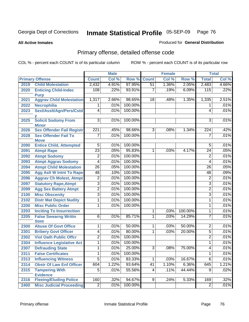**All Active Inmates**

#### Produced for **General Distribution**

# Primary offense, detailed offense code

|      |                                  |                         | <b>Male</b> |         |                 | <b>Female</b> |         |                 | <b>Total</b> |
|------|----------------------------------|-------------------------|-------------|---------|-----------------|---------------|---------|-----------------|--------------|
|      | <b>Primary Offense</b>           | <b>Count</b>            | Col %       | Row %   | <b>Count</b>    | Col %         | Row %   | <b>Total</b>    | Col %        |
| 2019 | <b>Child Molestation</b>         | 2,432                   | 4.91%       | 97.95%  | 51              | 1.36%         | 2.05%   | 2,483           | 4.66%        |
| 2020 | <b>Enticing Child-Indec</b>      | 108                     | .22%        | 93.91%  | $\overline{7}$  | .19%          | 6.09%   | 115             | .22%         |
|      | <b>Purp</b>                      |                         |             |         |                 |               |         |                 |              |
| 2021 | <b>Aggrav Child Molestation</b>  | 1,317                   | 2.66%       | 98.65%  | 18              | .48%          | 1.35%   | 1,335           | 2.51%        |
| 2022 | <b>Necrophilia</b>               | 1                       | .01%        | 100.00% |                 |               |         | 1               | .01%         |
| 2023 | Sexl/Asslt/Agn/Pers/Cstd         | 4                       | .01%        | 100.00% |                 |               |         | 4               | .01%         |
| 2025 | <b>Solicit Sodomy From</b>       | $\overline{3}$          | .01%        | 100.00% |                 |               |         | $\overline{3}$  | .01%         |
|      | <b>Minor</b>                     |                         |             |         |                 |               |         |                 |              |
| 2026 | <b>Sex Offender Fail Registr</b> | 221                     | .45%        | 98.66%  | 3               | .08%          | 1.34%   | 224             | .42%         |
| 2028 | <b>Sex Offender Fail To</b>      | $\overline{7}$          | .01%        | 100.00% |                 |               |         | $\overline{7}$  | .01%         |
|      | <b>Move</b>                      |                         |             |         |                 |               |         |                 |              |
| 2090 | <b>Entice Child, Attempted</b>   | $\overline{5}$          | .01%        | 100.00% |                 |               |         | 5               | .01%         |
| 2091 | <b>Atmpt Rape</b>                | $\overline{23}$         | .05%        | 95.83%  | $\mathbf{1}$    | .03%          | 4.17%   | $\overline{24}$ | .05%         |
| 2092 | <b>Atmpt Sodomy</b>              | $\overline{2}$          | .01%        | 100.00% |                 |               |         | $\overline{2}$  | .01%         |
| 2093 | <b>Atmpt Aggrav Sodomy</b>       | $\overline{4}$          | .01%        | 100.00% |                 |               |         | 4               | .01%         |
| 2094 | <b>Atmpt Child Molestation</b>   | $\overline{26}$         | .05%        | 100.00% |                 |               |         | 26              | .05%         |
| 2095 | <b>Agg Aslt W Intnt To Rape</b>  | 48                      | .10%        | 100.00% |                 |               |         | 48              | .09%         |
| 2096 | <b>Aggrav Ch Molest, Atmpt</b>   | 2                       | .01%        | 100.00% |                 |               |         | 2               | .01%         |
| 2097 | <b>Statutory Rape, Atmpt</b>     | $\overline{3}$          | .01%        | 100.00% |                 |               |         | 3               | .01%         |
| 2099 | <b>Agg Sex Battery Atmpt</b>     | $\overline{2}$          | .01%        | 100.00% |                 |               |         | 2               | .01%         |
| 2100 | <b>Misc Obscenity</b>            | $\overline{3}$          | .01%        | 100.00% |                 |               |         | $\overline{3}$  | .01%         |
| 2102 | <b>Distr Mat Depict Nudity</b>   | $\overline{1}$          | .01%        | 100.00% |                 |               |         | 1               | .01%         |
| 2200 | <b>Misc Public Order</b>         | $\mathbf{1}$            | .01%        | 100.00% |                 |               |         | 1               | .01%         |
| 2203 | <b>Inciting To Insurrection</b>  |                         |             |         | $\mathbf{1}$    | .03%          | 100.00% | 1               | .01%         |
| 2205 | <b>False Swearng Writtn</b>      | 6                       | .01%        | 85.71%  | $\overline{1}$  | .03%          | 14.29%  | $\overline{7}$  | .01%         |
|      | <b>Stmt</b>                      |                         |             |         |                 |               |         |                 |              |
| 2300 | <b>Abuse Of Govt Office</b>      | 1                       | .01%        | 50.00%  | $\mathbf 1$     | .03%          | 50.00%  | $\overline{2}$  | .01%         |
| 2301 | <b>Bribery Govt Officer</b>      | 4                       | .01%        | 80.00%  | 1               | .03%          | 20.00%  | 5               | .01%         |
| 2302 | <b>Viol Oath Public Offcr</b>    | $\overline{2}$          | .01%        | 100.00% |                 |               |         | $\overline{2}$  | .01%         |
| 2304 | <b>Influence Legislative Act</b> | 1                       | .01%        | 100.00% |                 |               |         | 1               | .01%         |
| 2307 | <b>Defrauding State</b>          | 1                       | .01%        | 25.00%  | $\overline{3}$  | .08%          | 75.00%  | 4               | .01%         |
| 2311 | <b>False Certificates</b>        | $\overline{\mathbf{1}}$ | .01%        | 100.00% |                 |               |         | $\overline{1}$  | .01%         |
| 2313 | <b>Influencing Witness</b>       | $\overline{5}$          | .01%        | 83.33%  | $\mathbf 1$     | .03%          | 16.67%  | $\overline{6}$  | .01%         |
| 2314 | <b>Obstr Of Law Enf Officer</b>  | 604                     | 1.22%       | 93.64%  | 41              | 1.10%         | 6.36%   | 645             | 1.21%        |
| 2315 | <b>Tampering With</b>            | $\overline{5}$          | .01%        | 55.56%  | $\vert 4 \vert$ | .11%          | 44.44%  | $\overline{9}$  | .02%         |
|      | <b>Evidence</b>                  |                         |             |         |                 |               |         |                 |              |
| 2316 | <b>Fleeing/Eluding Police</b>    | 160                     | .32%        | 94.67%  | $\overline{9}$  | .24%          | 5.33%   | 169             | .32%         |
| 2400 | <b>Misc Judicial Proceeding</b>  | $\overline{2}$          | .01%        | 100.00% |                 |               |         | $\overline{2}$  | .01%         |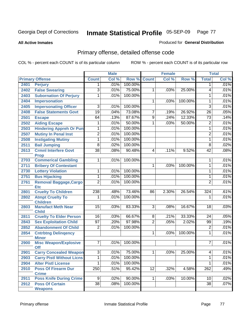**All Active Inmates**

#### Produced for **General Distribution**

# Primary offense, detailed offense code

|      |                                             |                  | <b>Male</b> |         |                 | <b>Female</b> |         |                 | <b>Total</b> |
|------|---------------------------------------------|------------------|-------------|---------|-----------------|---------------|---------|-----------------|--------------|
|      | <b>Primary Offense</b>                      | <b>Count</b>     | Col %       | Row %   | <b>Count</b>    | Col %         | Row %   | <b>Total</b>    | Col %        |
| 2401 | <b>Perjury</b>                              | $\mathbf{1}$     | .01%        | 100.00% |                 |               |         | $\mathbf 1$     | .01%         |
| 2402 | <b>False Swearing</b>                       | $\overline{3}$   | .01%        | 75.00%  | 1               | .03%          | 25.00%  | 4               | .01%         |
| 2403 | <b>Subornation Of Perjury</b>               | 1                | .01%        | 100.00% |                 |               |         | 1               | .01%         |
| 2404 | <b>Impersonation</b>                        |                  |             |         | $\mathbf{1}$    | .03%          | 100.00% | 1               | .01%         |
| 2405 | <b>Impersonating Officer</b>                | $\overline{3}$   | .01%        | 100.00% |                 |               |         | $\overline{3}$  | .01%         |
| 2408 | <b>False Statements Govt</b>                | 19               | .04%        | 73.08%  | 7               | .19%          | 26.92%  | $\overline{26}$ | .05%         |
| 2501 | <b>Escape</b>                               | 64               | .13%        | 87.67%  | $\overline{9}$  | .24%          | 12.33%  | 73              | .14%         |
| 2502 | <b>Aiding Escape</b>                        | 1                | .01%        | 50.00%  | $\mathbf 1$     | .03%          | 50.00%  | $\overline{2}$  | .01%         |
| 2503 | <b>Hindering Appreh Or Pun</b>              | $\mathbf 1$      | .01%        | 100.00% |                 |               |         | 1               | .01%         |
| 2507 | <b>Mutiny In Penal Inst</b>                 | $\overline{2}$   | .01%        | 100.00% |                 |               |         | $\overline{2}$  | .01%         |
| 2508 | <b>Instigating Mutiny</b>                   | 1                | .01%        | 100.00% |                 |               |         | 1               | .01%         |
| 2511 | <b>Bail Jumping</b>                         | $\overline{8}$   | .02%        | 100.00% |                 |               |         | 8               | .02%         |
| 2613 | <b>Crmnl Interfere Govt</b><br><b>Prop</b>  | $\overline{38}$  | .08%        | 90.48%  | 4               | .11%          | 9.52%   | 42              | .08%         |
| 2703 | <b>Commerical Gambling</b>                  | 1                | .01%        | 100.00% |                 |               |         | 1               | .01%         |
| 2711 | <b>Bribery Of Contestant</b>                |                  |             |         | 1               | .03%          | 100.00% | 1               | .01%         |
| 2730 | <b>Lottery Violation</b>                    | 1                | .01%        | 100.00% |                 |               |         | 1               | .01%         |
| 2751 | <b>Bus Hijacking</b>                        | $\overline{1}$   | .01%        | 100.00% |                 |               |         | 1               | .01%         |
| 2761 | <b>Removal Baggage, Cargo</b><br><b>Etc</b> | $\overline{2}$   | .01%        | 100.00% |                 |               |         | $\overline{2}$  | .01%         |
| 2801 | <b>Cruelty To Children</b>                  | $\overline{238}$ | .48%        | 73.46%  | 86              | 2.30%         | 26.54%  | 324             | .61%         |
| 2802 | <b>Atmpt Cruelty To</b><br><b>Children</b>  | 1                | .01%        | 100.00% |                 |               |         | 1               | .01%         |
| 2803 | <b>Manufact Meth Near</b><br><b>Child</b>   | 15               | .03%        | 83.33%  | $\overline{3}$  | .08%          | 16.67%  | 18              | .03%         |
| 2811 | <b>Cruelty To Elder Person</b>              | 16               | .03%        | 66.67%  | 8 <sup>1</sup>  | .21%          | 33.33%  | 24              | .05%         |
| 2843 | <b>Sex Exploitation Child</b>               | $\overline{97}$  | .20%        | 97.98%  | $\overline{2}$  | .05%          | 2.02%   | 99              | .19%         |
| 2852 | <b>Abandonment Of Child</b>                 | $\overline{2}$   | .01%        | 100.00% |                 |               |         | $\overline{2}$  | .01%         |
| 2854 | <b>Cntrbtng Delingency</b><br><b>Minor</b>  |                  |             |         | 1               | .03%          | 100.00% | 1               | .01%         |
| 2900 | <b>Misc Weapon/Explosive</b><br>Off         | $\overline{7}$   | .01%        | 100.00% |                 |               |         | 7               | .01%         |
| 2901 | <b>Carry Concealed Weapon</b>               | $\overline{3}$   | .01%        | 75.00%  | $\overline{1}$  | .03%          | 25.00%  | $\overline{4}$  | .01%         |
| 2903 | <b>Carry Pistl Without Licns</b>            | 1                | .01%        | 100.00% |                 |               |         | 1               | .01%         |
| 2904 | <b>Alter Pistl License</b>                  | 1                | .01%        | 100.00% |                 |               |         | 1               | .01%         |
| 2910 | <b>Poss Of Firearm Dur</b><br><b>Crime</b>  | $\overline{250}$ | .51%        | 95.42%  | $\overline{12}$ | .32%          | 4.58%   | 262             | .49%         |
| 2911 | <b>Poss Knife During Crime</b>              | 9                | .02%        | 90.00%  | 1 <sup>1</sup>  | .03%          | 10.00%  | 10              | .02%         |
| 2912 | <b>Poss Of Certain</b><br><b>Weapons</b>    | $\overline{38}$  | .08%        | 100.00% |                 |               |         | $\overline{38}$ | .07%         |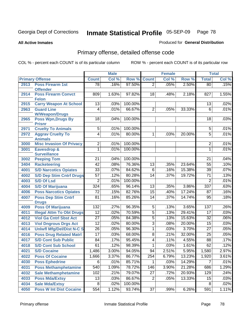**All Active Inmates**

#### Produced for **General Distribution**

# Primary offense, detailed offense code

|      |                                            |                 | <b>Male</b> |         | <b>Female</b>   |       |        | <b>Total</b>    |       |
|------|--------------------------------------------|-----------------|-------------|---------|-----------------|-------|--------|-----------------|-------|
|      | <b>Primary Offense</b>                     | <b>Count</b>    | Col %       | Row %   | <b>Count</b>    | Col % | Row %  | <b>Total</b>    | Col % |
| 2913 | <b>Poss Firearm 1st</b>                    | 78              | .16%        | 97.50%  | $\overline{2}$  | .05%  | 2.50%  | 80              | .15%  |
|      | <b>Offender</b>                            |                 |             |         |                 |       |        |                 |       |
| 2914 | <b>Poss Firearm Convct</b>                 | 809             | 1.63%       | 97.82%  | 18              | .48%  | 2.18%  | 827             | 1.55% |
|      | <b>Felon</b>                               |                 |             |         |                 |       |        |                 |       |
| 2915 | <b>Carry Weapon At School</b>              | 13              | .03%        | 100.00% |                 |       |        | 13              | .02%  |
| 2963 | <b>Guard Line</b><br><b>W/Weapon/Drugs</b> | $\overline{4}$  | .01%        | 66.67%  | $\overline{2}$  | .05%  | 33.33% | $\overline{6}$  | .01%  |
| 2965 | <b>Poss Wpn, Drugs By</b>                  | 18              | .04%        | 100.00% |                 |       |        | 18              | .03%  |
|      | <b>Prisnr</b>                              |                 |             |         |                 |       |        |                 |       |
| 2971 | <b>Cruelty To Animals</b>                  | 5               | .01%        | 100.00% |                 |       |        | 5               | .01%  |
| 2972 | <b>Aggrav Cruelty To</b>                   | $\overline{4}$  | .01%        | 80.00%  | 1               | .03%  | 20.00% | 5               | .01%  |
|      | <b>Animals</b>                             |                 |             |         |                 |       |        |                 |       |
| 3000 | <b>Misc Invasion Of Privacy</b>            | $\overline{2}$  | .01%        | 100.00% |                 |       |        | $\overline{2}$  | .01%  |
| 3001 | <b>Eavesdrop &amp;</b>                     | 1               | .01%        | 100.00% |                 |       |        | 1               | .01%  |
|      | <b>Surveillance</b>                        |                 |             |         |                 |       |        |                 |       |
| 3002 | <b>Peeping Tom</b>                         | $\overline{21}$ | .04%        | 100.00% |                 |       |        | $\overline{21}$ | .04%  |
| 3404 | <b>Racketeering</b>                        | $\overline{42}$ | .08%        | 76.36%  | $\overline{13}$ | .35%  | 23.64% | $\overline{55}$ | .10%  |
| 4001 | <b>S/D Narcotics Opiates</b>               | $\overline{33}$ | .07%        | 84.62%  | $\overline{6}$  | .16%  | 15.38% | $\overline{39}$ | .07%  |
| 4002 | <b>S/D Dep Stim Cntrf Drugs</b>            | $\overline{57}$ | .12%        | 80.28%  | $\overline{14}$ | .37%  | 19.72% | $\overline{71}$ | .13%  |
| 4003 | <b>S/D Of Lsd</b>                          | $\overline{2}$  | .01%        | 100.00% |                 |       |        | $\overline{2}$  | .01%  |
| 4004 | <b>S/D Of Marijuana</b>                    | 324             | .65%        | 96.14%  | $\overline{13}$ | .35%  | 3.86%  | 337             | .63%  |
| 4006 | <b>Poss Narcotics Opiates</b>              | $\overline{72}$ | .15%        | 82.76%  | $\overline{15}$ | .40%  | 17.24% | $\overline{87}$ | .16%  |
| 4007 | <b>Poss Dep Stim Cntrf</b>                 | $\overline{81}$ | .16%        | 85.26%  | 14              | .37%  | 14.74% | $\overline{95}$ | .18%  |
|      | <b>Drugs</b>                               |                 |             |         |                 |       |        |                 |       |
| 4009 | <b>Poss Of Marijuana</b>                   | 132             | .27%        | 96.35%  | $\overline{5}$  | .13%  | 3.65%  | 137             | .26%  |
| 4011 | <b>Illegal Attm To Obt Drugs</b>           | $\overline{12}$ | .02%        | 70.59%  | $\overline{5}$  | .13%  | 29.41% | 17              | .03%  |
| 4012 | <b>Viol Ga Cntrl Sbst Act</b>              | $\overline{27}$ | .05%        | 84.38%  | $\overline{5}$  | .13%  | 15.63% | $\overline{32}$ | .06%  |
| 4013 | <b>Viol Dngrous Drgs Act</b>               | $\overline{12}$ | .02%        | 80.00%  | $\overline{3}$  | .08%  | 20.00% | $\overline{15}$ | .03%  |
| 4014 | <b>Uniwfl Mfg/Del/Dist N-C S</b>           | $\overline{26}$ | .05%        | 96.30%  | 1               | .03%  | 3.70%  | $\overline{27}$ | .05%  |
| 4016 | <b>Poss Drug Related Matri</b>             | $\overline{17}$ | .03%        | 68.00%  | $\overline{8}$  | .21%  | 32.00% | $\overline{25}$ | .05%  |
| 4017 | <b>S/D Cont Sub Public</b>                 | $\overline{84}$ | .17%        | 95.45%  | $\overline{4}$  | .11%  | 4.55%  | 88              | .17%  |
| 4018 | <b>S/D Cont Sub School</b>                 | 61              | .12%        | 98.39%  | 1               | .03%  | 1.61%  | 62              | .12%  |
| 4021 | <b>S/D Cocaine</b>                         | 1,486           | 3.00%       | 94.05%  | 94              | 2.51% | 5.95%  | 1,580           | 2.97% |
| 4022 | <b>Poss Of Cocaine</b>                     | 1,666           | 3.37%       | 86.77%  | 254             | 6.79% | 13.23% | 1,920           | 3.61% |
| 4030 | <b>Poss Ephedrine</b>                      | 6               | .01%        | 85.71%  | 1               | .03%  | 14.29% | 7               | .01%  |
| 4031 | <b>Poss Methamphetamine</b>                | 540             | 1.09%       | 78.72%  | 146             | 3.90% | 21.28% | 686             | 1.29% |
| 4032 | <b>Sale Methamphetamine</b>                | 102             | .21%        | 79.07%  | $\overline{27}$ | .72%  | 20.93% | 129             | .24%  |
| 4033 | <b>Poss Mda/Extsy</b>                      | 13              | .03%        | 86.67%  | $\overline{2}$  | .05%  | 13.33% | 15              | .03%  |
| 4034 | <b>Sale Mda/Extsy</b>                      | 8               | .02%        | 100.00% |                 |       |        | 8               | .02%  |
| 4050 | <b>Poss W Int Dist Cocaine</b>             | 554             | 1.12%       | 93.74%  | 37              | .99%  | 6.26%  | 591             | 1.11% |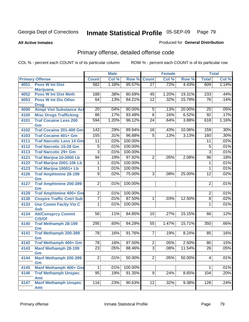**All Active Inmates**

#### Produced for **General Distribution**

# Primary offense, detailed offense code

|      |                                                |                  | <b>Male</b> |         |                 | <b>Female</b> |        |                 | <b>Total</b> |
|------|------------------------------------------------|------------------|-------------|---------|-----------------|---------------|--------|-----------------|--------------|
|      | <b>Primary Offense</b>                         | <b>Count</b>     | Col %       | Row %   | <b>Count</b>    | Col %         | Row %  | <b>Total</b>    | Col %        |
| 4051 | <b>Poss W Int Dist</b>                         | 582              | 1.18%       | 95.57%  | $\overline{27}$ | .72%          | 4.43%  | 609             | 1.14%        |
|      | <b>Marijuana</b>                               |                  |             |         |                 |               |        |                 |              |
| 4052 | <b>Poss W Int Dist Meth</b>                    | 188              | .38%        | 80.69%  | 45              | 1.20%         | 19.31% | 233             | .44%         |
| 4053 | <b>Poss W Int Dis Other</b>                    | 64               | .13%        | 84.21%  | $\overline{12}$ | .32%          | 15.79% | 76              | .14%         |
| 4090 | <b>Drug</b><br><b>Atmpt Viol Substance Act</b> | 20               | .04%        | 80.00%  | 5               | .13%          | 20.00% | $\overline{25}$ | .05%         |
| 4100 | <b>Misc Drugs Trafficking</b>                  | $\overline{86}$  | .17%        | 93.48%  | $\overline{6}$  | .16%          | 6.52%  | $\overline{92}$ | .17%         |
| 4101 | <b>Traf Cocaine Less 200</b>                   | $\overline{594}$ | 1.20%       | 96.12%  | $\overline{24}$ | .64%          | 3.88%  | 618             | 1.16%        |
|      | Gm                                             |                  |             |         |                 |               |        |                 |              |
| 4102 | <b>Traf Cocaine 201-400 Gm</b>                 | $\overline{143}$ | .29%        | 89.94%  | 16              | .43%          | 10.06% | 159             | .30%         |
| 4103 | <b>Traf Cocaine 401+ Gm</b>                    | 155              | .31%        | 96.88%  | $\overline{5}$  | .13%          | 3.13%  | 160             | .30%         |
| 4111 | <b>Traf Narcotic Less 14 Gm</b>                | $\overline{11}$  | .02%        | 100.00% |                 |               |        | $\overline{11}$ | .02%         |
| 4112 | <b>Traf Narcotic 15-28 Gm</b>                  | $\overline{5}$   | .01%        | 100.00% |                 |               |        | $\overline{5}$  | .01%         |
| 4113 | <b>Traf Narcotic 29+ Gm</b>                    | $\overline{3}$   | .01%        | 100.00% |                 |               |        | $\overline{3}$  | .01%         |
| 4121 | <b>Traf Marijna 10-2000 Lb</b>                 | 94               | .19%        | 97.92%  | $\overline{2}$  | .05%          | 2.08%  | 96              | .18%         |
| 4122 | <b>Traf Marijna 2001-10k Lb</b>                | 1                | .01%        | 100.00% |                 |               |        | 1               | .01%         |
| 4123 | Traf Marijna 10001+ Lb                         | 1                | .01%        | 100.00% |                 |               |        | 1               | .01%         |
| 4126 | <b>Traf Amphtmine 28-199</b>                   | $\overline{9}$   | .02%        | 75.00%  | $\overline{3}$  | .08%          | 25.00% | $\overline{12}$ | .02%         |
|      | Gm                                             |                  |             |         |                 |               |        |                 |              |
| 4127 | <b>Traf Amphtmine 200-399</b>                  | $\overline{2}$   | .01%        | 100.00% |                 |               |        | $\overline{2}$  | .01%         |
|      | Gm                                             |                  |             |         |                 |               |        |                 |              |
| 4128 | <b>Traf Amphtmine 400+ Gm</b>                  | $\overline{2}$   | .01%        | 100.00% |                 |               |        | $\overline{2}$  | .01%         |
| 4130 | <b>Cnspire Traffic Cntrl Sub</b>               | $\overline{7}$   | .01%        | 87.50%  | 1               | .03%          | 12.50% | $\overline{8}$  | .02%         |
| 4133 | <b>Use Comm Facity Vio C</b>                   | 1                | .01%        | 100.00% |                 |               |        | $\mathbf{1}$    | .01%         |
|      | <b>Sub</b>                                     |                  |             |         |                 |               |        |                 |              |
| 4134 | <b>Att/Consprcy Commt</b>                      | $\overline{56}$  | .11%        | 84.85%  | 10              | .27%          | 15.15% | 66              | .12%         |
| 4140 | C/S/Of<br><b>Traf Methamph 28-199</b>          | 295              | .60%        | 84.29%  | 55              | 1.47%         | 15.71% | 350             | .66%         |
|      | Gm                                             |                  |             |         |                 |               |        |                 |              |
| 4141 | <b>Traf Methamph 200-399</b>                   | $\overline{78}$  | .16%        | 91.76%  | 7               | .19%          | 8.24%  | 85              | .16%         |
|      | Gm                                             |                  |             |         |                 |               |        |                 |              |
| 4142 | Traf Methamph 400+ Gm                          | $\overline{78}$  | .16%        | 97.50%  | $\overline{2}$  | .05%          | 2.50%  | 80              | .15%         |
| 4143 | <b>Manf Methamph 28-199</b>                    | $\overline{23}$  | .05%        | 88.46%  | $\overline{3}$  | .08%          | 11.54% | $\overline{26}$ | .05%         |
|      | Gm                                             |                  |             |         |                 |               |        |                 |              |
| 4144 | <b>Manf Methamph 200-399</b>                   | $\overline{2}$   | .01%        | 50.00%  | $\overline{2}$  | .05%          | 50.00% | $\overline{4}$  | .01%         |
|      | Gm                                             |                  |             |         |                 |               |        |                 |              |
| 4145 | Manf Methamph 400+ Gm                          |                  | .01%        | 100.00% |                 |               |        | 1               | .01%         |
| 4146 | <b>Traf Methamph Unspec</b>                    | 95               | .19%        | 91.35%  | $\overline{9}$  | .24%          | 8.65%  | 104             | .20%         |
| 4147 | Amt<br><b>Manf Methamph Unspec</b>             | 116              | .23%        | 90.63%  | 12              | .32%          | 9.38%  | 128             | .24%         |
|      | Amt                                            |                  |             |         |                 |               |        |                 |              |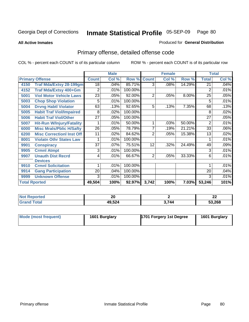**All Active Inmates**

#### Produced for **General Distribution**

# Primary offense, detailed offense code

|                        |                                  | <b>Male</b>     |         |         |                | <b>Female</b> |        | <b>Total</b>   |       |
|------------------------|----------------------------------|-----------------|---------|---------|----------------|---------------|--------|----------------|-------|
| <b>Primary Offense</b> |                                  | <b>Count</b>    | Col %   | Row %   | <b>Count</b>   | Col %         | Row %  | <b>Total</b>   | Col % |
| 4150                   | <b>Traf Mda/Extsy 28-199gm</b>   | $\overline{18}$ | .04%    | 85.71%  | $\overline{3}$ | .08%          | 14.29% | 21             | .04%  |
| 4152                   | Traf Mda/Extsy 400+Gm            | 2               | .01%    | 100.00% |                |               |        | $\overline{2}$ | .01%  |
| 5001                   | <b>Viol Motor Vehicle Laws</b>   | 23              | .05%    | 92.00%  | $\overline{2}$ | .05%          | 8.00%  | 25             | .05%  |
| 5003                   | <b>Chop Shop Violation</b>       | 5               | .01%    | 100.00% |                |               |        | 5              | .01%  |
| 5004                   | <b>Drvng Habtl Violator</b>      | 63              | .13%    | 92.65%  | 5              | .13%          | 7.35%  | 68             | .13%  |
| 5005                   | <b>Habit Traf Viol/Impaired</b>  | 8               | .02%    | 100.00% |                |               |        | 8              | .02%  |
| 5006                   | <b>Habit Traf Viol/Other</b>     | 27              | .05%    | 100.00% |                |               |        | 27             | .05%  |
| 5007                   | <b>Hit-Run W/Injury/Fatality</b> |                 | .01%    | 50.00%  |                | .03%          | 50.00% | $\overline{2}$ | .01%  |
| 6000                   | <b>Misc Mrals/Pblic H/Safty</b>  | 26              | .05%    | 78.79%  | 7              | .19%          | 21.21% | 33             | .06%  |
| 6200                   | <b>Misc Correctionl Inst Off</b> | 11              | $.02\%$ | 84.62%  | 2              | .05%          | 15.38% | 13             | .02%  |
| 8001                   | <b>Violatn Othr States Law</b>   |                 | .01%    | 100.00% |                |               |        |                | .01%  |
| 9901                   | <b>Conspiracy</b>                | 37              | .07%    | 75.51%  | 12             | .32%          | 24.49% | 49             | .09%  |
| 9905                   | <b>Crmnl Atmpt</b>               | 3               | .01%    | 100.00% |                |               |        | 3              | .01%  |
| 9907                   | <b>Unauth Dist Recrd</b>         | 4               | .01%    | 66.67%  | $\overline{2}$ | .05%          | 33.33% | 6              | .01%  |
|                        | <b>Devices</b>                   |                 |         |         |                |               |        |                |       |
| 9910                   | <b>Crmnl Solicitation</b>        |                 | .01%    | 100.00% |                |               |        |                | .01%  |
| 9914                   | <b>Gang Participation</b>        | 20              | .04%    | 100.00% |                |               |        | 20             | .04%  |
| 9999                   | <b>Unknown Offense</b>           | 3               | .01%    | 100.00% |                |               |        | 3              | .01%  |
| <b>Total Rported</b>   |                                  | 49,504          | 100%    | 92.97%  | 3,742          | 100%          | 7.03%  | 53,246         | 101%  |

| <b>Not Reported</b> | n n<br>ZU |      | ^^<br>▴ |
|---------------------|-----------|------|---------|
| <b>Total</b>        | 49,524    | 1744 | 53,268  |

| Mode (most frequent) | 1601 Burglary | 1701 Forgery 1st Degree | 1601 Burglary |
|----------------------|---------------|-------------------------|---------------|
|----------------------|---------------|-------------------------|---------------|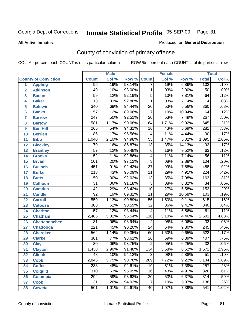**All Active Inmates**

#### Produced for **General Distribution**

# County of conviction of primary offense

|                         |                             |                  | <b>Male</b> |        | <b>Female</b>            |       |        | <b>Total</b>     |       |  |
|-------------------------|-----------------------------|------------------|-------------|--------|--------------------------|-------|--------|------------------|-------|--|
|                         | <b>County of Conviction</b> | <b>Count</b>     | Col %       | Row %  | <b>Count</b>             | Col % | Row %  | <b>Total</b>     | Col % |  |
| 1                       | <b>Appling</b>              | $\overline{95}$  | .19%        | 93.14% | $\overline{7}$           | .19%  | 6.86%  | 102              | .19%  |  |
| $\overline{2}$          | <b>Atkinson</b>             | 49               | .10%        | 98.00% | 1                        | .03%  | 2.00%  | 50               | .09%  |  |
| $\overline{\mathbf{3}}$ | <b>Bacon</b>                | $\overline{59}$  | .12%        | 92.19% | $\overline{5}$           | .13%  | 7.81%  | 64               | .12%  |  |
| 4                       | <b>Baker</b>                | $\overline{13}$  | .03%        | 92.86% | 1                        | .03%  | 7.14%  | 14               | .03%  |  |
| 5                       | <b>Baldwin</b>              | $\overline{340}$ | .69%        | 94.44% | $\overline{20}$          | .53%  | 5.56%  | 360              | .68%  |  |
| 6                       | <b>Banks</b>                | $\overline{57}$  | .12%        | 89.06% | $\overline{7}$           | .19%  | 10.94% | 64               | .12%  |  |
| 7                       | <b>Barrow</b>               | $\overline{247}$ | .50%        | 92.51% | $\overline{20}$          | .53%  | 7.49%  | $\overline{267}$ | .50%  |  |
| 8                       | <b>Bartow</b>               | 581              | 1.17%       | 90.08% | 64                       | 1.71% | 9.92%  | 645              | 1.21% |  |
| 9                       | <b>Ben Hill</b>             | 265              | .54%        | 94.31% | $\overline{16}$          | .43%  | 5.69%  | 281              | .53%  |  |
| 10                      | <b>Berrien</b>              | 86               | .17%        | 95.56% | $\overline{\mathcal{A}}$ | .11%  | 4.44%  | 90               | .17%  |  |
| 11                      | <b>Bibb</b>                 | 1,040            | 2.10%       | 94.98% | $\overline{55}$          | 1.47% | 5.02%  | 1,095            | 2.06% |  |
| 12                      | <b>Bleckley</b>             | 79               | .16%        | 85.87% | $\overline{13}$          | .35%  | 14.13% | $\overline{92}$  | .17%  |  |
| $\overline{13}$         | <b>Brantley</b>             | $\overline{57}$  | .12%        | 90.48% | $\overline{6}$           | .16%  | 9.52%  | 63               | .12%  |  |
| 14                      | <b>Brooks</b>               | $\overline{52}$  | .11%        | 92.86% | $\overline{4}$           | .11%  | 7.14%  | $\overline{56}$  | .11%  |  |
| 15                      | <b>Bryan</b>                | 101              | .20%        | 97.12% | $\overline{3}$           | .08%  | 2.88%  | 104              | .20%  |  |
| 16                      | <b>Bulloch</b>              | 451              | .91%        | 92.42% | $\overline{37}$          | .99%  | 7.58%  | 488              | .92%  |  |
| 17                      | <b>Burke</b>                | $\overline{213}$ | .43%        | 95.09% | $\overline{11}$          | .29%  | 4.91%  | $\overline{224}$ | .42%  |  |
| 18                      | <b>Butts</b>                | 150              | .30%        | 92.02% | $\overline{13}$          | .35%  | 7.98%  | 163              | .31%  |  |
| 19                      | <b>Calhoun</b>              | $\overline{31}$  | .06%        | 91.18% | $\overline{3}$           | .08%  | 8.82%  | $\overline{34}$  | .06%  |  |
| 20                      | <b>Camden</b>               | $\overline{142}$ | .29%        | 93.42% | $\overline{10}$          | .27%  | 6.58%  | 152              | .29%  |  |
| 21                      | <b>Candler</b>              | $\overline{92}$  | .19%        | 89.32% | $\overline{11}$          | .29%  | 10.68% | 103              | .19%  |  |
| 22                      | <b>Carroll</b>              | 559              | 1.13%       | 90.89% | $\overline{56}$          | 1.50% | 9.11%  | 615              | 1.16% |  |
| 23                      | <b>Catoosa</b>              | 308              | .62%        | 90.59% | $\overline{32}$          | .86%  | 9.41%  | 340              | .64%  |  |
| 24                      | <b>Charlton</b>             | $\overline{57}$  | .12%        | 93.44% | 4                        | .11%  | 6.56%  | 61               | .11%  |  |
| 25                      | <b>Chatham</b>              | 2,485            | 5.02%       | 95.54% | 116                      | 3.10% | 4.46%  | 2,601            | 4.88% |  |
| 26                      | <b>Chattahoochee</b>        | $\overline{31}$  | .06%        | 93.94% | $\overline{2}$           | .05%  | 6.06%  | $\overline{33}$  | .06%  |  |
| 27                      | <b>Chattooga</b>            | $\overline{221}$ | .45%        | 90.20% | $\overline{24}$          | .64%  | 9.80%  | $\overline{245}$ | .46%  |  |
| 28                      | <b>Cherokee</b>             | 562              | 1.14%       | 90.35% | 60                       | 1.60% | 9.65%  | 622              | 1.17% |  |
| 29                      | <b>Clarke</b>               | 381              | .77%        | 93.61% | $\overline{26}$          | .69%  | 6.39%  | 407              | .76%  |  |
| 30                      | <b>Clay</b>                 | $\overline{30}$  | .06%        | 93.75% | $\overline{2}$           | .05%  | 6.25%  | $\overline{32}$  | .06%  |  |
| 31                      | <b>Clayton</b>              | 1,438            | 2.90%       | 91.48% | $\overline{134}$         | 3.58% | 8.52%  | 1,572            | 2.95% |  |
| 32                      | <b>Clinch</b>               | 48               | .10%        | 94.12% | 3                        | .08%  | 5.88%  | 51               | .10%  |  |
| 33                      | <b>Cobb</b>                 | 2,845            | 5.75%       | 90.78% | 289                      | 7.72% | 9.22%  | 3,134            | 5.89% |  |
| 34                      | <b>Coffee</b>               | 238              | .48%        | 92.61% | 19                       | .51%  | 7.39%  | 257              | .48%  |  |
| 35                      | <b>Colquitt</b>             | $\overline{310}$ | .63%        | 95.09% | 16                       | .43%  | 4.91%  | 326              | .61%  |  |
| 36                      | <b>Columbia</b>             | 294              | .59%        | 93.63% | 20                       | .53%  | 6.37%  | 314              | .59%  |  |
| 37                      | <b>Cook</b>                 | 131              | .26%        | 94.93% | $\overline{7}$           | .19%  | 5.07%  | 138              | .26%  |  |
| 38                      | <b>Coweta</b>               | 501              | 1.01%       | 92.61% | 40                       | 1.07% | 7.39%  | 541              | 1.02% |  |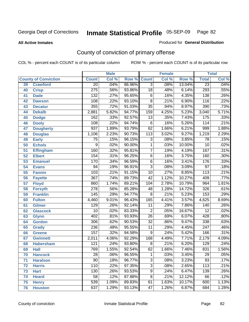#### **All Active Inmates**

#### Produced for **General Distribution**

# County of conviction of primary offense

| <b>Male</b><br><b>Female</b> |                             |                  | <b>Total</b> |        |                 |       |        |                  |       |
|------------------------------|-----------------------------|------------------|--------------|--------|-----------------|-------|--------|------------------|-------|
|                              | <b>County of Conviction</b> | <b>Count</b>     | Col %        | Row %  | <b>Count</b>    | Col % | Row %  | <b>Total</b>     | Col % |
| 39                           | <b>Crawford</b>             | $\overline{20}$  | .04%         | 86.96% | $\overline{3}$  | .08%  | 13.04% | $\overline{23}$  | .04%  |
| 40                           | <b>Crisp</b>                | $\overline{275}$ | .56%         | 93.86% | $\overline{18}$ | .48%  | 6.14%  | 293              | .55%  |
| 41                           | <b>Dade</b>                 | 132              | .27%         | 95.65% | 6               | .16%  | 4.35%  | 138              | .26%  |
| 42                           | <b>Dawson</b>               | 108              | .22%         | 93.10% | $\overline{8}$  | .21%  | 6.90%  | 116              | .22%  |
| 43                           | <b>Decatur</b>              | 355              | .72%         | 91.03% | $\overline{35}$ | .94%  | 8.97%  | 390              | .73%  |
| 44                           | <b>Dekalb</b>               | 2,881            | 5.82%        | 94.77% | 159             | 4.25% | 5.23%  | 3,040            | 5.71% |
| 45                           | <b>Dodge</b>                | 162              | .33%         | 92.57% | $\overline{13}$ | .35%  | 7.43%  | 175              | .33%  |
| 46                           | <b>Dooly</b>                | 108              | .22%         | 94.74% | 6               | .16%  | 5.26%  | 114              | .21%  |
| 47                           | <b>Dougherty</b>            | $\overline{937}$ | 1.89%        | 93.79% | 62              | 1.66% | 6.21%  | 999              | 1.88% |
| 48                           | <b>Douglas</b>              | 1,106            | 2.23%        | 90.73% | 113             | 3.02% | 9.27%  | 1,219            | 2.29% |
| 49                           | <b>Early</b>                | $\overline{75}$  | .15%         | 96.15% | 3               | .08%  | 3.85%  | $\overline{78}$  | .15%  |
| 50                           | <b>Echols</b>               | $\overline{9}$   | .02%         | 90.00% | $\mathbf 1$     | .03%  | 10.00% | 10               | .02%  |
| 51                           | <b>Effingham</b>            | 160              | .32%         | 95.81% | $\overline{7}$  | .19%  | 4.19%  | $\overline{167}$ | .31%  |
| 52                           | <b>Elbert</b>               | 154              | .31%         | 96.25% | $\overline{6}$  | .16%  | 3.75%  | 160              | .30%  |
| 53                           | <b>Emanuel</b>              | 170              | .34%         | 96.59% | $\overline{6}$  | .16%  | 3.41%  | 176              | .33%  |
| 54                           | <b>Evans</b>                | 94               | .19%         | 96.91% | $\overline{3}$  | .08%  | 3.09%  | $\overline{97}$  | .18%  |
| 55                           | <b>Fannin</b>               | 103              | .21%         | 91.15% | 10              | .27%  | 8.85%  | $\overline{113}$ | .21%  |
| 56                           | <b>Fayette</b>              | $\overline{367}$ | .74%         | 89.73% | $\overline{42}$ | 1.12% | 10.27% | 409              | .77%  |
| 57                           | <b>Floyd</b>                | 860              | 1.74%        | 89.21% | 104             | 2.78% | 10.79% | 964              | 1.81% |
| 58                           | <b>Forsyth</b>              | $\overline{278}$ | .56%         | 85.28% | 48              | 1.28% | 14.72% | 326              | .61%  |
| 59                           | <b>Franklin</b>             | 145              | .29%         | 94.77% | $\overline{8}$  | .21%  | 5.23%  | 153              | .29%  |
| 60                           | <b>Fulton</b>               | 4,460            | 9.01%        | 96.43% | 165             | 4.41% | 3.57%  | 4,625            | 8.69% |
| 61                           | Gilmer                      | 129              | .26%         | 92.14% | 11              | .29%  | 7.86%  | 140              | .26%  |
| 62                           | <b>Glascock</b>             | $\overline{10}$  | .02%         | 83.33% | $\overline{2}$  | .05%  | 16.67% | $\overline{12}$  | .02%  |
| 63                           | <b>Glynn</b>                | 402              | .81%         | 93.93% | $\overline{26}$ | .69%  | 6.07%  | 428              | .80%  |
| 64                           | <b>Gordon</b>               | 306              | .62%         | 90.53% | $\overline{32}$ | .86%  | 9.47%  | 338              | .63%  |
| 65                           | <b>Grady</b>                | 236              | .48%         | 95.55% | 11              | .29%  | 4.45%  | $\overline{247}$ | .46%  |
| 66                           | <b>Greene</b>               | 157              | .32%         | 94.58% | 9               | .24%  | 5.42%  | 166              | .31%  |
| 67                           | <b>Gwinnett</b>             | 2,011            | 4.06%        | 92.29% | 168             | 4.49% | 7.71%  | 2,179            | 4.09% |
| 68                           | <b>Habersham</b>            | 121              | .24%         | 93.80% | $\overline{8}$  | .21%  | 6.20%  | 129              | .24%  |
| 69                           | <b>Hall</b>                 | 769              | 1.55%        | 92.54% | 62              | 1.66% | 7.46%  | 831              | 1.56% |
| 70                           | <b>Hancock</b>              | 28               | .06%         | 96.55% | 1               | .03%  | 3.45%  | 29               | .05%  |
| 71                           | <b>Haralson</b>             | $\overline{90}$  | .18%         | 96.77% | $\overline{3}$  | .08%  | 3.23%  | 93               | .17%  |
| 72                           | <b>Harris</b>               | 110              | .22%         | 97.35% | $\overline{3}$  | .08%  | 2.65%  | 113              | .21%  |
| 73                           | <b>Hart</b>                 | 130              | .26%         | 93.53% | $\overline{9}$  | .24%  | 6.47%  | 139              | .26%  |
| 74                           | <b>Heard</b>                | $\overline{58}$  | .12%         | 87.88% | 8               | .21%  | 12.12% | 66               | .12%  |
| 75                           | <b>Henry</b>                | 539              | 1.09%        | 89.83% | 61              | 1.63% | 10.17% | 600              | 1.13% |
| 76                           | <b>Houston</b>              | 637              | 1.29%        | 93.13% | 47              | 1.26% | 6.87%  | 684              | 1.28% |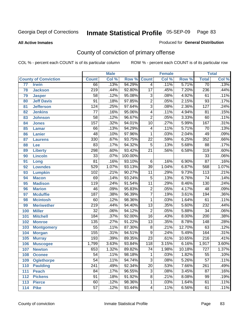#### **All Active Inmates**

#### Produced for **General Distribution**

# County of conviction of primary offense

|     |                             |                  | <b>Male</b> |         |                          | <b>Female</b> |        |                  | <b>Total</b> |
|-----|-----------------------------|------------------|-------------|---------|--------------------------|---------------|--------|------------------|--------------|
|     | <b>County of Conviction</b> | <b>Count</b>     | Col %       | Row %   | <b>Count</b>             | Col %         | Row %  | <b>Total</b>     | Col %        |
| 77  | <b>Irwin</b>                | 66               | .13%        | 94.29%  | $\overline{4}$           | .11%          | 5.71%  | $\overline{70}$  | .13%         |
| 78  | <b>Jackson</b>              | $\overline{219}$ | .44%        | 92.80%  | $\overline{17}$          | .45%          | 7.20%  | 236              | .44%         |
| 79  | <b>Jasper</b>               | $\overline{58}$  | .12%        | 95.08%  | $\overline{3}$           | .08%          | 4.92%  | 61               | .11%         |
| 80  | <b>Jeff Davis</b>           | $\overline{91}$  | .18%        | 97.85%  | $\overline{2}$           | .05%          | 2.15%  | $\overline{93}$  | .17%         |
| 81  | <b>Jefferson</b>            | 124              | .25%        | 97.64%  | $\overline{3}$           | .08%          | 2.36%  | $\overline{127}$ | .24%         |
| 82  | <b>Jenkins</b>              | $\overline{77}$  | .16%        | 95.06%  | $\overline{4}$           | .11%          | 4.94%  | $\overline{81}$  | .15%         |
| 83  | <b>Johnson</b>              | $\overline{58}$  | .12%        | 96.67%  | $\overline{2}$           | .05%          | 3.33%  | 60               | .11%         |
| 84  | <b>Jones</b>                | 157              | .32%        | 94.01%  | 10                       | .27%          | 5.99%  | 167              | .31%         |
| 85  | <b>Lamar</b>                | 66               | .13%        | 94.29%  | $\overline{\mathcal{A}}$ | .11%          | 5.71%  | $\overline{70}$  | .13%         |
| 86  | <b>Lanier</b>               | $\overline{48}$  | .10%        | 97.96%  | 1                        | .03%          | 2.04%  | 49               | .09%         |
| 87  | <b>Laurens</b>              | 330              | .67%        | 93.75%  | $\overline{22}$          | .59%          | 6.25%  | 352              | .66%         |
| 88  | Lee                         | 83               | .17%        | 94.32%  | 5                        | .13%          | 5.68%  | $\overline{88}$  | .17%         |
| 89  | <b>Liberty</b>              | 298              | .60%        | 93.42%  | $\overline{21}$          | .56%          | 6.58%  | $\overline{319}$ | .60%         |
| 90  | <b>Lincoln</b>              | $\overline{33}$  | .07%        | 100.00% |                          |               |        | $\overline{33}$  | .06%         |
| 91  | Long                        | $\overline{81}$  | .16%        | 93.10%  | 6                        | .16%          | 6.90%  | $\overline{87}$  | .16%         |
| 92  | <b>Lowndes</b>              | 529              | 1.07%       | 93.13%  | $\overline{39}$          | 1.04%         | 6.87%  | 568              | 1.07%        |
| 93  | <b>Lumpkin</b>              | 102              | .21%        | 90.27%  | $\overline{11}$          | .29%          | 9.73%  | $\overline{113}$ | .21%         |
| 94  | <b>Macon</b>                | 69               | .14%        | 93.24%  | $\overline{5}$           | .13%          | 6.76%  | $\overline{74}$  | .14%         |
| 95  | <b>Madison</b>              | $\overline{119}$ | .24%        | 91.54%  | $\overline{11}$          | .29%          | 8.46%  | 130              | .24%         |
| 96  | <b>Marion</b>               | 46               | .09%        | 95.83%  | $\overline{2}$           | .05%          | 4.17%  | 48               | .09%         |
| 97  | <b>Mcduffie</b>             | 187              | .38%        | 96.39%  | $\overline{7}$           | .19%          | 3.61%  | 194              | .36%         |
| 98  | <b>Mcintosh</b>             | 60               | .12%        | 98.36%  | $\mathbf{1}$             | .03%          | 1.64%  | 61               | .11%         |
| 99  | <b>Meriwether</b>           | $\overline{219}$ | .44%        | 94.40%  | $\overline{13}$          | .35%          | 5.60%  | 232              | .44%         |
| 100 | <b>Miller</b>               | $\overline{32}$  | .06%        | 94.12%  | $\overline{2}$           | .05%          | 5.88%  | $\overline{34}$  | .06%         |
| 101 | <b>Mitchell</b>             | 184              | .37%        | 92.00%  | $\overline{16}$          | .43%          | 8.00%  | $\overline{200}$ | .38%         |
| 102 | <b>Monroe</b>               | 135              | .27%        | 91.22%  | $\overline{13}$          | .35%          | 8.78%  | $\overline{148}$ | .28%         |
| 103 | <b>Montgomery</b>           | $\overline{55}$  | .11%        | 87.30%  | $\overline{8}$           | .21%          | 12.70% | 63               | .12%         |
| 104 | <b>Morgan</b>               | 155              | .31%        | 94.51%  | $\overline{9}$           | .24%          | 5.49%  | 164              | .31%         |
| 105 | <b>Murray</b>               | 193              | .39%        | 89.35%  | $\overline{23}$          | .61%          | 10.65% | $\overline{216}$ | .41%         |
| 106 | <b>Muscogee</b>             | 1,799            | 3.63%       | 93.84%  | 118                      | 3.15%         | 6.16%  | 1,917            | 3.60%        |
| 107 | <b>Newton</b>               | 653              | 1.32%       | 89.82%  | $\overline{74}$          | 1.98%         | 10.18% | $\overline{727}$ | 1.37%        |
| 108 | <b>Oconee</b>               | 54               | .11%        | 98.18%  | 1                        | .03%          | 1.82%  | 55               | $.10\%$      |
| 109 | <b>Oglethorpe</b>           | $\overline{54}$  | .11%        | 94.74%  | $\overline{3}$           | .08%          | 5.26%  | $\overline{57}$  | .11%         |
| 110 | <b>Paulding</b>             | $\overline{241}$ | .49%        | 92.34%  | $\overline{20}$          | .53%          | 7.66%  | 261              | .49%         |
| 111 | <b>Peach</b>                | 84               | .17%        | 96.55%  | 3                        | .08%          | 3.45%  | 87               | .16%         |
| 112 | <b>Pickens</b>              | $\overline{91}$  | .18%        | 91.92%  | 8                        | .21%          | 8.08%  | 99               | .19%         |
| 113 | <b>Pierce</b>               | 60               | .12%        | 98.36%  | $\mathbf{1}$             | .03%          | 1.64%  | 61               | .11%         |
| 114 | <b>Pike</b>                 | $\overline{57}$  | .12%        | 93.44%  | $\overline{4}$           | .11%          | 6.56%  | 61               | .11%         |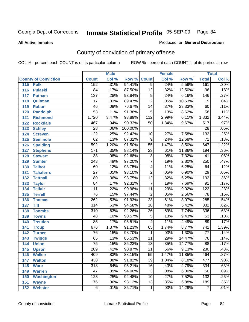#### **All Active Inmates**

#### Produced for **General Distribution**

# County of conviction of primary offense

|                             |                  | <b>Male</b> |                    |                 | <b>Female</b> |        |                  | <b>Total</b> |
|-----------------------------|------------------|-------------|--------------------|-----------------|---------------|--------|------------------|--------------|
| <b>County of Conviction</b> | <b>Count</b>     | Col %       | <b>Row % Count</b> |                 | Col %         | Row %  | <b>Total</b>     | Col %        |
| 115<br><b>Polk</b>          | 152              | .31%        | 94.41%             | $\overline{9}$  | .24%          | 5.59%  | 161              | .30%         |
| 116<br><b>Pulaski</b>       | 84               | .17%        | 87.50%             | $\overline{12}$ | .32%          | 12.50% | $\overline{96}$  | .18%         |
| 117<br><b>Putnam</b>        | 137              | .28%        | 93.84%             | 9               | .24%          | 6.16%  | 146              | .27%         |
| 118<br>Quitman              | $\overline{17}$  | .03%        | 89.47%             | $\overline{2}$  | .05%          | 10.53% | 19               | .04%         |
| 119<br><b>Rabun</b>         | 46               | .09%        | 76.67%             | $\overline{14}$ | .37%          | 23.33% | 60               | .11%         |
| 120<br><b>Randolph</b>      | $\overline{53}$  | .11%        | 91.38%             | $\overline{5}$  | .13%          | 8.62%  | $\overline{58}$  | .11%         |
| <b>Richmond</b><br>121      | 1,720            | 3.47%       | 93.89%             | 112             | 2.99%         | 6.11%  | 1,832            | 3.44%        |
| 122<br><b>Rockdale</b>      | 467              | .94%        | 90.33%             | 50              | 1.34%         | 9.67%  | $\overline{517}$ | .97%         |
| 123<br><b>Schley</b>        | $\overline{28}$  | .06%        | 100.00%            |                 |               |        | $\overline{28}$  | .05%         |
| 124<br><b>Screven</b>       | $\overline{122}$ | .25%        | 92.42%             | 10              | .27%          | 7.58%  | 132              | .25%         |
| 125<br><b>Seminole</b>      | 62               | .13%        | 87.32%             | $\overline{9}$  | .24%          | 12.68% | $\overline{71}$  | .13%         |
| 126<br><b>Spalding</b>      | 592              | 1.20%       | 91.50%             | $\overline{55}$ | 1.47%         | 8.50%  | 647              | 1.22%        |
| 127<br><b>Stephens</b>      | 171              | .35%        | 88.14%             | $\overline{23}$ | .61%          | 11.86% | 194              | .36%         |
| 128<br><b>Stewart</b>       | $\overline{38}$  | .08%        | 92.68%             | $\overline{3}$  | .08%          | 7.32%  | $\overline{41}$  | .08%         |
| 129<br><b>Sumter</b>        | $\overline{243}$ | .49%        | 97.20%             | $\overline{7}$  | .19%          | 2.80%  | 250              | .47%         |
| <b>Talbot</b><br>130        | 60               | .12%        | 93.75%             | 4               | .11%          | 6.25%  | 64               | .12%         |
| 131<br><b>Taliaferro</b>    | $\overline{27}$  | .05%        | 93.10%             | $\overline{2}$  | .05%          | 6.90%  | $\overline{29}$  | .05%         |
| <b>Tattnall</b><br>132      | 180              | .36%        | 93.75%             | $\overline{12}$ | .32%          | 6.25%  | 192              | .36%         |
| 133<br><b>Taylor</b>        | 84               | .17%        | 92.31%             | $\overline{7}$  | .19%          | 7.69%  | 91               | .17%         |
| <b>Telfair</b><br>134       | $\overline{111}$ | .22%        | 90.98%             | 11              | .29%          | 9.02%  | 122              | .23%         |
| 135<br><b>Terrell</b>       | $\overline{76}$  | .15%        | 97.44%             | $\overline{2}$  | .05%          | 2.56%  | $\overline{78}$  | .15%         |
| 136<br><b>Thomas</b>        | $\overline{262}$ | .53%        | 91.93%             | $\overline{23}$ | .61%          | 8.07%  | 285              | .54%         |
| 137<br><b>Tift</b>          | $\overline{314}$ | .63%        | 94.58%             | $\overline{18}$ | .48%          | 5.42%  | 332              | .62%         |
| <b>Toombs</b><br>138        | 310              | .63%        | 92.26%             | 26              | .69%          | 7.74%  | 336              | .63%         |
| 139<br><b>Towns</b>         | 48               | .10%        | 90.57%             | $\overline{5}$  | .13%          | 9.43%  | $\overline{53}$  | .10%         |
| <b>Treutlen</b><br>140      | $\overline{85}$  | .17%        | 95.51%             | $\overline{4}$  | .11%          | 4.49%  | 89               | .17%         |
| 141<br><b>Troup</b>         | 676              | 1.37%       | 91.23%             | 65              | 1.74%         | 8.77%  | $\overline{741}$ | 1.39%        |
| 142<br><b>Turner</b>        | 76               | .15%        | 98.70%             | $\mathbf 1$     | .03%          | 1.30%  | 77               | .14%         |
| 143<br><b>Twiggs</b>        | 65               | .13%        | 85.53%             | 11              | .29%          | 14.47% | 76               | .14%         |
| 144<br><b>Union</b>         | $\overline{75}$  | .15%        | 85.23%             | $\overline{13}$ | .35%          | 14.77% | $\overline{88}$  | .17%         |
| 145<br><b>Upson</b>         | 209              | .42%        | 90.87%             | $\overline{21}$ | .56%          | 9.13%  | 230              | .43%         |
| 146<br><b>Walker</b>        | 409              | .83%        | 88.15%             | 55              | 1.47%         | 11.85% | 464              | $.87\%$      |
| 147<br><b>Walton</b>        | 438              | .88%        | 91.82%             | $\overline{39}$ | 1.04%         | 8.18%  | 477              | .90%         |
| 148<br><b>Ware</b>          | $\overline{318}$ | .64%        | 95.21%             | $\overline{16}$ | .43%          | 4.79%  | 334              | .63%         |
| 149<br><b>Warren</b>        | 47               | .09%        | 94.00%             | 3               | .08%          | 6.00%  | 50               | .09%         |
| <b>Washington</b><br>150    | $\overline{123}$ | .25%        | 92.48%             | 10              | .27%          | 7.52%  | 133              | .25%         |
| 151<br><b>Wayne</b>         | 176              | .36%        | 93.12%             | 13              | .35%          | 6.88%  | 189              | .35%         |
| 152<br><b>Webster</b>       | 6                | .01%        | 85.71%             | $\mathbf{1}$    | .03%          | 14.29% | $\boldsymbol{7}$ | .01%         |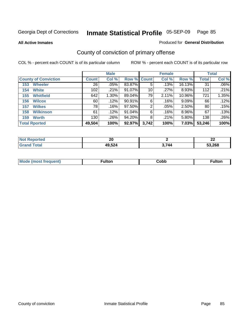**All Active Inmates**

#### Produced for **General Distribution**

# County of conviction of primary offense

|                             |              | <b>Male</b> |             |       | <b>Female</b> |          |              | <b>Total</b> |
|-----------------------------|--------------|-------------|-------------|-------|---------------|----------|--------------|--------------|
| <b>County of Conviction</b> | <b>Count</b> | Col %       | Row % Count |       | Col %         | Row %    | <b>Total</b> | Col %        |
| <b>Wheeler</b><br>153       | 26           | .05%        | 83.87%      | 5     | .13%          | 16.13%   | 31           | $.06\%$      |
| <b>White</b><br>154         | 102          | .21%        | 91.07%      | 10    | $.27\%$       | 8.93%    | 112          | $.21\%$      |
| <b>Whitfield</b><br>155     | 642          | 1.30%       | 89.04%      | 79    | 2.11%         | 10.96%   | 721          | 1.35%        |
| <b>Wilcox</b><br>156        | 60           | .12%        | 90.91%      | 6     | .16%          | $9.09\%$ | 66           | .12%         |
| <b>Wilkes</b><br>157        | 78           | .16%        | 97.50%      | 2     | .05%          | 2.50%    | 80           | .15%         |
| <b>Wilkinson</b><br>158     | 61           | .12%        | 91.04%      | 6     | .16%          | 8.96%    | 67           | $.13\%$      |
| <b>Worth</b><br>159         | 130          | .26%        | 94.20%      | 8     | .21%          | 5.80%    | 138          | .26%         |
| <b>Total Rported</b>        | 49,504       | 100%        | 92.97%      | 3,742 | 100%          | 7.03%    | 53,246       | 100%         |

| Reported    | nr.    |       | ~~     |
|-------------|--------|-------|--------|
| <b>NOT</b>  | Ζu     |       | LL     |
| <b>otal</b> | 49,524 | 3.744 | 53.268 |

| M | -uitor. | Cobb | <u></u> |
|---|---------|------|---------|
|   |         |      |         |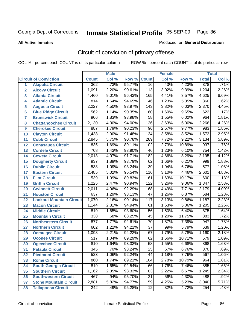**All Active Inmates**

#### Produced for **General Distribution**

# Circuit of conviction of primary offense

|                         |                                 |                  | <b>Male</b> |        |                  | <b>Female</b> |        |                  | <b>Total</b> |
|-------------------------|---------------------------------|------------------|-------------|--------|------------------|---------------|--------|------------------|--------------|
|                         | <b>Circuit of Conviction</b>    | <b>Count</b>     | Col %       | Row %  | <b>Count</b>     | Col %         | Row %  | <b>Total</b>     | Col %        |
| 1                       | <b>Alapaha Circuit</b>          | 362              | .73%        | 95.77% | 16               | .43%          | 4.23%  | 378              | .71%         |
| $\overline{2}$          | <b>Alcovy Circuit</b>           | 1,091            | 2.20%       | 90.61% | 113              | 3.02%         | 9.39%  | 1,204            | 2.26%        |
| $\overline{\mathbf{3}}$ | <b>Atlanta Circuit</b>          | 4,460            | 9.01%       | 96.43% | 165              | 4.41%         | 3.57%  | 4,625            | 8.69%        |
| 4                       | <b>Atlantic Circuit</b>         | 814              | 1.64%       | 94.65% | $\overline{46}$  | 1.23%         | 5.35%  | 860              | 1.62%        |
| 5                       | <b>Augusta Circuit</b>          | 2,227            | 4.50%       | 93.97% | $\overline{143}$ | 3.82%         | 6.03%  | 2,370            | 4.45%        |
| $6\phantom{a}$          | <b>Blue Ridge Circuit</b>       | 562              | 1.14%       | 90.35% | 60               | 1.60%         | 9.65%  | 622              | 1.17%        |
| $\overline{\mathbf{7}}$ | <b>Brunswick Circuit</b>        | 906              | 1.83%       | 93.98% | $\overline{58}$  | 1.55%         | 6.02%  | 964              | 1.81%        |
| 8                       | <b>Chattahoochee Circuit</b>    | 2,130            | 4.30%       | 94.00% | 136              | 3.63%         | 6.00%  | 2,266            | 4.26%        |
| 9                       | <b>Cherokee Circuit</b>         | 887              | 1.79%       | 90.23% | $\overline{96}$  | 2.57%         | 9.77%  | 983              | 1.85%        |
| 10                      | <b>Clayton Circuit</b>          | 1,438            | 2.90%       | 91.48% | $\overline{134}$ | 3.58%         | 8.52%  | 1,572            | 2.95%        |
| 11                      | <b>Cobb Circuit</b>             | 2,845            | 5.75%       | 90.78% | 289              | 7.72%         | 9.22%  | 3,134            | 5.89%        |
| 12                      | <b>Conasauga Circuit</b>        | 835              | 1.69%       | 89.11% | 102              | 2.73%         | 10.89% | 937              | 1.76%        |
| 13                      | <b>Cordele Circuit</b>          | 708              | 1.43%       | 93.90% | 46               | 1.23%         | 6.10%  | 754              | 1.42%        |
| 14                      | <b>Coweta Circuit</b>           | 2,013            | 4.07%       | 91.71% | 182              | 4.86%         | 8.29%  | 2,195            | 4.12%        |
| 15                      | <b>Dougherty Circuit</b>        | 937              | 1.89%       | 93.79% | 62               | 1.66%         | 6.21%  | 999              | 1.88%        |
| 16                      | <b>Dublin Circuit</b>           | 538              | 1.09%       | 93.24% | $\overline{39}$  | 1.04%         | 6.76%  | $\overline{577}$ | 1.08%        |
| 17                      | <b>Eastern Circuit</b>          | 2,485            | 5.02%       | 95.54% | 116              | 3.10%         | 4.46%  | 2,601            | 4.88%        |
| 18                      | <b>Flint Circuit</b>            | 539              | 1.09%       | 89.83% | 61               | 1.63%         | 10.17% | 600              | 1.13%        |
| 19                      | <b>Griffin Circuit</b>          | 1,225            | 2.47%       | 90.94% | 122              | 3.26%         | 9.06%  | 1,347            | 2.53%        |
| 20                      | <b>Gwinnett Circuit</b>         | 2,011            | 4.06%       | 92.29% | 168              | 4.49%         | 7.71%  | 2,179            | 4.09%        |
| 21                      | <b>Houston Circuit</b>          | 637              | 1.29%       | 93.13% | $\overline{47}$  | 1.26%         | 6.87%  | 684              | 1.28%        |
| $\overline{22}$         | <b>Lookout Mountain Circuit</b> | 1,070            | 2.16%       | 90.14% | $\overline{117}$ | 3.13%         | 9.86%  | 1,187            | 2.23%        |
| 23                      | <b>Macon Circuit</b>            | 1,144            | 2.31%       | 94.94% | 61               | 1.63%         | 5.06%  | 1,205            | 2.26%        |
| 24                      | <b>Middle Circuit</b>           | 819              | 1.65%       | 93.60% | 56               | 1.50%         | 6.40%  | 875              | 1.64%        |
| 25                      | <b>Mountain Circuit</b>         | 338              | .68%        | 88.25% | $\overline{45}$  | 1.20%         | 11.75% | 383              | .72%         |
| 26                      | <b>Northeastern Circuit</b>     | $\overline{877}$ | 1.77%       | 92.61% | $\overline{70}$  | 1.87%         | 7.39%  | 947              | 1.78%        |
| 27                      | <b>Northern Circuit</b>         | 602              | 1.22%       | 94.21% | $\overline{37}$  | .99%          | 5.79%  | 639              | 1.20%        |
| 28                      | <b>Ocmulgee Circuit</b>         | 1,093            | 2.21%       | 94.22% | 67               | 1.79%         | 5.78%  | 1,160            | 2.18%        |
| 29                      | <b>Oconee Circuit</b>           | $\overline{517}$ | 1.04%       | 89.29% | 62               | 1.66%         | 10.71% | $\overline{579}$ | 1.09%        |
| 30                      | <b>Ogeechee Circuit</b>         | $\overline{810}$ | 1.64%       | 93.32% | $\overline{58}$  | 1.55%         | 6.68%  | 868              | 1.63%        |
| $\overline{31}$         | <b>Pataula Circuit</b>          | 345              | .70%        | 93.24% | $\overline{25}$  | .67%          | 6.76%  | $\overline{370}$ | .69%         |
| 32                      | <b>Piedmont Circuit</b>         | 523              | 1.06%       | 92.24% | 44               | 1.18%         | 7.76%  | 567              | $1.06\%$     |
| 33                      | <b>Rome Circuit</b>             | 860              | 1.74%       | 89.21% | 104              | 2.78%         | 10.79% | 964              | 1.81%        |
| 34                      | <b>South Georgia Circuit</b>    | 819              | 1.65%       | 92.54% | 66               | 1.76%         | 7.46%  | 885              | 1.66%        |
| 35                      | <b>Southern Circuit</b>         | 1,162            | 2.35%       | 93.33% | 83               | 2.22%         | 6.67%  | 1,245            | 2.34%        |
| 36                      | <b>Southwestern Circuit</b>     | 467              | .94%        | 95.70% | 21               | .56%          | 4.30%  | 488              | .92%         |
| 37                      | <b>Stone Mountain Circuit</b>   | 2,881            | 5.82%       | 94.77% | 159              | 4.25%         | 5.23%  | 3,040            | 5.71%        |
| 38                      | <b>Tallapoosa Circuit</b>       | $\overline{242}$ | .49%        | 95.28% | $\overline{12}$  | .32%          | 4.72%  | 254              | .48%         |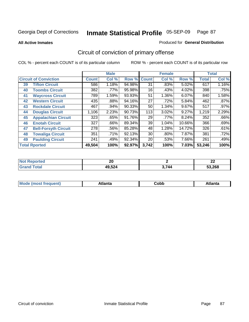**All Active Inmates**

#### Produced for **General Distribution**

# Circuit of conviction of primary offense

|    |                              |              | <b>Male</b> |        |              | <b>Female</b> |        |              | <b>Total</b> |
|----|------------------------------|--------------|-------------|--------|--------------|---------------|--------|--------------|--------------|
|    | <b>Circuit of Conviction</b> | <b>Count</b> | Col %       | Row %  | <b>Count</b> | Col %         | Row %  | <b>Total</b> | Col %        |
| 39 | <b>Tifton Circuit</b>        | 586          | 1.18%       | 94.98% | 31           | .83%          | 5.02%  | 617          | 1.16%        |
| 40 | <b>Toombs Circuit</b>        | 382          | .77%        | 95.98% | 16           | .43%          | 4.02%  | 398          | .75%         |
| 41 | <b>Waycross Circuit</b>      | 789          | 1.59%       | 93.93% | 51           | 1.36%         | 6.07%  | 840          | 1.58%        |
| 42 | <b>Western Circuit</b>       | 435          | .88%        | 94.16% | 27           | .72%          | 5.84%  | 462          | .87%         |
| 43 | <b>Rockdale Circuit</b>      | 467          | .94%        | 90.33% | 50           | 1.34%         | 9.67%  | 517          | .97%         |
| 44 | <b>Douglas Circuit</b>       | 1,106        | 2.23%       | 90.73% | 113          | 3.02%         | 9.27%  | 1,219        | 2.29%        |
| 45 | <b>Appalachian Circuit</b>   | 323          | .65%        | 91.76% | 29           | .77%          | 8.24%  | 352          | .66%         |
| 46 | <b>Enotah Circuit</b>        | 327          | .66%        | 89.34% | 39           | 1.04%         | 10.66% | 366          | .69%         |
| 47 | <b>Bell-Forsyth Circuit</b>  | 278          | .56%        | 85.28% | 48           | 1.28%         | 14.72% | 326          | .61%         |
| 48 | <b>Towaliga Circuit</b>      | 351          | .71%        | 92.13% | 30           | $.80\%$       | 7.87%  | 381          | .72%         |
| 49 | <b>Paulding Circuit</b>      | 241          | .49%        | 92.34% | 20           | .53%          | 7.66%  | 261          | .49%         |
|    | <b>Total Rported</b>         | 49,504       | 100%        | 92.97% | 3,742        | 100%          | 7.03%  | 53,246       | 100%         |

| N<br>тео | or.<br>ZU |       | $\sim$<br>LL |
|----------|-----------|-------|--------------|
| Tota.    | 49,524    | 3,744 | 53,268       |

| M, | $+1 - - + -$<br>annu -<br>uu | ∶obb<br>- - - - - | .<br>чна<br>- --------- |
|----|------------------------------|-------------------|-------------------------|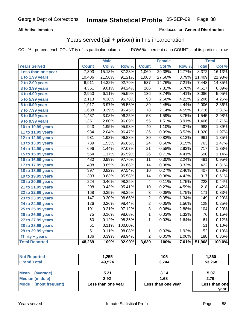### **All Active Inmates**

### Produced for **General Distribution**

## Years served (jail + prison) in this incarceration

|                              |                  | <b>Male</b> |         |                  | <b>Female</b> |        |                  | <b>Total</b> |
|------------------------------|------------------|-------------|---------|------------------|---------------|--------|------------------|--------------|
| <b>Years Served</b>          | <b>Count</b>     | Col %       | Row %   | <b>Count</b>     | Col %         | Row %  | <b>Total</b>     | Col %        |
| Less than one year           | 7,303            | 15.13%      | 87.23%  | 1,069            | 29.38%        | 12.77% | 8,372            | 16.13%       |
| 1 to 1.99 years              | 10,406           | 21.56%      | 91.21%  | 1,003            | 27.56%        | 8.79%  | 11,409           | 21.98%       |
| 2 to 2.99 years              | 6,911            | 14.32%      | 92.79%  | $\overline{537}$ | 14.76%        | 7.21%  | 7,448            | 14.35%       |
| $3$ to 3.99 years            | 4,351            | 9.01%       | 94.24%  | 266              | 7.31%         | 5.76%  | 4,617            | 8.89%        |
| 4 to 4.99 years              | 2,950            | 6.11%       | 95.59%  | 136              | 3.74%         | 4.41%  | 3,086            | 5.95%        |
| 5 to 5.99 years              | 2,113            | 4.38%       | 95.78%  | 93               | 2.56%         | 4.22%  | 2,206            | 4.25%        |
| 6 to 6.99 years              | 1,917            | 3.97%       | 95.56%  | 89               | 2.45%         | 4.44%  | 2,006            | 3.86%        |
| $\overline{7}$ to 7.99 years | 1,638            | 3.39%       | 95.45%  | 78               | 2.14%         | 4.55%  | 1,716            | 3.31%        |
| 8 to 8.99 years              | 1,487            | 3.08%       | 96.25%  | $\overline{58}$  | 1.59%         | 3.75%  | 1,545            | 2.98%        |
| 9 to 9.99 years              | 1,351            | 2.80%       | 96.09%  | $\overline{55}$  | 1.51%         | 3.91%  | 1,406            | 2.71%        |
| 10 to 10.99 years            | 943              | 1.95%       | 95.93%  | 40               | 1.10%         | 4.07%  | 983              | 1.89%        |
| 11 to 11.99 years            | 984              | 2.04%       | 96.47%  | $\overline{36}$  | 0.99%         | 3.53%  | 1,020            | 1.97%        |
| 12 to 12.99 years            | 931              | 1.93%       | 96.88%  | $\overline{30}$  | 0.82%         | 3.12%  | 961              | 1.85%        |
| 13 to 13.99 years            | 739              | 1.53%       | 96.85%  | $\overline{24}$  | 0.66%         | 3.15%  | 763              | 1.47%        |
| 14 to 14.99 years            | 696              | 1.44%       | 97.07%  | $\overline{21}$  | 0.58%         | 2.93%  | $\overline{717}$ | 1.38%        |
| 15 to 15.99 years            | 564              | 1.17%       | 95.59%  | 26               | 0.71%         | 4.41%  | 590              | 1.14%        |
| 16 to 16.99 years            | 480              | 0.99%       | 97.76%  | $\overline{11}$  | 0.30%         | 2.24%  | 491              | 0.95%        |
| 17 to 17.99 years            | 408              | 0.85%       | 96.68%  | $\overline{14}$  | 0.38%         | 3.32%  | 422              | 0.81%        |
| 18 to 18.99 years            | 397              | 0.82%       | 97.54%  | 10               | 0.27%         | 2.46%  | 407              | 0.78%        |
| 19 to 19.99 years            | $\overline{303}$ | 0.63%       | 95.58%  | $\overline{14}$  | 0.38%         | 4.42%  | $\overline{317}$ | 0.61%        |
| 20 to 20.99 years            | $\overline{224}$ | 0.46%       | 98.25%  | 4                | 0.11%         | 1.75%  | $\overline{228}$ | 0.44%        |
| 21 to 21.99 years            | $\overline{208}$ | 0.43%       | 95.41%  | 10               | 0.27%         | 4.59%  | $\overline{218}$ | 0.42%        |
| 22 to 22.99 years            | 168              | 0.35%       | 98.25%  | $\overline{3}$   | 0.08%         | 1.75%  | $\frac{1}{171}$  | 0.33%        |
| 23 to 23.99 years            | $\overline{147}$ | 0.30%       | 98.66%  | $\overline{2}$   | 0.05%         | 1.34%  | 149              | 0.29%        |
| 24 to 24.99 years            | 126              | 0.26%       | 98.44%  | $\overline{2}$   | 0.05%         | 1.56%  | 128              | 0.25%        |
| 25 to 25.99 years            | 101              | 0.21%       | 97.12%  | $\overline{3}$   | 0.08%         | 2.88%  | 104              | 0.20%        |
| 26 to 26.99 years            | 75               | 0.16%       | 98.68%  | $\mathbf{1}$     | 0.03%         | 1.32%  | $\overline{76}$  | 0.15%        |
| 27 to 27.99 years            | 60               | 0.12%       | 98.36%  | $\mathbf 1$      | 0.03%         | 1.64%  | 61               | 0.12%        |
| 28 to 28.99 years            | $\overline{51}$  | 0.11%       | 100.00% |                  |               |        | $\overline{51}$  | 0.10%        |
| 29 to 29.99 years            | $\overline{51}$  | 0.11%       | 98.08%  | $\mathbf 1$      | 0.03%         | 1.92%  | $\overline{52}$  | 0.10%        |
| Thirty + years               | 186              | 0.39%       | 98.94%  | $\overline{2}$   | 0.05%         | 1.06%  | 188              | 0.36%        |
| <b>Total Reported</b>        | 48,269           | 100%        | 92.99%  | 3,639            | 100%          | 7.01%  | 51,908           | 100.0%       |

| <b>Not</b><br>Reported | .,255  | 105   | , 360 |
|------------------------|--------|-------|-------|
| `otal                  | 49,524 | 3,744 | 268   |

| <b>Mean</b><br>(average) | 5.21               | 3.14               | 5.07          |
|--------------------------|--------------------|--------------------|---------------|
| Median (middle)          | 2.92               | 1.68               | 2.79          |
| Mode (most frequent)     | Less than one year | Less than one year | Less than one |
|                          |                    |                    | vear          |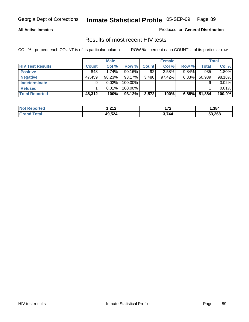#### **All Active Inmates**

Produced for **General Distribution**

### Results of most recent HIV tests

|                         |              | <b>Male</b> |           |              | <b>Female</b> |          |              | Total  |
|-------------------------|--------------|-------------|-----------|--------------|---------------|----------|--------------|--------|
| <b>HIV Test Results</b> | <b>Count</b> | Col %       | Row %     | <b>Count</b> | Col %         | Row %    | <b>Total</b> | Col %  |
| <b>Positive</b>         | 843          | $1.74\%$    | $90.16\%$ | 92           | 2.58%         | $9.84\%$ | 935          | 1.80%  |
| <b>Negative</b>         | 47,459       | 98.23%      | 93.17%    | 3,480        | $97.42\%$     | 6.83%    | 50,939       | 98.18% |
| <b>Indeterminate</b>    | 9            | 0.02%       | 100.00%   |              |               |          |              | 0.02%  |
| <b>Refused</b>          |              | 0.01%       | 100.00%   |              |               |          |              | 0.01%  |
| <b>Total Reported</b>   | 48,312       | 100%        | 93.12%    | 3,572        | 100%          | 6.88%    | 51,884       | 100.0% |

| <b>Not</b>                  | - ລ4 ລ | ィラヘ          | .384   |
|-----------------------------|--------|--------------|--------|
| <b>rted</b>                 | .      | . <i>. .</i> |        |
| <b>otal</b><br><b>Granc</b> | 49,524 | ,744         | 53.268 |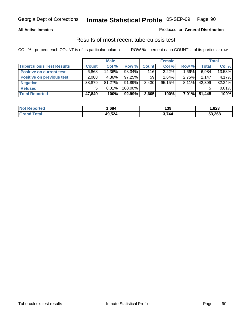#### **All Active Inmates**

#### Produced for **General Distribution**

### Results of most recent tuberculosis test

|                                  |              | <b>Male</b> |           |              | <b>Female</b> |          |              | Total  |
|----------------------------------|--------------|-------------|-----------|--------------|---------------|----------|--------------|--------|
| <b>Tuberculosis Test Results</b> | <b>Count</b> | Col %       | Row %     | <b>Count</b> | Col %         | Row %    | <b>Total</b> | Col %  |
| <b>Positive on current test</b>  | 6,868        | 14.36%      | 98.34%    | 116          | $3.22\%$      | $1.66\%$ | 6,984        | 13.58% |
| <b>Positive on previous test</b> | 2,088        | 4.36%       | $97.25\%$ | 59           | $1.64\%$      | $2.75\%$ | 2.147        | 4.17%  |
| <b>Negative</b>                  | 38,879       | $81.27\%$   | $91.89\%$ | 3,430        | 95.15%        | $8.11\%$ | 42,309       | 82.24% |
| <b>Refused</b>                   | 5            | $0.01\%$    | 100.00%   |              |               |          |              | 0.01%  |
| <b>Total Reported</b>            | 47,840       | 100%        | 92.99%    | 3,605        | 100%          | $7.01\%$ | 51,445       | 100%   |

| <b>Not</b><br>วrted<br>xeno. | .684   | 139  | .823   |
|------------------------------|--------|------|--------|
| 'otal<br><b>Grand</b>        | 49,524 | .744 | 53,268 |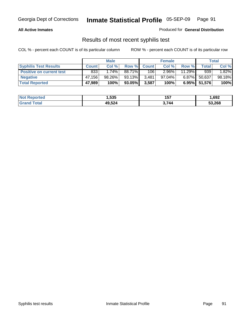#### **All Active Inmates**

Produced for **General Distribution**

### Results of most recent syphilis test

|                                 |              | <b>Male</b> |        |              | <b>Female</b> |           |             | Total  |
|---------------------------------|--------------|-------------|--------|--------------|---------------|-----------|-------------|--------|
| <b>Syphilis Test Results</b>    | <b>Count</b> | Col %       | Row %  | <b>Count</b> | Col %         | Row %     | $\tau$ otal | Col %  |
| <b>Positive on current test</b> | 833          | 1.74%       | 88.71% | 106          | $2.96\%$      | $11.29\%$ | 939         | 1.82%  |
| <b>Negative</b>                 | 47,156       | 98.26%      | 93.13% | 3,481        | 97.04%        | $6.87\%$  | 50,637      | 98.18% |
| <b>Total Reported</b>           | 47,989       | 100%        | 93.05% | 3,587        | 100%          | $6.95\%$  | 51,576      | 100%   |

| <b>Not Reported</b> | .535   | 157   | 692. ا |
|---------------------|--------|-------|--------|
| <b>Grand Total</b>  | 49,524 | 3,744 | 53,268 |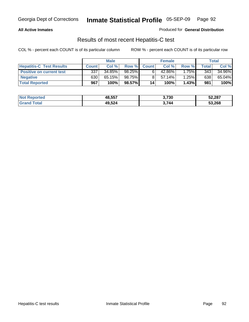#### **All Active Inmates**

Produced for **General Distribution**

### Results of most recent Hepatitis-C test

|                                 |              | <b>Male</b> |        |              | <b>Female</b> |          |             | Total  |
|---------------------------------|--------------|-------------|--------|--------------|---------------|----------|-------------|--------|
| <b>Hepatitis-C Test Results</b> | <b>Count</b> | Col %       | Row %I | <b>Count</b> | Col %         | Row %    | $\tau$ otal | Col %  |
| <b>Positive on current test</b> | 337          | 34.85%      | 98.25% |              | 42.86%        | $1.75\%$ | 343         | 34.96% |
| <b>Negative</b>                 | 630          | 65.15%      | 98.75% |              | $57.14\%$     | 1.25%    | 638         | 65.04% |
| <b>Total Reported</b>           | 967          | 100%        | 98.57% | 14           | 100%          | 1.43%    | 981         | 100%   |

| <b>Not Reported</b> | 48,557 | 3,730 | 52,287 |
|---------------------|--------|-------|--------|
| <b>Grand Total</b>  | 49,524 | 3,744 | 53,268 |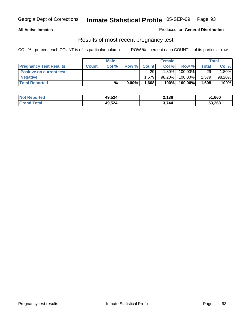#### **All Active Inmates**

Produced for **General Distribution**

### Results of most recent pregnancy test

|                                 | <b>Male</b>  |      | <b>Female</b> |              |          | <b>Total</b> |                 |        |
|---------------------------------|--------------|------|---------------|--------------|----------|--------------|-----------------|--------|
| <b>Pregnancy Test Results</b>   | <b>Count</b> | Col% | Row %         | <b>Count</b> | Col %    | Row %        | <b>Total</b>    | Col %  |
| <b>Positive on current test</b> |              |      |               | 29           | $1.80\%$ | 100.00%      | 29 <sub>1</sub> | 1.80%  |
| <b>Negative</b>                 |              |      |               | 1.579        | 98.20%   | 100.00%      | 1,579           | 98.20% |
| <b>Total Reported</b>           |              | $\%$ | $0.00\%$      | 1,608        | 100%     | 100.00%      | 1,608           | 100%   |

| <b>Not Reported</b> | 49,524 | 2,136 | 51,660 |
|---------------------|--------|-------|--------|
| <b>Grand Total</b>  | 49,524 | 3,744 | 53,268 |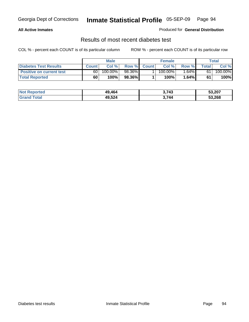#### **All Active Inmates**

#### Produced for **General Distribution**

### Results of most recent diabetes test

|                                 | <b>Male</b>  |         |        | <b>Female</b> |            |          | Total |         |
|---------------------------------|--------------|---------|--------|---------------|------------|----------|-------|---------|
| <b>Diabetes Test Results</b>    | <b>Count</b> | Col %   | Row %  | <b>Count</b>  | Col %      | Row %I   | Total | Col %   |
| <b>Positive on current test</b> | 60           | 100.00% | 98.36% |               | $100.00\%$ | $1.64\%$ | 61    | 100.00% |
| <b>Total Reported</b>           | 60           | 100%    | 98.36% |               | 100%       | 1.64%    | 61    | 100%    |

| Not  <br><b>Reported</b> | 49.464 | 2,743 | 53,207 |
|--------------------------|--------|-------|--------|
| ™otal<br>Gran            | 49,524 | 3,744 | 53,268 |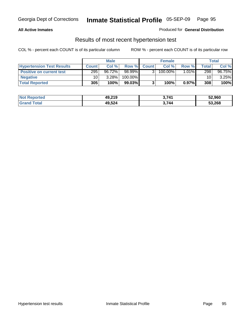#### **All Active Inmates**

#### Produced for **General Distribution**

### Results of most recent hypertension test

|                                  | <b>Male</b>  |           |         | <b>Female</b> |            |          | Total |          |
|----------------------------------|--------------|-----------|---------|---------------|------------|----------|-------|----------|
| <b>Hypertension Test Results</b> | <b>Count</b> | Col %     | Row %   | <b>Count</b>  | Col%       | Row %    | Total | Col %    |
| <b>Positive on current test</b>  | 295          | $96.72\%$ | 98.99%  |               | $100.00\%$ | $1.01\%$ | 298   | 96.75%   |
| <b>Negative</b>                  | 10           | 3.28%     | 100.00% |               |            |          | 10    | $3.25\%$ |
| <b>Total Reported</b>            | 305          | 100%      | 99.03%  |               | 100%       | 0.97%    | 308   | 100%     |

| <b>Not Reported</b> | 49,219 | 3.741 | 52,960 |
|---------------------|--------|-------|--------|
| <b>Grand Total</b>  | 49,524 | 3,744 | 53,268 |